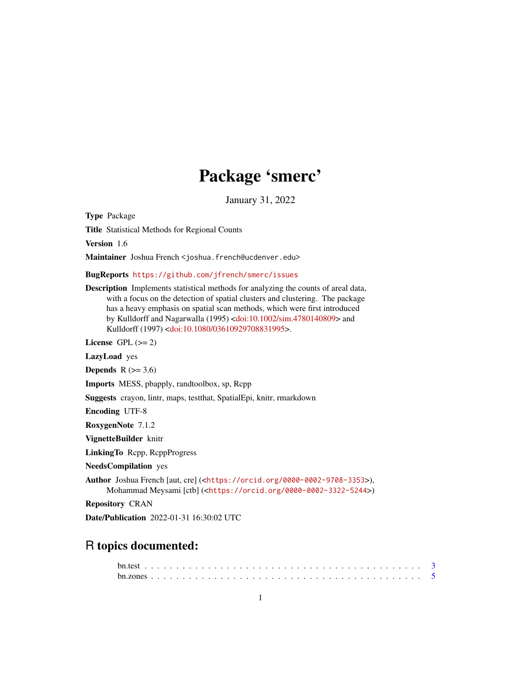# Package 'smerc'

January 31, 2022

<span id="page-0-0"></span>Type Package

Title Statistical Methods for Regional Counts

Version 1.6

Maintainer Joshua French <joshua.french@ucdenver.edu>

BugReports <https://github.com/jfrench/smerc/issues>

Description Implements statistical methods for analyzing the counts of areal data, with a focus on the detection of spatial clusters and clustering. The package has a heavy emphasis on spatial scan methods, which were first introduced by Kulldorff and Nagarwalla (1995) [<doi:10.1002/sim.4780140809>](https://doi.org/10.1002/sim.4780140809) and Kulldorff (1997) [<doi:10.1080/03610929708831995>](https://doi.org/10.1080/03610929708831995).

License GPL  $(>= 2)$ 

LazyLoad yes

Depends  $R$  ( $>= 3.6$ )

Imports MESS, pbapply, randtoolbox, sp, Rcpp

Suggests crayon, lintr, maps, testthat, SpatialEpi, knitr, rmarkdown

Encoding UTF-8

RoxygenNote 7.1.2

VignetteBuilder knitr

LinkingTo Rcpp, RcppProgress

NeedsCompilation yes

Author Joshua French [aut, cre] (<<https://orcid.org/0000-0002-9708-3353>>), Mohammad Meysami [ctb] (<<https://orcid.org/0000-0002-3322-5244>>)

Repository CRAN

Date/Publication 2022-01-31 16:30:02 UTC

## R topics documented: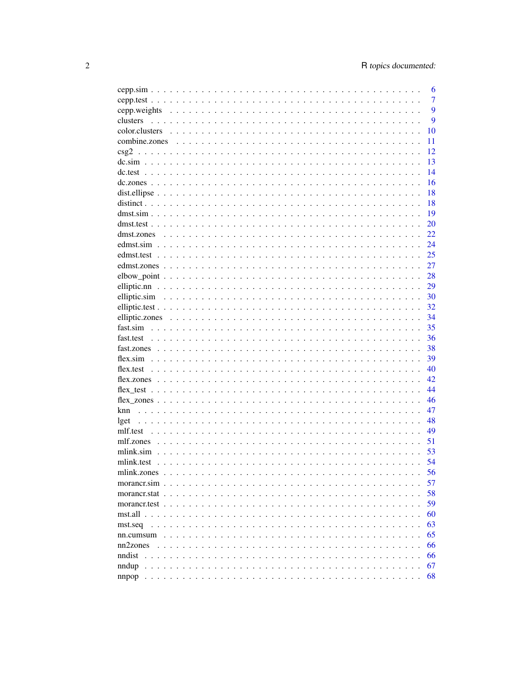|                       | 6              |
|-----------------------|----------------|
|                       | $\overline{7}$ |
| cepp.weights          | 9              |
| clusters              | 9              |
| color.clusters        | 10             |
| combine.zones         | 11             |
|                       | 12             |
|                       | 13             |
|                       | 14             |
|                       | 16             |
|                       | 18             |
|                       | 18             |
|                       | 19             |
|                       | 20             |
|                       | 22             |
|                       | 24             |
|                       | 25             |
|                       | 27             |
|                       | 28             |
|                       | 29             |
|                       | 30             |
|                       | 32             |
|                       | 34             |
|                       | 35             |
|                       | 36             |
|                       | 38             |
|                       | 39             |
|                       | 40             |
|                       | 42.            |
|                       | 44             |
|                       | 46             |
| knn                   | 47             |
| lget                  | 48             |
|                       | 49             |
|                       | 51             |
|                       | 53             |
|                       | 54             |
| mlink.zones           | 56             |
| morancr.sim           | 57             |
|                       | 58             |
|                       | 59             |
|                       | 60             |
|                       | 63             |
| mst.seq               | 65             |
| nn.cumsum<br>nn2zones | 66             |
| nndist                | 66             |
|                       |                |
|                       | 67             |
|                       | 68             |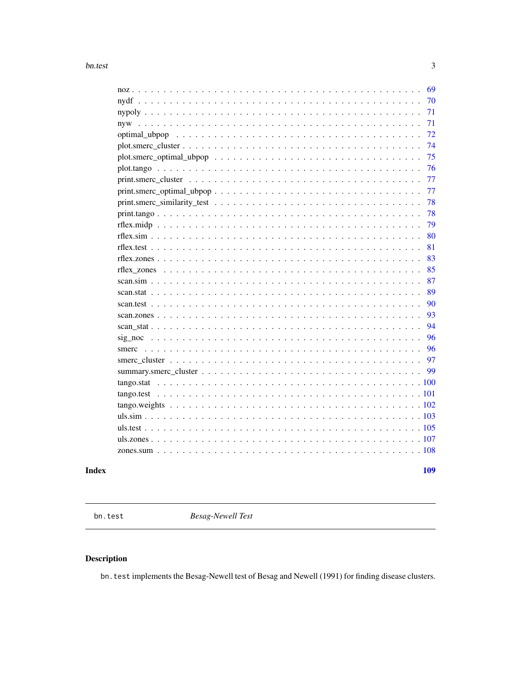### <span id="page-2-0"></span> $bn.test$

|                                                                                                            | 69  |
|------------------------------------------------------------------------------------------------------------|-----|
|                                                                                                            | 70  |
|                                                                                                            | 71  |
|                                                                                                            | 71  |
|                                                                                                            | 72  |
|                                                                                                            | 74  |
|                                                                                                            | 75  |
|                                                                                                            | 76  |
|                                                                                                            | 77  |
|                                                                                                            | 77  |
|                                                                                                            | 78  |
|                                                                                                            | 78  |
|                                                                                                            | 79  |
|                                                                                                            | 80  |
|                                                                                                            | 81  |
|                                                                                                            | 83  |
|                                                                                                            | 85  |
|                                                                                                            | 87  |
|                                                                                                            | 89  |
|                                                                                                            | 90  |
|                                                                                                            | 93  |
|                                                                                                            | 94  |
| $sig\_noc \dots \dots \dots \dots \dots \dots \dots \dots \dots \dots \dots \dots \dots \dots \dots \dots$ | 96  |
|                                                                                                            | 96  |
|                                                                                                            | 97  |
|                                                                                                            | 99  |
| tango.stat                                                                                                 |     |
|                                                                                                            |     |
|                                                                                                            |     |
|                                                                                                            |     |
|                                                                                                            |     |
|                                                                                                            |     |
|                                                                                                            |     |
|                                                                                                            |     |
|                                                                                                            | 109 |

### **Index**

bn.test

**Besag-Newell Test** 

## Description

bn. test implements the Besag-Newell test of Besag and Newell (1991) for finding disease clusters.

 $\overline{3}$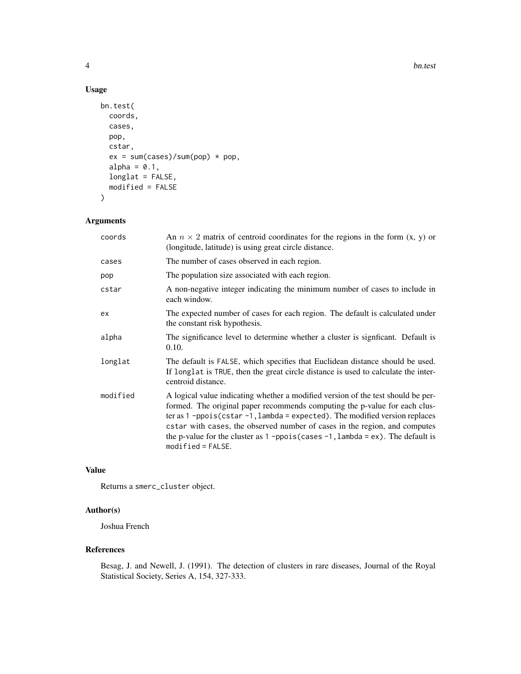### Usage

```
bn.test(
 coords,
 cases,
 pop,
 cstar,
 ex = sum(cases)/sum(pop) * pop,alpha = 0.1,
 longlat = FALSE,
 modified = FALSE
\mathcal{L}
```
### Arguments

| coords   | An $n \times 2$ matrix of centroid coordinates for the regions in the form $(x, y)$ or<br>(longitude, latitude) is using great circle distance.                                                                                                                                                                                                                                                                                          |
|----------|------------------------------------------------------------------------------------------------------------------------------------------------------------------------------------------------------------------------------------------------------------------------------------------------------------------------------------------------------------------------------------------------------------------------------------------|
| cases    | The number of cases observed in each region.                                                                                                                                                                                                                                                                                                                                                                                             |
| pop      | The population size associated with each region.                                                                                                                                                                                                                                                                                                                                                                                         |
| cstar    | A non-negative integer indicating the minimum number of cases to include in<br>each window.                                                                                                                                                                                                                                                                                                                                              |
| ex       | The expected number of cases for each region. The default is calculated under<br>the constant risk hypothesis.                                                                                                                                                                                                                                                                                                                           |
| alpha    | The significance level to determine whether a cluster is significant. Default is<br>0.10.                                                                                                                                                                                                                                                                                                                                                |
| longlat  | The default is FALSE, which specifies that Euclidean distance should be used.<br>If longlat is TRUE, then the great circle distance is used to calculate the inter-<br>centroid distance.                                                                                                                                                                                                                                                |
| modified | A logical value indicating whether a modified version of the test should be per-<br>formed. The original paper recommends computing the p-value for each clus-<br>ter as $1$ -ppois(cstar-1, lambda = expected). The modified version replaces<br>estar with cases, the observed number of cases in the region, and computes<br>the p-value for the cluster as $1$ -ppois (cases $-1$ , lambda = ex). The default is<br>$model$ = FALSE. |

### Value

Returns a smerc\_cluster object.

### Author(s)

Joshua French

#### References

Besag, J. and Newell, J. (1991). The detection of clusters in rare diseases, Journal of the Royal Statistical Society, Series A, 154, 327-333.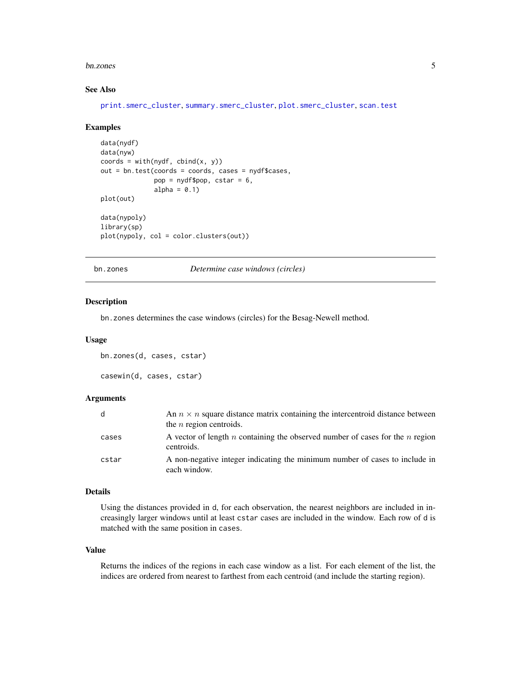#### <span id="page-4-0"></span>bn.zones 5

#### See Also

[print.smerc\\_cluster](#page-76-1), [summary.smerc\\_cluster](#page-98-1), [plot.smerc\\_cluster](#page-73-1), [scan.test](#page-89-1)

#### Examples

```
data(nydf)
data(nyw)
coords = with(nydf, chind(x, y))out = bn.test(coords = coords, cases = nydf$cases,
              pop = nydf$pop, cstar = 6,
              alpha = 0.1)
plot(out)
data(nypoly)
library(sp)
plot(nypoly, col = color.clusters(out))
```
bn.zones *Determine case windows (circles)*

#### <span id="page-4-1"></span>Description

bn.zones determines the case windows (circles) for the Besag-Newell method.

#### Usage

```
bn.zones(d, cases, cstar)
```
### casewin(d, cases, cstar)

### Arguments

| d     | An $n \times n$ square distance matrix containing the intercentroid distance between<br>the $n$ region centroids. |
|-------|-------------------------------------------------------------------------------------------------------------------|
| cases | A vector of length n containing the observed number of cases for the n region<br>centroids.                       |
| cstar | A non-negative integer indicating the minimum number of cases to include in<br>each window.                       |

#### Details

Using the distances provided in d, for each observation, the nearest neighbors are included in increasingly larger windows until at least cstar cases are included in the window. Each row of d is matched with the same position in cases.

#### Value

Returns the indices of the regions in each case window as a list. For each element of the list, the indices are ordered from nearest to farthest from each centroid (and include the starting region).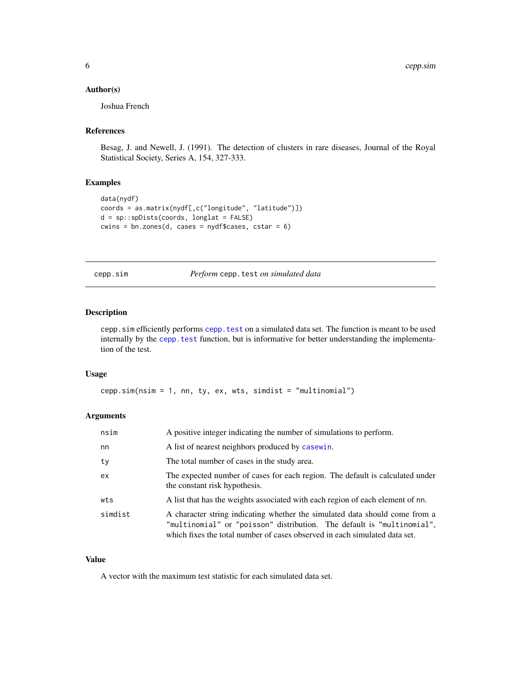### <span id="page-5-0"></span>Author(s)

Joshua French

### References

Besag, J. and Newell, J. (1991). The detection of clusters in rare diseases, Journal of the Royal Statistical Society, Series A, 154, 327-333.

### Examples

```
data(nydf)
coords = as.matrix(nydf[,c("longitude", "latitude")])
d = sp::spDists(coords, longlat = FALSE)
cwins = bn.zones(d, cases = nydf$cases, cstar = 6)
```
cepp.sim *Perform* cepp.test *on simulated data*

#### Description

cepp.sim efficiently performs [cepp.test](#page-6-1) on a simulated data set. The function is meant to be used internally by the cepp. test function, but is informative for better understanding the implementation of the test.

#### Usage

cepp.sim(nsim = 1, nn, ty, ex, wts, simdist = "multinomial")

### Arguments

| nsim    | A positive integer indicating the number of simulations to perform.                                                                                                                                                                 |
|---------|-------------------------------------------------------------------------------------------------------------------------------------------------------------------------------------------------------------------------------------|
| nn      | A list of nearest neighbors produced by casewin.                                                                                                                                                                                    |
| ty      | The total number of cases in the study area.                                                                                                                                                                                        |
| ex      | The expected number of cases for each region. The default is calculated under<br>the constant risk hypothesis.                                                                                                                      |
| wts     | A list that has the weights associated with each region of each element of nn.                                                                                                                                                      |
| simdist | A character string indicating whether the simulated data should come from a<br>"multinomial" or "poisson" distribution. The default is "multinomial",<br>which fixes the total number of cases observed in each simulated data set. |

#### Value

A vector with the maximum test statistic for each simulated data set.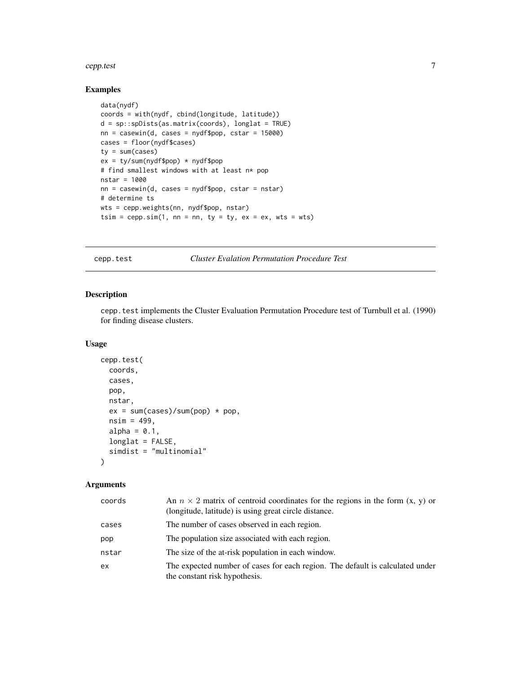#### <span id="page-6-0"></span>cepp.test 7

### Examples

```
data(nydf)
coords = with(nydf, cbind(longitude, latitude))
d = sp::spDists(as.matrix(coords), longlat = TRUE)
nn = casewin(d, cases = nydf$pop, cstar = 15000)
cases = floor(nydf$cases)
ty = sum(cases)
ex = ty/sum(nydf$pop) * nydf$pop
# find smallest windows with at least n* pop
nstar = 1000
nn = casewin(d, cases = nydf$pop, cstar = nstar)
# determine ts
wts = cepp.weights(nn, nydf$pop, nstar)
tsim = cepp.sim(1, nn = nn, ty = ty, ex = ex, wts = wts)
```
<span id="page-6-1"></span>cepp.test *Cluster Evalation Permutation Procedure Test*

### Description

cepp.test implements the Cluster Evaluation Permutation Procedure test of Turnbull et al. (1990) for finding disease clusters.

#### Usage

```
cepp.test(
  coords,
 cases,
 pop,
 nstar,
  ex = sum(cases)/sum(pop) * pop,nsim = 499,alpha = 0.1,
  longlat = FALSE,simdist = "multinomial"
)
```

| coords | An $n \times 2$ matrix of centroid coordinates for the regions in the form $(x, y)$ or<br>(longitude, latitude) is using great circle distance. |
|--------|-------------------------------------------------------------------------------------------------------------------------------------------------|
| cases  | The number of cases observed in each region.                                                                                                    |
| pop    | The population size associated with each region.                                                                                                |
| nstar  | The size of the at-risk population in each window.                                                                                              |
| ex     | The expected number of cases for each region. The default is calculated under<br>the constant risk hypothesis.                                  |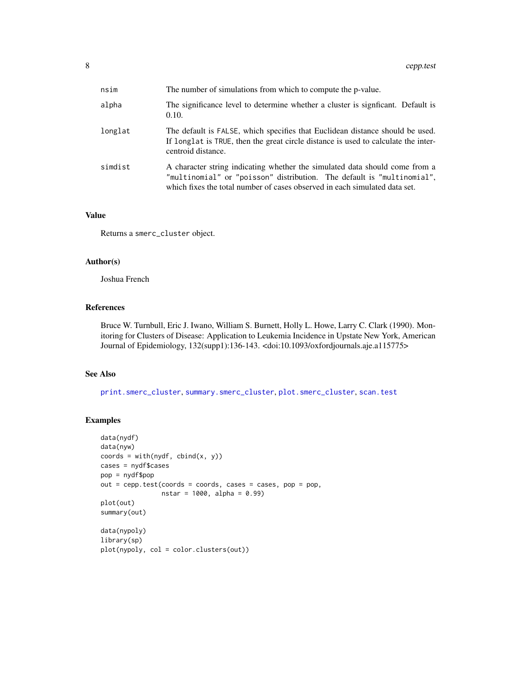| nsim    | The number of simulations from which to compute the p-value.                                                                                                                                                                        |
|---------|-------------------------------------------------------------------------------------------------------------------------------------------------------------------------------------------------------------------------------------|
| alpha   | The significance level to determine whether a cluster is significant. Default is<br>0.10.                                                                                                                                           |
| longlat | The default is FALSE, which specifies that Euclidean distance should be used.<br>If longlat is TRUE, then the great circle distance is used to calculate the inter-<br>centroid distance.                                           |
| simdist | A character string indicating whether the simulated data should come from a<br>"multinomial" or "poisson" distribution. The default is "multinomial",<br>which fixes the total number of cases observed in each simulated data set. |

#### Value

Returns a smerc\_cluster object.

### Author(s)

Joshua French

#### References

Bruce W. Turnbull, Eric J. Iwano, William S. Burnett, Holly L. Howe, Larry C. Clark (1990). Monitoring for Clusters of Disease: Application to Leukemia Incidence in Upstate New York, American Journal of Epidemiology, 132(supp1):136-143. <doi:10.1093/oxfordjournals.aje.a115775>

### See Also

[print.smerc\\_cluster](#page-76-1), [summary.smerc\\_cluster](#page-98-1), [plot.smerc\\_cluster](#page-73-1), [scan.test](#page-89-1)

```
data(nydf)
data(nyw)
coords = with(nydf, chind(x, y))cases = nydf$cases
pop = nydf$pop
out = cepp.test(coords = coords, cases = cases, pop = pop,
               nstar = 1000, alpha = 0.99)
plot(out)
summary(out)
data(nypoly)
library(sp)
plot(nypoly, col = color.clusters(out))
```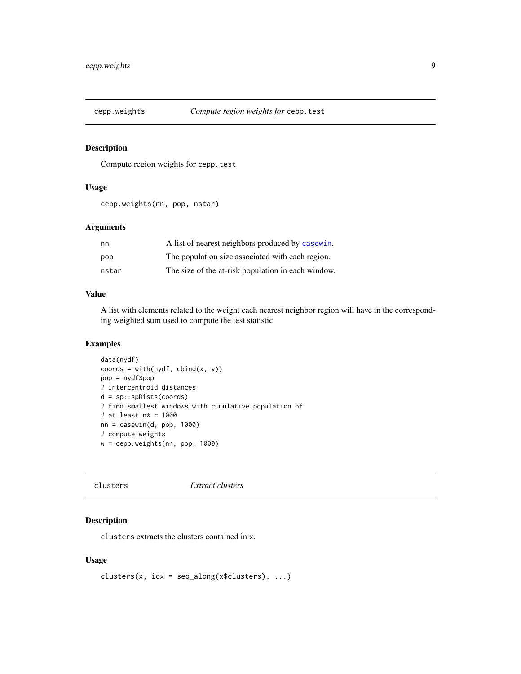<span id="page-8-0"></span>

Compute region weights for cepp.test

### Usage

```
cepp.weights(nn, pop, nstar)
```
### Arguments

| nn    | A list of nearest neighbors produced by casewin.   |
|-------|----------------------------------------------------|
| pop   | The population size associated with each region.   |
| nstar | The size of the at-risk population in each window. |

#### Value

A list with elements related to the weight each nearest neighbor region will have in the corresponding weighted sum used to compute the test statistic

### Examples

```
data(nydf)
coords = with(nydf, chind(x, y))pop = nydf$pop
# intercentroid distances
d = sp::spDists(coords)
# find smallest windows with cumulative population of
# at least n* = 1000
nn = casewin(d, pop, 1000)# compute weights
w = cepp.weights(nn, pop, 1000)
```
clusters *Extract clusters*

### Description

clusters extracts the clusters contained in x.

### Usage

```
clusters(x, idx = seq\_along(x$clusters), ...)
```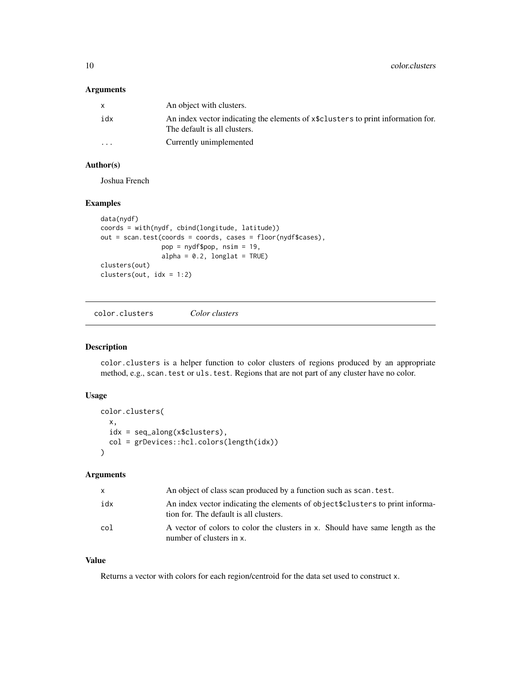<span id="page-9-0"></span>10 color.clusters

### Arguments

|          | An object with clusters.                                                                                         |
|----------|------------------------------------------------------------------------------------------------------------------|
| idx      | An index vector indicating the elements of x\$clusters to print information for.<br>The default is all clusters. |
| $\cdots$ | Currently unimplemented                                                                                          |

### Author(s)

Joshua French

### Examples

```
data(nydf)
coords = with(nydf, cbind(longitude, latitude))
out = scan.test(coords = coords, cases = floor(nydf$cases),
                pop = nydf$pop, nsim = 19,
                alpha = 0.2, longlat = TRUE)
clusters(out)
clusters(out, idx = 1:2)
```
color.clusters *Color clusters*

### Description

color.clusters is a helper function to color clusters of regions produced by an appropriate method, e.g., scan.test or uls.test. Regions that are not part of any cluster have no color.

#### Usage

```
color.clusters(
  x,
 idx = seq_along(x$clusters),
  col = grDevices::hcl.colors(length(idx))
)
```
### Arguments

| x.  | An object of class scan produced by a function such as scan, test.                                                       |
|-----|--------------------------------------------------------------------------------------------------------------------------|
| idx | An index vector indicating the elements of object \$clusters to print informa-<br>tion for. The default is all clusters. |
| col | A vector of colors to color the clusters in x. Should have same length as the<br>number of clusters in x.                |

### Value

Returns a vector with colors for each region/centroid for the data set used to construct x.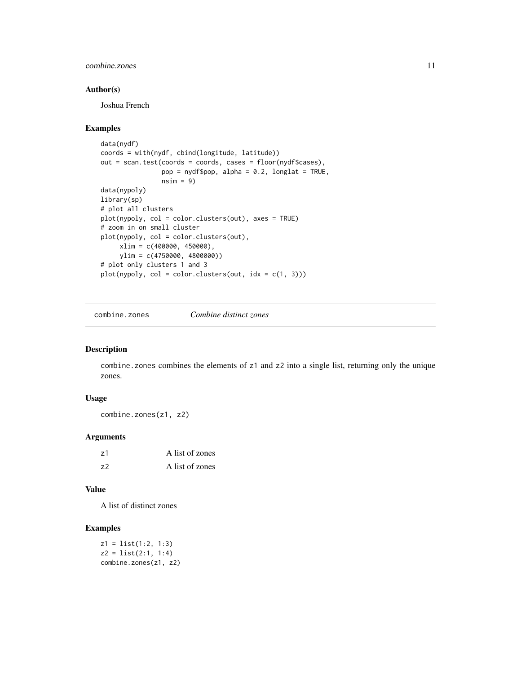<span id="page-10-0"></span>combine.zones 11

#### Author(s)

Joshua French

#### Examples

```
data(nydf)
coords = with(nydf, cbind(longitude, latitude))
out = scan.test(coords = coords, cases = floor(nydf$cases),
               pop = nydf$pop, alpha = 0.2, longlat = TRUE,
               nsim = 9data(nypoly)
library(sp)
# plot all clusters
plot(nypoly, col = color.clusters(out), axes = TRUE)
# zoom in on small cluster
plot(nypoly, col = color.clusters(out),
     xlim = c(400000, 450000),ylim = c(4750000, 4800000))
# plot only clusters 1 and 3
plot(nppoly, col = color.class(out, idx = c(1, 3)))
```
combine.zones *Combine distinct zones*

### Description

combine.zones combines the elements of z1 and z2 into a single list, returning only the unique zones.

### Usage

combine.zones(z1, z2)

### Arguments

| z1 | A list of zones |
|----|-----------------|
| 72 | A list of zones |

#### Value

A list of distinct zones

### Examples

z1 = list(1:2, 1:3)  $z2 = list(2:1, 1:4)$ combine.zones(z1, z2)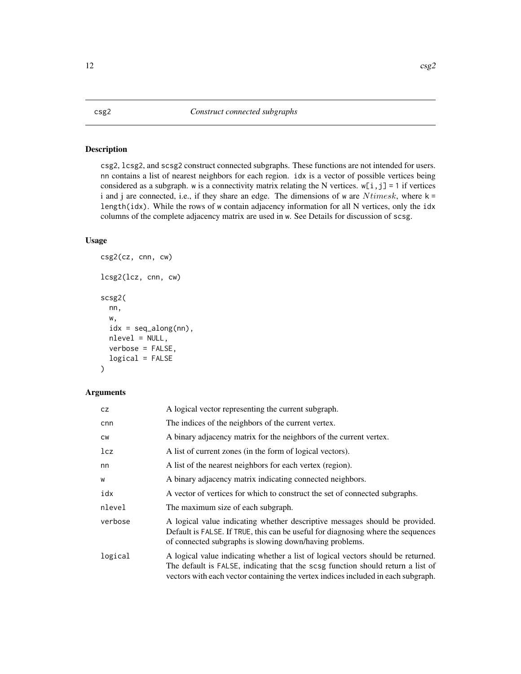<span id="page-11-0"></span>csg2, lcsg2, and scsg2 construct connected subgraphs. These functions are not intended for users. nn contains a list of nearest neighbors for each region. idx is a vector of possible vertices being considered as a subgraph. w is a connectivity matrix relating the N vertices.  $w[i, j] = 1$  if vertices i and j are connected, i.e., if they share an edge. The dimensions of w are  $N times k$ , where  $k =$ length(idx). While the rows of w contain adjacency information for all N vertices, only the idx columns of the complete adjacency matrix are used in w. See Details for discussion of scsg.

### Usage

```
csg2(cz, cnn, cw)
lcsg2(lcz, cnn, cw)
scsg2(
  nn,
  w,
  idx = seq\_along(nn),
  nlevel = NULL,
  verbose = FALSE,
  logical = FALSE
)
```

| CZ.       | A logical vector representing the current subgraph.                                                                                                                                                                                                      |
|-----------|----------------------------------------------------------------------------------------------------------------------------------------------------------------------------------------------------------------------------------------------------------|
| cnn       | The indices of the neighbors of the current vertex.                                                                                                                                                                                                      |
| <b>CW</b> | A binary adjacency matrix for the neighbors of the current vertex.                                                                                                                                                                                       |
| 1cz       | A list of current zones (in the form of logical vectors).                                                                                                                                                                                                |
| nn        | A list of the nearest neighbors for each vertex (region).                                                                                                                                                                                                |
| W         | A binary adjacency matrix indicating connected neighbors.                                                                                                                                                                                                |
| idx       | A vector of vertices for which to construct the set of connected subgraphs.                                                                                                                                                                              |
| nlevel    | The maximum size of each subgraph.                                                                                                                                                                                                                       |
| verbose   | A logical value indicating whether descriptive messages should be provided.<br>Default is FALSE. If TRUE, this can be useful for diagnosing where the sequences<br>of connected subgraphs is slowing down/having problems.                               |
| logical   | A logical value indicating whether a list of logical vectors should be returned.<br>The default is FALSE, indicating that the scsg function should return a list of<br>vectors with each vector containing the vertex indices included in each subgraph. |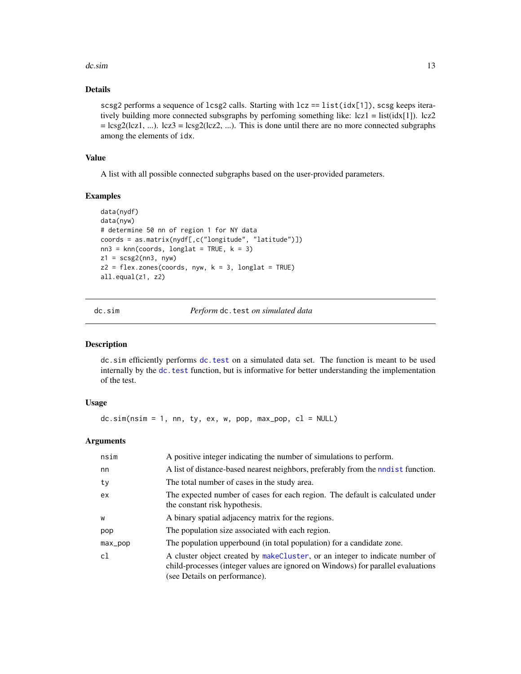#### <span id="page-12-0"></span> $d$ c.sim  $\frac{13}{2}$

### Details

scsg2 performs a sequence of  $lcsg2$  calls. Starting with  $lcz = list(idx[1]), scsg$  keeps iteratively building more connected subsgraphs by perfoming something like: lcz1 = list(idx[1]). lcz2  $=$  lcsg2(lcz1, ...). lcz3 = lcsg2(lcz2, ...). This is done until there are no more connected subgraphs among the elements of idx.

### Value

A list with all possible connected subgraphs based on the user-provided parameters.

### Examples

```
data(nydf)
data(nyw)
# determine 50 nn of region 1 for NY data
coords = as.matrix(nydf[,c("longitude", "latitude")])
nn3 = knn(coords, longlat = TRUE, k = 3)
z1 = scsg2(nn3, nyw)z2 = flex.zones(coords, nyw, k = 3, longlat = TRUE)all.equal(z1, z2)
```
dc.sim *Perform* dc.test *on simulated data*

#### Description

dc.sim efficiently performs [dc.test](#page-13-1) on a simulated data set. The function is meant to be used internally by the dc. test function, but is informative for better understanding the implementation of the test.

### Usage

 $dc.sim(nsim = 1, nn, ty, ex, w, pop, max.pop, c1 = NULL)$ 

| nsim    | A positive integer indicating the number of simulations to perform.                                                                                                                               |
|---------|---------------------------------------------------------------------------------------------------------------------------------------------------------------------------------------------------|
| nn      | A list of distance-based nearest neighbors, preferably from the nodest function.                                                                                                                  |
| ty      | The total number of cases in the study area.                                                                                                                                                      |
| ex      | The expected number of cases for each region. The default is calculated under<br>the constant risk hypothesis.                                                                                    |
| W       | A binary spatial adjacency matrix for the regions.                                                                                                                                                |
| pop     | The population size associated with each region.                                                                                                                                                  |
| max_pop | The population upperbound (in total population) for a candidate zone.                                                                                                                             |
| cl      | A cluster object created by makeCluster, or an integer to indicate number of<br>child-processes (integer values are ignored on Windows) for parallel evaluations<br>(see Details on performance). |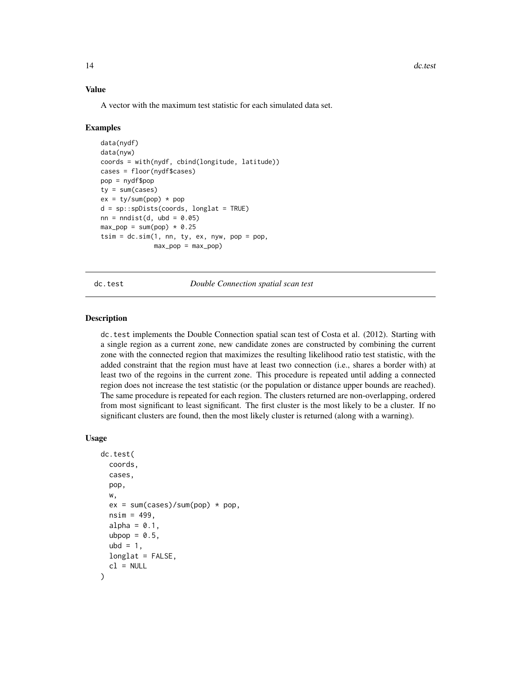### <span id="page-13-0"></span>Value

A vector with the maximum test statistic for each simulated data set.

#### Examples

```
data(nydf)
data(nyw)
coords = with(nydf, cbind(longitude, latitude))
cases = floor(nydf$cases)
pop = nydf$pop
ty = sum(cases)ex = ty/sum(pop) * popd = sp::spDists(coords, longlat = TRUE)
nn = midist(d, ubd = 0.05)max\_pop = sum(pop) * 0.25tsim = dc.sim(1, nn, ty, ex, nyw, pop = pop,max\_pop = max\_pop)
```
<span id="page-13-1"></span>

dc.test *Double Connection spatial scan test*

#### Description

dc.test implements the Double Connection spatial scan test of Costa et al. (2012). Starting with a single region as a current zone, new candidate zones are constructed by combining the current zone with the connected region that maximizes the resulting likelihood ratio test statistic, with the added constraint that the region must have at least two connection (i.e., shares a border with) at least two of the regoins in the current zone. This procedure is repeated until adding a connected region does not increase the test statistic (or the population or distance upper bounds are reached). The same procedure is repeated for each region. The clusters returned are non-overlapping, ordered from most significant to least significant. The first cluster is the most likely to be a cluster. If no significant clusters are found, then the most likely cluster is returned (along with a warning).

#### Usage

```
dc.test(
  coords,
  cases,
  pop,
  w,
  ex = sum(cases)/sum(pop) * pop,nsim = 499,
  alpha = 0.1,
  ubpop = 0.5,
  ubd = 1,
  longlat = FALSE,
  cl = NULL)
```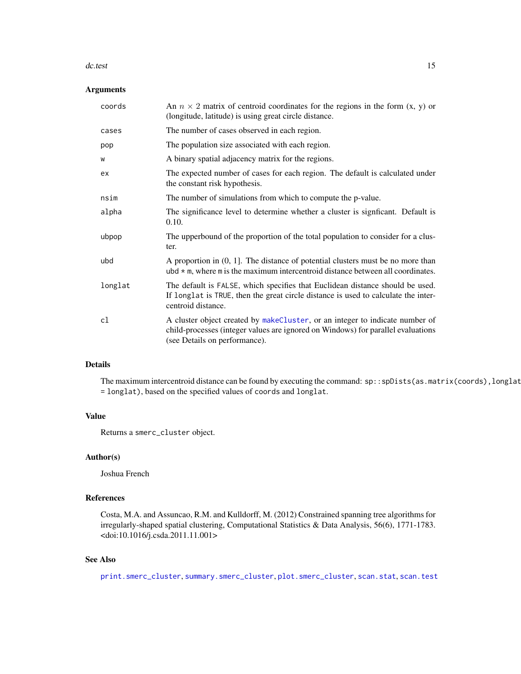#### dc.test 15

### Arguments

| coords  | An $n \times 2$ matrix of centroid coordinates for the regions in the form $(x, y)$ or<br>(longitude, latitude) is using great circle distance.                                                   |
|---------|---------------------------------------------------------------------------------------------------------------------------------------------------------------------------------------------------|
| cases   | The number of cases observed in each region.                                                                                                                                                      |
| pop     | The population size associated with each region.                                                                                                                                                  |
| W       | A binary spatial adjacency matrix for the regions.                                                                                                                                                |
| ex      | The expected number of cases for each region. The default is calculated under<br>the constant risk hypothesis.                                                                                    |
| nsim    | The number of simulations from which to compute the p-value.                                                                                                                                      |
| alpha   | The significance level to determine whether a cluster is signifcant. Default is<br>0.10.                                                                                                          |
| ubpop   | The upperbound of the proportion of the total population to consider for a clus-<br>ter.                                                                                                          |
| ubd     | A proportion in $(0, 1]$ . The distance of potential clusters must be no more than<br>ubd $*$ m, where m is the maximum intercentroid distance between all coordinates.                           |
| longlat | The default is FALSE, which specifies that Euclidean distance should be used.<br>If longlat is TRUE, then the great circle distance is used to calculate the inter-<br>centroid distance.         |
| cl      | A cluster object created by makeCluster, or an integer to indicate number of<br>child-processes (integer values are ignored on Windows) for parallel evaluations<br>(see Details on performance). |

### Details

The maximum intercentroid distance can be found by executing the command: sp::spDists(as.matrix(coords),longlat = longlat), based on the specified values of coords and longlat.

#### Value

Returns a smerc\_cluster object.

#### Author(s)

Joshua French

#### References

Costa, M.A. and Assuncao, R.M. and Kulldorff, M. (2012) Constrained spanning tree algorithms for irregularly-shaped spatial clustering, Computational Statistics & Data Analysis, 56(6), 1771-1783. <doi:10.1016/j.csda.2011.11.001>

### See Also

[print.smerc\\_cluster](#page-76-1), [summary.smerc\\_cluster](#page-98-1), [plot.smerc\\_cluster](#page-73-1), [scan.stat](#page-88-1), [scan.test](#page-89-1)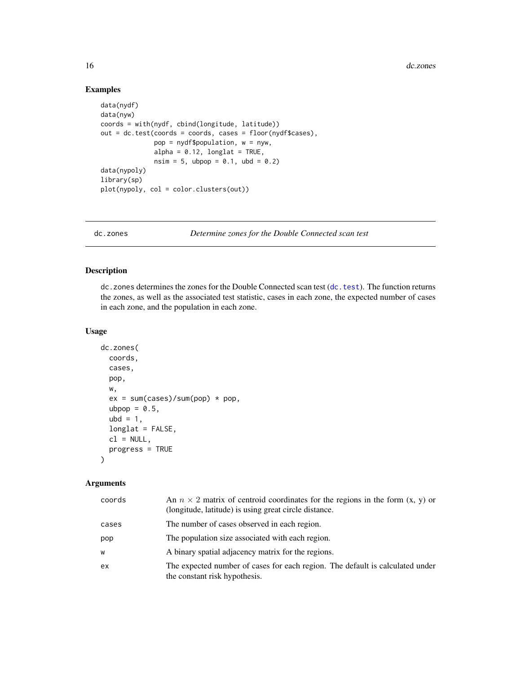### Examples

```
data(nydf)
data(nyw)
coords = with(nydf, cbind(longitude, latitude))
out = dc.test(coords = coords, cases = floor(nydf$cases),
              pop = nydf$population, w = nyw,
              alpha = 0.12, longlat = TRUE,
              nsim = 5, ubpop = 0.1, ubd = 0.2)
data(nypoly)
library(sp)
plot(nypoly, col = color.clusters(out))
```
dc.zones *Determine zones for the Double Connected scan test*

### Description

dc.zones determines the zones for the Double Connected scan test ([dc.test](#page-13-1)). The function returns the zones, as well as the associated test statistic, cases in each zone, the expected number of cases in each zone, and the population in each zone.

### Usage

```
dc.zones(
 coords,
  cases,
  pop,
  w,
  ex = sum(cases)/sum(pop) * pop,ubpop = 0.5,
  ubd = 1,
  longlat = FALSE,
  cl = NULL,progress = TRUE
)
```

| coords | An $n \times 2$ matrix of centroid coordinates for the regions in the form $(x, y)$ or<br>(longitude, latitude) is using great circle distance. |
|--------|-------------------------------------------------------------------------------------------------------------------------------------------------|
| cases  | The number of cases observed in each region.                                                                                                    |
| pop    | The population size associated with each region.                                                                                                |
| W      | A binary spatial adjacency matrix for the regions.                                                                                              |
| ex     | The expected number of cases for each region. The default is calculated under<br>the constant risk hypothesis.                                  |

<span id="page-15-0"></span>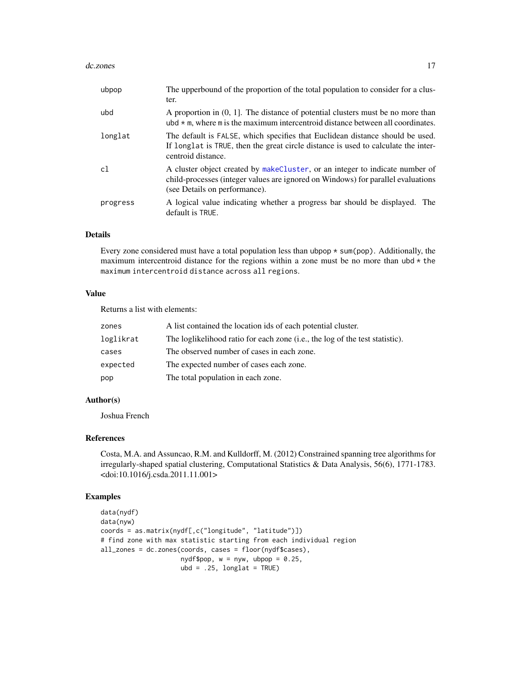#### dc.zones and the contract of the contract of the contract of the contract of the contract of the contract of the contract of the contract of the contract of the contract of the contract of the contract of the contract of t

| ubpop    | The upperbound of the proportion of the total population to consider for a clus-<br>ter.                                                                                                          |
|----------|---------------------------------------------------------------------------------------------------------------------------------------------------------------------------------------------------|
| ubd      | A proportion in $(0, 1]$ . The distance of potential clusters must be no more than<br>ubd $\star$ m, where m is the maximum intercentroid distance between all coordinates.                       |
| longlat  | The default is FALSE, which specifies that Euclidean distance should be used.<br>If longlat is TRUE, then the great circle distance is used to calculate the inter-<br>centroid distance.         |
| c1       | A cluster object created by makeCluster, or an integer to indicate number of<br>child-processes (integer values are ignored on Windows) for parallel evaluations<br>(see Details on performance). |
| progress | A logical value indicating whether a progress bar should be displayed. The<br>default is TRUE.                                                                                                    |

### Details

Every zone considered must have a total population less than ubpop  $*$  sum(pop). Additionally, the maximum intercentroid distance for the regions within a zone must be no more than  $ubd \star th$ maximum intercentroid distance across all regions.

### Value

Returns a list with elements:

| zones     | A list contained the location ids of each potential cluster.                 |
|-----------|------------------------------------------------------------------------------|
| loglikrat | The loglikelihood ratio for each zone (i.e., the log of the test statistic). |
| cases     | The observed number of cases in each zone.                                   |
| expected  | The expected number of cases each zone.                                      |
| pop       | The total population in each zone.                                           |

#### Author(s)

Joshua French

#### References

Costa, M.A. and Assuncao, R.M. and Kulldorff, M. (2012) Constrained spanning tree algorithms for irregularly-shaped spatial clustering, Computational Statistics & Data Analysis, 56(6), 1771-1783. <doi:10.1016/j.csda.2011.11.001>

```
data(nydf)
data(nyw)
coords = as.matrix(nydf[,c("longitude", "latitude")])
# find zone with max statistic starting from each individual region
all_zones = dc.zones(coords, cases = floor(nydf$cases),
                     nydf$pop, w = nyw, ubpop = 0.25,
                     ubd = .25, longlat = TRUE)
```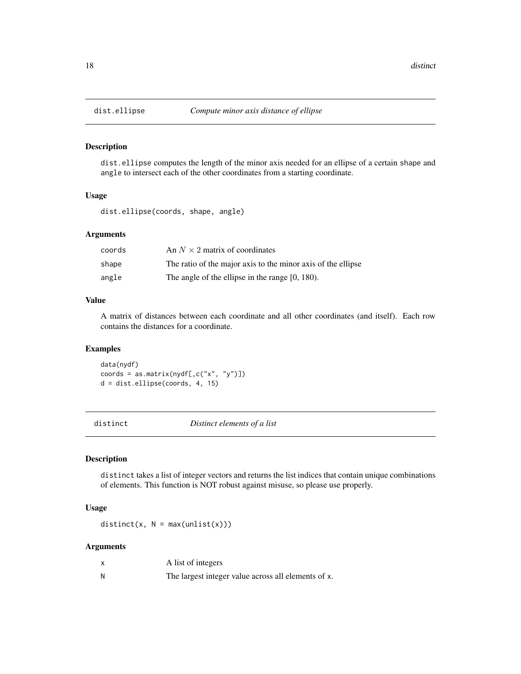dist.ellipse computes the length of the minor axis needed for an ellipse of a certain shape and angle to intersect each of the other coordinates from a starting coordinate.

### Usage

dist.ellipse(coords, shape, angle)

### Arguments

| coords | An $N \times 2$ matrix of coordinates                        |
|--------|--------------------------------------------------------------|
| shape  | The ratio of the major axis to the minor axis of the ellipse |
| angle  | The angle of the ellipse in the range $[0, 180)$ .           |

### Value

A matrix of distances between each coordinate and all other coordinates (and itself). Each row contains the distances for a coordinate.

### Examples

data(nydf) coords = as.matrix(nydf[, $c("x", "y")$ ]) d = dist.ellipse(coords, 4, 15)

distinct *Distinct elements of a list*

### Description

distinct takes a list of integer vectors and returns the list indices that contain unique combinations of elements. This function is NOT robust against misuse, so please use properly.

#### Usage

 $distinct(x, N = max(unlist(x)))$ 

|   | A list of integers                                  |
|---|-----------------------------------------------------|
| Ν | The largest integer value across all elements of x. |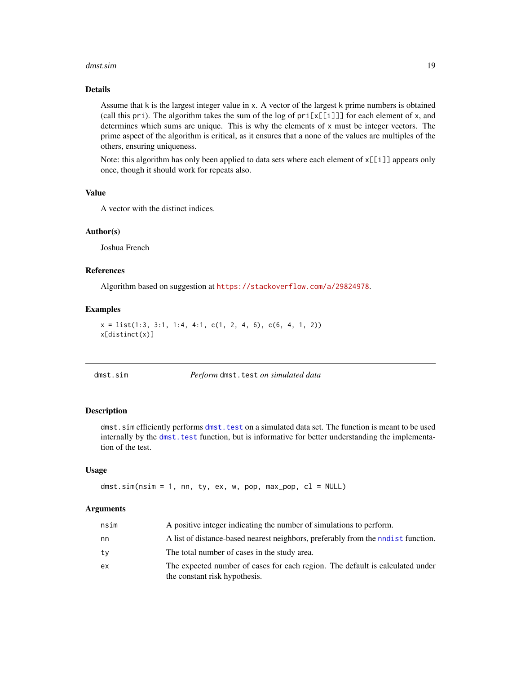#### <span id="page-18-0"></span>dmst.sim and the contract of the contract of the contract of the contract of the contract of the contract of the contract of the contract of the contract of the contract of the contract of the contract of the contract of t

### Details

Assume that k is the largest integer value in x. A vector of the largest k prime numbers is obtained (call this pri). The algorithm takes the sum of the log of  $pri[x[[i]]]$  for each element of x, and determines which sums are unique. This is why the elements of x must be integer vectors. The prime aspect of the algorithm is critical, as it ensures that a none of the values are multiples of the others, ensuring uniqueness.

Note: this algorithm has only been applied to data sets where each element of  $x[[i]]$  appears only once, though it should work for repeats also.

### Value

A vector with the distinct indices.

#### Author(s)

Joshua French

#### References

Algorithm based on suggestion at <https://stackoverflow.com/a/29824978>.

#### Examples

```
x = list(1:3, 3:1, 1:4, 4:1, c(1, 2, 4, 6), c(6, 4, 1, 2))x[distinct(x)]
```
dmst.sim *Perform* dmst.test *on simulated data*

#### Description

dmst. sim efficiently performs dmst. test on a simulated data set. The function is meant to be used internally by the [dmst.test](#page-19-1) function, but is informative for better understanding the implementation of the test.

#### Usage

dmst.sim(nsim = 1, nn, ty, ex, w, pop, max\_pop, cl = NULL)

| nsim | A positive integer indicating the number of simulations to perform.                                            |
|------|----------------------------------------------------------------------------------------------------------------|
| nn   | A list of distance-based nearest neighbors, preferably from the nodest function.                               |
| ty   | The total number of cases in the study area.                                                                   |
| ex   | The expected number of cases for each region. The default is calculated under<br>the constant risk hypothesis. |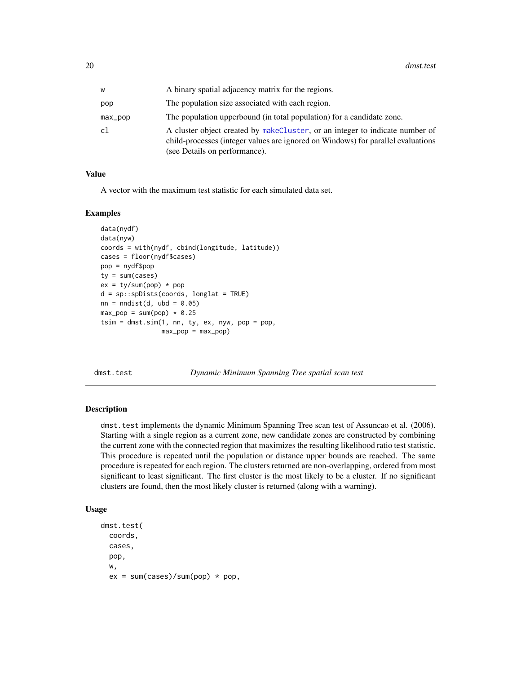<span id="page-19-0"></span>

| w       | A binary spatial adjacency matrix for the regions.                                                                                                                                                |
|---------|---------------------------------------------------------------------------------------------------------------------------------------------------------------------------------------------------|
| pop     | The population size associated with each region.                                                                                                                                                  |
| max_pop | The population upperbound (in total population) for a candidate zone.                                                                                                                             |
| cl      | A cluster object created by makeCluster, or an integer to indicate number of<br>child-processes (integer values are ignored on Windows) for parallel evaluations<br>(see Details on performance). |

#### Value

A vector with the maximum test statistic for each simulated data set.

#### Examples

```
data(nydf)
data(nyw)
coords = with(nydf, cbind(longitude, latitude))
cases = floor(nydf$cases)
pop = nydf$pop
ty = sum(cases)
ex = ty/sum(pop) * popd = sp::spDists(coords, longlat = TRUE)
nn = midist(d, ubd = 0.05)max\_pop = sum(pop) * 0.25tsim = dmst.sim(1, nn, ty, ex, nyw, pop = pop,
                max\_pop = max\_pop)
```
<span id="page-19-1"></span>dmst.test *Dynamic Minimum Spanning Tree spatial scan test*

#### **Description**

dmst.test implements the dynamic Minimum Spanning Tree scan test of Assuncao et al. (2006). Starting with a single region as a current zone, new candidate zones are constructed by combining the current zone with the connected region that maximizes the resulting likelihood ratio test statistic. This procedure is repeated until the population or distance upper bounds are reached. The same procedure is repeated for each region. The clusters returned are non-overlapping, ordered from most significant to least significant. The first cluster is the most likely to be a cluster. If no significant clusters are found, then the most likely cluster is returned (along with a warning).

#### Usage

```
dmst.test(
 coords,
  cases,
 pop,
 w,
  ex = sum(cases)/sum(pop) * pop,
```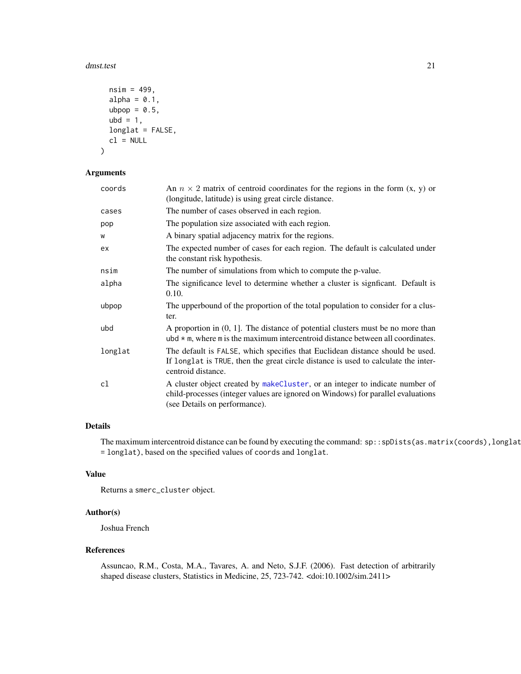#### dmst.test 21

```
nsim = 499,alpha = 0.1,
 ubpop = 0.5,
 ubd = 1,
 longlat = FALSE,
 cl = NULL)
```
### Arguments

| coords  | An $n \times 2$ matrix of centroid coordinates for the regions in the form $(x, y)$ or<br>(longitude, latitude) is using great circle distance.                                                   |
|---------|---------------------------------------------------------------------------------------------------------------------------------------------------------------------------------------------------|
| cases   | The number of cases observed in each region.                                                                                                                                                      |
| pop     | The population size associated with each region.                                                                                                                                                  |
| W       | A binary spatial adjacency matrix for the regions.                                                                                                                                                |
| ex      | The expected number of cases for each region. The default is calculated under<br>the constant risk hypothesis.                                                                                    |
| nsim    | The number of simulations from which to compute the p-value.                                                                                                                                      |
| alpha   | The significance level to determine whether a cluster is significant. Default is<br>0.10.                                                                                                         |
| ubpop   | The upperbound of the proportion of the total population to consider for a clus-<br>ter.                                                                                                          |
| ubd     | A proportion in $(0, 1]$ . The distance of potential clusters must be no more than<br>ubd $\star$ m, where m is the maximum intercentroid distance between all coordinates.                       |
| longlat | The default is FALSE, which specifies that Euclidean distance should be used.<br>If longlat is TRUE, then the great circle distance is used to calculate the inter-<br>centroid distance.         |
| cl      | A cluster object created by makeCluster, or an integer to indicate number of<br>child-processes (integer values are ignored on Windows) for parallel evaluations<br>(see Details on performance). |

### Details

The maximum intercentroid distance can be found by executing the command: sp::spDists(as.matrix(coords),longlat = longlat), based on the specified values of coords and longlat.

### Value

Returns a smerc\_cluster object.

#### Author(s)

Joshua French

#### References

Assuncao, R.M., Costa, M.A., Tavares, A. and Neto, S.J.F. (2006). Fast detection of arbitrarily shaped disease clusters, Statistics in Medicine, 25, 723-742. <doi:10.1002/sim.2411>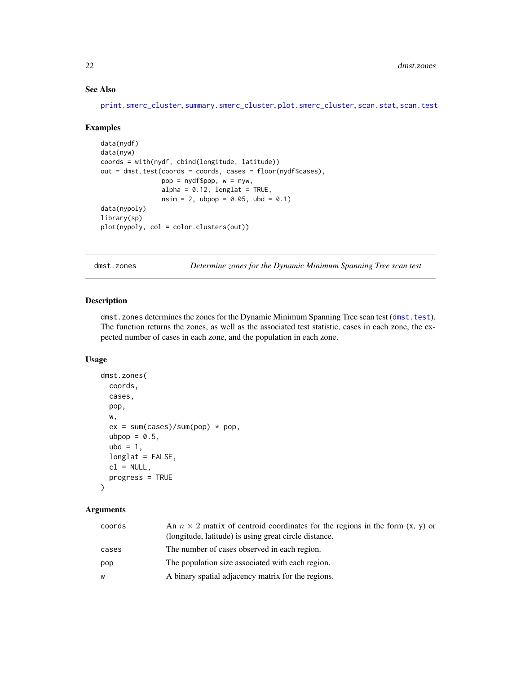### See Also

[print.smerc\\_cluster](#page-76-1), [summary.smerc\\_cluster](#page-98-1), [plot.smerc\\_cluster](#page-73-1), [scan.stat](#page-88-1), [scan.test](#page-89-1)

#### Examples

```
data(nydf)
data(nyw)
coords = with(nydf, cbind(longitude, latitude))
out = dmst.test(coords = coords, cases = floor(nydf$cases),
                pop = nydf$pop, w = nyw,
                alpha = 0.12, longlat = TRUE,
                nsim = 2, ubpop = 0.05, ubd = 0.1)
data(nypoly)
library(sp)
plot(nypoly, col = color.clusters(out))
```
dmst.zones *Determine zones for the Dynamic Minimum Spanning Tree scan test*

### Description

dmst.zones determines the zones for the Dynamic Minimum Spanning Tree scan test ([dmst.test](#page-19-1)). The function returns the zones, as well as the associated test statistic, cases in each zone, the expected number of cases in each zone, and the population in each zone.

### Usage

```
dmst.zones(
  coords,
 cases,
 pop,
 w,
  ex = sum(cases)/sum(pop) * pop,ubpop = 0.5,
 ubd = 1,
  longlat = FALSE,
  cl = NULL,progress = TRUE
\lambda
```

| coords | An $n \times 2$ matrix of centroid coordinates for the regions in the form $(x, y)$ or<br>(longitude, latitude) is using great circle distance. |
|--------|-------------------------------------------------------------------------------------------------------------------------------------------------|
| cases  | The number of cases observed in each region.                                                                                                    |
| pop    | The population size associated with each region.                                                                                                |
| W      | A binary spatial adjacency matrix for the regions.                                                                                              |

<span id="page-21-0"></span>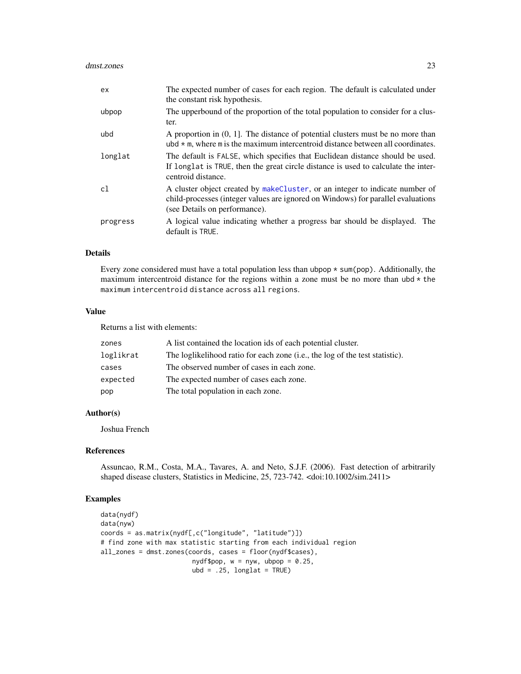| ex.      | The expected number of cases for each region. The default is calculated under<br>the constant risk hypothesis.                                                                                    |
|----------|---------------------------------------------------------------------------------------------------------------------------------------------------------------------------------------------------|
| ubpop    | The upperbound of the proportion of the total population to consider for a clus-<br>ter.                                                                                                          |
| ubd      | A proportion in $(0, 1]$ . The distance of potential clusters must be no more than<br>ubd $*$ m, where m is the maximum intercentroid distance between all coordinates.                           |
| longlat  | The default is FALSE, which specifies that Euclidean distance should be used.<br>If longlat is TRUE, then the great circle distance is used to calculate the inter-<br>centroid distance.         |
| c1       | A cluster object created by makeCluster, or an integer to indicate number of<br>child-processes (integer values are ignored on Windows) for parallel evaluations<br>(see Details on performance). |
| progress | A logical value indicating whether a progress bar should be displayed. The<br>default is TRUE.                                                                                                    |

#### Details

Every zone considered must have a total population less than ubpop  $*$  sum(pop). Additionally, the maximum intercentroid distance for the regions within a zone must be no more than ubd  $*$  the maximum intercentroid distance across all regions.

#### Value

Returns a list with elements:

| zones     | A list contained the location ids of each potential cluster.                 |
|-----------|------------------------------------------------------------------------------|
| loglikrat | The loglikelihood ratio for each zone (i.e., the log of the test statistic). |
| cases     | The observed number of cases in each zone.                                   |
| expected  | The expected number of cases each zone.                                      |
| pop       | The total population in each zone.                                           |

### Author(s)

Joshua French

#### References

Assuncao, R.M., Costa, M.A., Tavares, A. and Neto, S.J.F. (2006). Fast detection of arbitrarily shaped disease clusters, Statistics in Medicine, 25, 723-742. <doi:10.1002/sim.2411>

```
data(nydf)
data(nyw)
coords = as.matrix(nydf[,c("longitude", "latitude")])
# find zone with max statistic starting from each individual region
all_zones = dmst.zones(coords, cases = floor(nydf$cases),
                        nydf$pop, w = nyw, ubpop = 0.25,
                        ubd = .25, longlat = TRUE)
```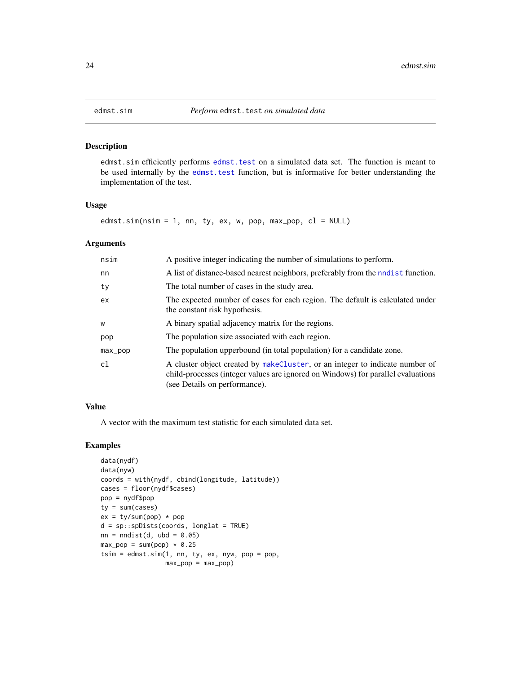edmst.sim efficiently performs [edmst.test](#page-24-1) on a simulated data set. The function is meant to be used internally by the [edmst.test](#page-24-1) function, but is informative for better understanding the implementation of the test.

#### Usage

edmst.sim( $nsim = 1$ , nn, ty, ex, w, pop, max\_pop,  $cl = NULL$ )

#### Arguments

| nsim    | A positive integer indicating the number of simulations to perform.                                                                                                                               |
|---------|---------------------------------------------------------------------------------------------------------------------------------------------------------------------------------------------------|
| nn      | A list of distance-based nearest neighbors, preferably from the nodest function.                                                                                                                  |
| ty      | The total number of cases in the study area.                                                                                                                                                      |
| ex      | The expected number of cases for each region. The default is calculated under<br>the constant risk hypothesis.                                                                                    |
| W       | A binary spatial adjacency matrix for the regions.                                                                                                                                                |
| pop     | The population size associated with each region.                                                                                                                                                  |
| max_pop | The population upperbound (in total population) for a candidate zone.                                                                                                                             |
| c1      | A cluster object created by makeCluster, or an integer to indicate number of<br>child-processes (integer values are ignored on Windows) for parallel evaluations<br>(see Details on performance). |

### Value

A vector with the maximum test statistic for each simulated data set.

```
data(nydf)
data(nyw)
coords = with(nydf, cbind(longitude, latitude))
cases = floor(nydf$cases)
pop = nydf$pop
ty = sum(cases)ex = ty/sum(pop) * popd = sp::spDists(coords, longlat = TRUE)
nn = midist(d, ubd = 0.05)max\_pop = sum(pop) * 0.25tsim = edmst.sim(1, nn, ty, ex, nyw, pop = pop,
                 max\_pop = max\_pop)
```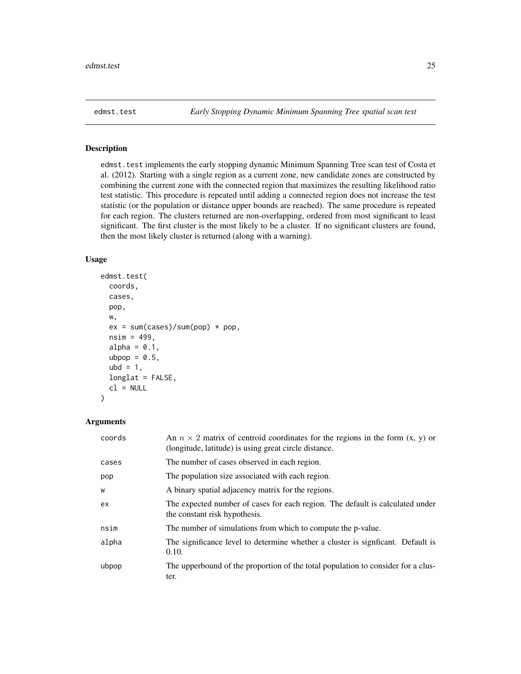<span id="page-24-1"></span><span id="page-24-0"></span>edmst.test implements the early stopping dynamic Minimum Spanning Tree scan test of Costa et al. (2012). Starting with a single region as a current zone, new candidate zones are constructed by combining the current zone with the connected region that maximizes the resulting likelihood ratio test statistic. This procedure is repeated until adding a connected region does not increase the test statistic (or the population or distance upper bounds are reached). The same procedure is repeated for each region. The clusters returned are non-overlapping, ordered from most significant to least significant. The first cluster is the most likely to be a cluster. If no significant clusters are found, then the most likely cluster is returned (along with a warning).

#### Usage

```
edmst.test(
  coords,
  cases,
  pop,
  w,
  ex = sum(cases)/sum(pop) * pop,nsim = 499,alpha = 0.1,
  ubpop = 0.5,
  ubd = 1,
  longlat = FALSE,
  cl = NULL\mathcal{E}
```

| coords | An $n \times 2$ matrix of centroid coordinates for the regions in the form $(x, y)$ or<br>(longitude, latitude) is using great circle distance. |
|--------|-------------------------------------------------------------------------------------------------------------------------------------------------|
| cases  | The number of cases observed in each region.                                                                                                    |
| pop    | The population size associated with each region.                                                                                                |
| W      | A binary spatial adjacency matrix for the regions.                                                                                              |
| ex     | The expected number of cases for each region. The default is calculated under<br>the constant risk hypothesis.                                  |
| nsim   | The number of simulations from which to compute the p-value.                                                                                    |
| alpha  | The significance level to determine whether a cluster is significant. Default is<br>0.10.                                                       |
| ubpop  | The upperbound of the proportion of the total population to consider for a clus-<br>ter.                                                        |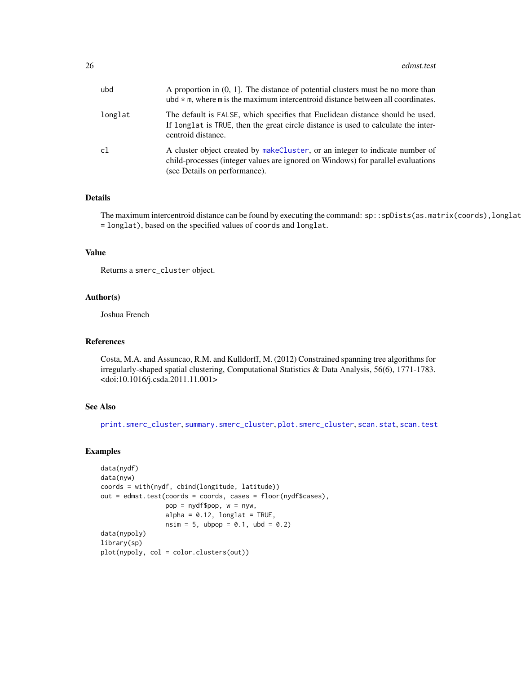26 edmst.test

| ubd     | A proportion in $(0, 1]$ . The distance of potential clusters must be no more than<br>ubd $\star$ m, where m is the maximum intercentroid distance between all coordinates.                       |
|---------|---------------------------------------------------------------------------------------------------------------------------------------------------------------------------------------------------|
| longlat | The default is FALSE, which specifies that Euclidean distance should be used.<br>If longlat is TRUE, then the great circle distance is used to calculate the inter-<br>centroid distance.         |
| c1      | A cluster object created by makeCluster, or an integer to indicate number of<br>child-processes (integer values are ignored on Windows) for parallel evaluations<br>(see Details on performance). |

### Details

The maximum intercentroid distance can be found by executing the command: sp::spDists(as.matrix(coords), longlat = longlat), based on the specified values of coords and longlat.

### Value

Returns a smerc\_cluster object.

#### Author(s)

Joshua French

### References

Costa, M.A. and Assuncao, R.M. and Kulldorff, M. (2012) Constrained spanning tree algorithms for irregularly-shaped spatial clustering, Computational Statistics & Data Analysis, 56(6), 1771-1783. <doi:10.1016/j.csda.2011.11.001>

### See Also

[print.smerc\\_cluster](#page-76-1), [summary.smerc\\_cluster](#page-98-1), [plot.smerc\\_cluster](#page-73-1), [scan.stat](#page-88-1), [scan.test](#page-89-1)

```
data(nydf)
data(nyw)
coords = with(nydf, cbind(longitude, latitude))
out = edmst.test(coords = coords, cases = floor(nydf$cases),
                 pop = nydf$pop, w = nyw,
                 alpha = 0.12, longlat = TRUE,
                 nsim = 5, ubpop = 0.1, ubd = 0.2)
data(nypoly)
library(sp)
plot(nypoly, col = color.clusters(out))
```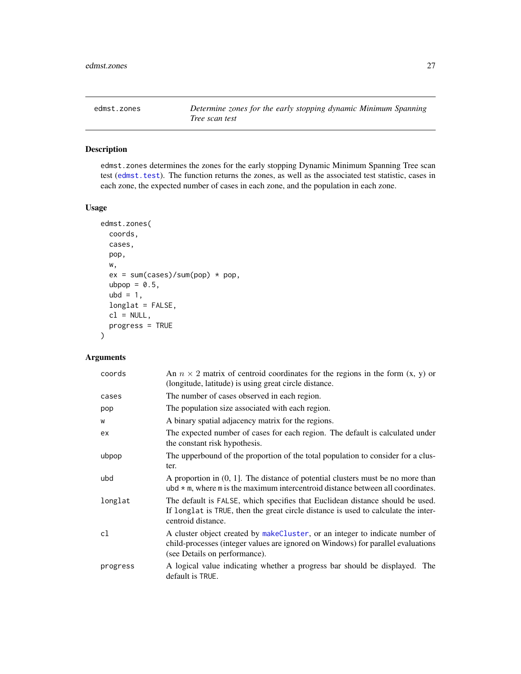<span id="page-26-0"></span>

edmst.zones determines the zones for the early stopping Dynamic Minimum Spanning Tree scan test ([edmst.test](#page-24-1)). The function returns the zones, as well as the associated test statistic, cases in each zone, the expected number of cases in each zone, and the population in each zone.

### Usage

```
edmst.zones(
  coords,
  cases,
 pop,
 w,
  ex = sum(cases)/sum(pop) * pop,ubpop = 0.5,
  ubd = 1,
  longlat = FALSE,
  cl = NULL,progress = TRUE
\mathcal{L}
```

| coords   | An $n \times 2$ matrix of centroid coordinates for the regions in the form $(x, y)$ or<br>(longitude, latitude) is using great circle distance.                                                    |
|----------|----------------------------------------------------------------------------------------------------------------------------------------------------------------------------------------------------|
| cases    | The number of cases observed in each region.                                                                                                                                                       |
| pop      | The population size associated with each region.                                                                                                                                                   |
| W        | A binary spatial adjacency matrix for the regions.                                                                                                                                                 |
| ex       | The expected number of cases for each region. The default is calculated under<br>the constant risk hypothesis.                                                                                     |
| ubpop    | The upperbound of the proportion of the total population to consider for a clus-<br>ter.                                                                                                           |
| ubd      | A proportion in $(0, 1]$ . The distance of potential clusters must be no more than<br>ubd $*$ m, where m is the maximum intercentroid distance between all coordinates.                            |
| longlat  | The default is FALSE, which specifies that Euclidean distance should be used.<br>If longlat is TRUE, then the great circle distance is used to calculate the inter-<br>centroid distance.          |
| cl       | A cluster object created by make Cluster, or an integer to indicate number of<br>child-processes (integer values are ignored on Windows) for parallel evaluations<br>(see Details on performance). |
| progress | A logical value indicating whether a progress bar should be displayed. The<br>default is TRUE.                                                                                                     |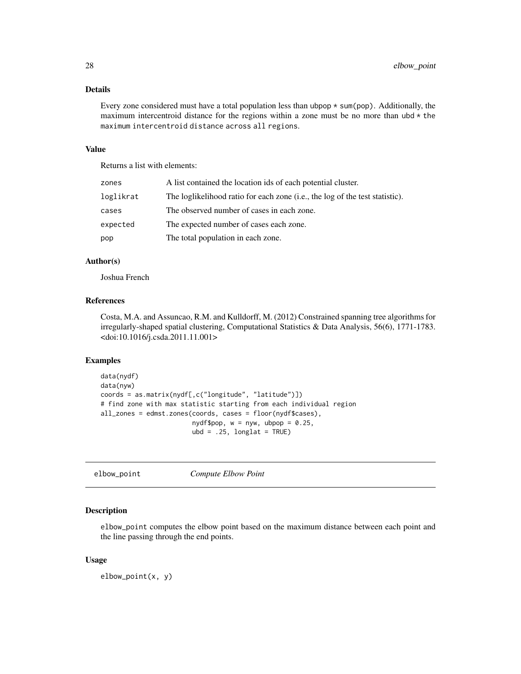### <span id="page-27-0"></span>Details

Every zone considered must have a total population less than ubpop  $*$  sum(pop). Additionally, the maximum intercentroid distance for the regions within a zone must be no more than  $ubd \star$  the maximum intercentroid distance across all regions.

### Value

Returns a list with elements:

| zones     | A list contained the location ids of each potential cluster.                 |
|-----------|------------------------------------------------------------------------------|
| loglikrat | The loglikelihood ratio for each zone (i.e., the log of the test statistic). |
| cases     | The observed number of cases in each zone.                                   |
| expected  | The expected number of cases each zone.                                      |
| pop       | The total population in each zone.                                           |

### Author(s)

Joshua French

#### References

Costa, M.A. and Assuncao, R.M. and Kulldorff, M. (2012) Constrained spanning tree algorithms for irregularly-shaped spatial clustering, Computational Statistics & Data Analysis, 56(6), 1771-1783. <doi:10.1016/j.csda.2011.11.001>

### Examples

```
data(nydf)
data(nyw)
coords = as.matrix(nydf[,c("longitude", "latitude")])
# find zone with max statistic starting from each individual region
all_zones = edmst.zones(coords, cases = floor(nydf$cases),
                       nydf$pop, w = nyw, ubpop = 0.25,
                        ubd = .25, longlat = TRUE)
```
elbow\_point *Compute Elbow Point*

### Description

elbow\_point computes the elbow point based on the maximum distance between each point and the line passing through the end points.

#### Usage

elbow\_point(x, y)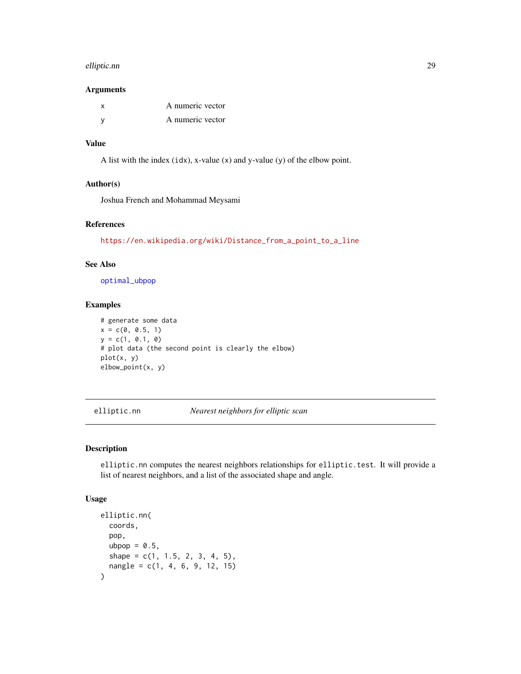#### <span id="page-28-0"></span>elliptic.nn 29

#### Arguments

| A numeric vector |
|------------------|
| A numeric vector |

#### Value

A list with the index  $(idx)$ , x-value  $(x)$  and y-value  $(y)$  of the elbow point.

#### Author(s)

Joshua French and Mohammad Meysami

### References

[https://en.wikipedia.org/wiki/Distance\\_from\\_a\\_point\\_to\\_a\\_line](https://en.wikipedia.org/wiki/Distance_from_a_point_to_a_line)

### See Also

[optimal\\_ubpop](#page-71-1)

### Examples

```
# generate some data
x = c(0, 0.5, 1)y = c(1, 0.1, 0)# plot data (the second point is clearly the elbow)
plot(x, y)
elbow_point(x, y)
```
<span id="page-28-1"></span>elliptic.nn *Nearest neighbors for elliptic scan*

### Description

elliptic.nn computes the nearest neighbors relationships for elliptic.test. It will provide a list of nearest neighbors, and a list of the associated shape and angle.

#### Usage

```
elliptic.nn(
  coords,
  pop,
  ubpop = 0.5,
  shape = c(1, 1.5, 2, 3, 4, 5),
  nangle = c(1, 4, 6, 9, 12, 15)
)
```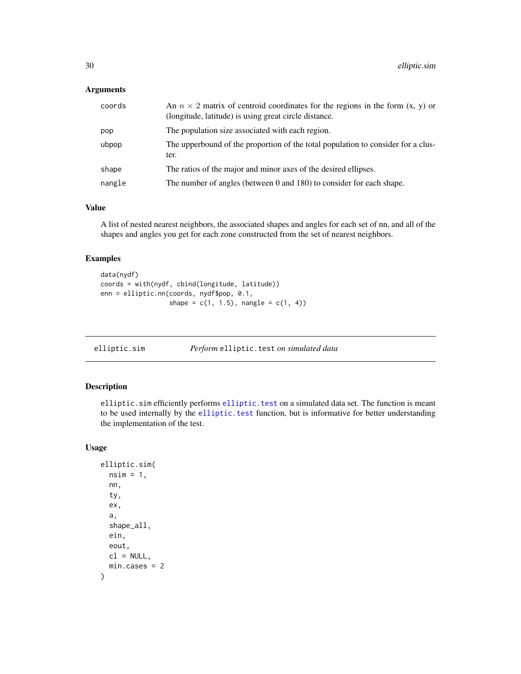### <span id="page-29-0"></span>Arguments

| coords | An $n \times 2$ matrix of centroid coordinates for the regions in the form $(x, y)$ or<br>(longitude, latitude) is using great circle distance. |
|--------|-------------------------------------------------------------------------------------------------------------------------------------------------|
| pop    | The population size associated with each region.                                                                                                |
| ubpop  | The upperbound of the proportion of the total population to consider for a clus-<br>ter.                                                        |
| shape  | The ratios of the major and minor axes of the desired ellipses.                                                                                 |
| nangle | The number of angles (between 0 and 180) to consider for each shape.                                                                            |

#### Value

A list of nested nearest neighbors, the associated shapes and angles for each set of nn, and all of the shapes and angles you get for each zone constructed from the set of nearest neighbors.

### Examples

```
data(nydf)
coords = with(nydf, cbind(longitude, latitude))
enn = elliptic.nn(coords, nydf$pop, 0.1,
                  shape = c(1, 1.5), nangle = c(1, 4))
```
elliptic.sim *Perform* elliptic.test *on simulated data*

### Description

elliptic.sim efficiently performs [elliptic.test](#page-31-1) on a simulated data set. The function is meant to be used internally by the [elliptic.test](#page-31-1) function, but is informative for better understanding the implementation of the test.

### Usage

```
elliptic.sim(
  nsim = 1,
  nn,
  ty,
  ex,
  a,
  shape_all,
  ein,
  eout,
 cl = NULL,min.cases = 2
)
```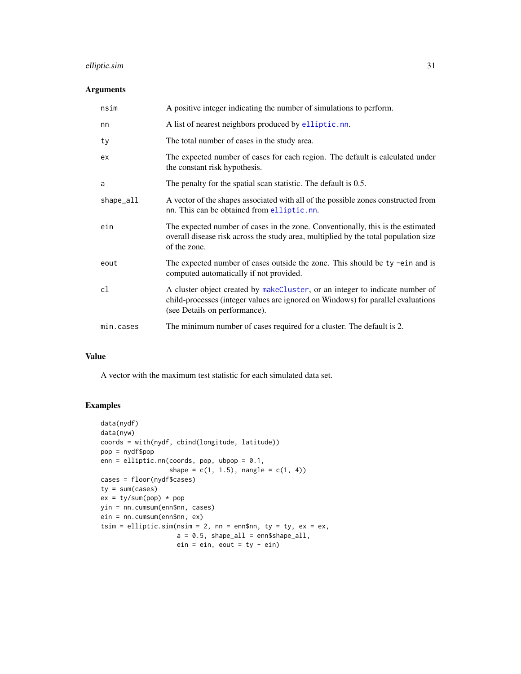### elliptic.sim 31

#### Arguments

| nsim      | A positive integer indicating the number of simulations to perform.                                                                                                                               |
|-----------|---------------------------------------------------------------------------------------------------------------------------------------------------------------------------------------------------|
| nn        | A list of nearest neighbors produced by elliptic.nn.                                                                                                                                              |
| ty        | The total number of cases in the study area.                                                                                                                                                      |
| ex        | The expected number of cases for each region. The default is calculated under<br>the constant risk hypothesis.                                                                                    |
| a         | The penalty for the spatial scan statistic. The default is 0.5.                                                                                                                                   |
| shape_all | A vector of the shapes associated with all of the possible zones constructed from<br>nn. This can be obtained from elliptic.nn.                                                                   |
| ein       | The expected number of cases in the zone. Conventionally, this is the estimated<br>overall disease risk across the study area, multiplied by the total population size<br>of the zone.            |
| eout      | The expected number of cases outside the zone. This should be ty -ein and is<br>computed automatically if not provided.                                                                           |
| cl        | A cluster object created by makeCluster, or an integer to indicate number of<br>child-processes (integer values are ignored on Windows) for parallel evaluations<br>(see Details on performance). |
| min.cases | The minimum number of cases required for a cluster. The default is 2.                                                                                                                             |

### Value

A vector with the maximum test statistic for each simulated data set.

```
data(nydf)
data(nyw)
coords = with(nydf, cbind(longitude, latitude))
pop = nydf$pop
enn = elliptic.nn(coords, pop, ubpop = 0.1,
                 shape = c(1, 1.5), nangle = c(1, 4))
cases = floor(nydf$cases)
ty = sum(cases)ex = ty/sum(pop) * popyin = nn.cumsum(enn$nn, cases)
ein = nn.cumsum(enn$nn, ex)
tsim = elliptic.sim(nsim = 2, nn = enn$nn, ty = ty, ex = ex,
                   a = 0.5, shape_all = enn$shape_all,
                   ein = ein, eout = ty - ein)
```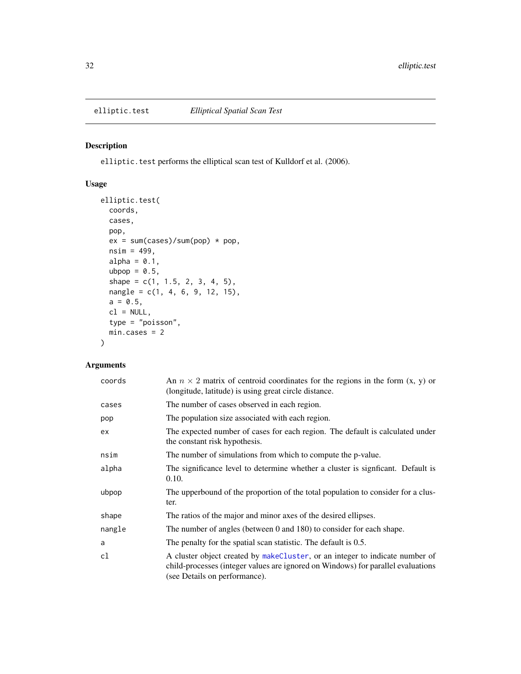<span id="page-31-1"></span><span id="page-31-0"></span>

elliptic.test performs the elliptical scan test of Kulldorf et al. (2006).

### Usage

```
elliptic.test(
 coords,
 cases,
 pop,
 ex = sum(cases)/sum(pop) * pop,nsim = 499,alpha = 0.1,
 ubpop = 0.5,
 shape = c(1, 1.5, 2, 3, 4, 5),
 nangle = c(1, 4, 6, 9, 12, 15),
 a = 0.5,
 cl = NULL,type = "poisson",
 min.cases = 2
)
```

| coords | An $n \times 2$ matrix of centroid coordinates for the regions in the form $(x, y)$ or<br>(longitude, latitude) is using great circle distance.                                                    |
|--------|----------------------------------------------------------------------------------------------------------------------------------------------------------------------------------------------------|
| cases  | The number of cases observed in each region.                                                                                                                                                       |
| pop    | The population size associated with each region.                                                                                                                                                   |
| ex     | The expected number of cases for each region. The default is calculated under<br>the constant risk hypothesis.                                                                                     |
| nsim   | The number of simulations from which to compute the p-value.                                                                                                                                       |
| alpha  | The significance level to determine whether a cluster is significant. Default is<br>0.10.                                                                                                          |
| ubpop  | The upperbound of the proportion of the total population to consider for a clus-<br>ter.                                                                                                           |
| shape  | The ratios of the major and minor axes of the desired ellipses.                                                                                                                                    |
| nangle | The number of angles (between 0 and 180) to consider for each shape.                                                                                                                               |
| a      | The penalty for the spatial scan statistic. The default is 0.5.                                                                                                                                    |
| cl     | A cluster object created by make Cluster, or an integer to indicate number of<br>child-processes (integer values are ignored on Windows) for parallel evaluations<br>(see Details on performance). |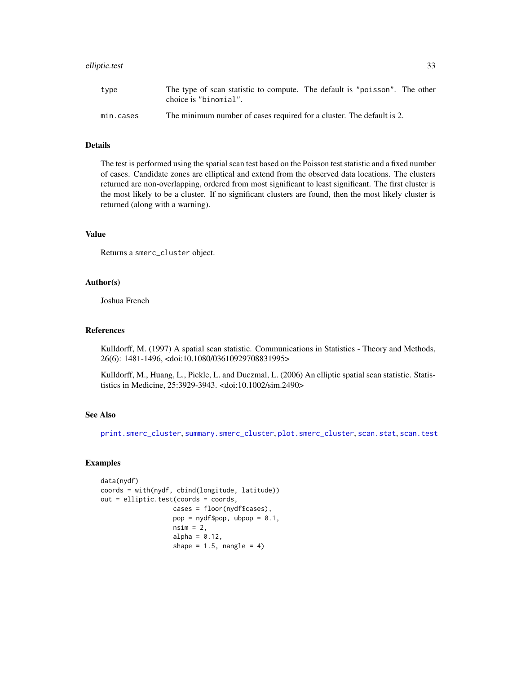#### elliptic.test 33

### Details

The test is performed using the spatial scan test based on the Poisson test statistic and a fixed number of cases. Candidate zones are elliptical and extend from the observed data locations. The clusters returned are non-overlapping, ordered from most significant to least significant. The first cluster is the most likely to be a cluster. If no significant clusters are found, then the most likely cluster is returned (along with a warning).

### Value

Returns a smerc\_cluster object.

#### Author(s)

Joshua French

#### References

Kulldorff, M. (1997) A spatial scan statistic. Communications in Statistics - Theory and Methods, 26(6): 1481-1496, <doi:10.1080/03610929708831995>

Kulldorff, M., Huang, L., Pickle, L. and Duczmal, L. (2006) An elliptic spatial scan statistic. Statististics in Medicine, 25:3929-3943. <doi:10.1002/sim.2490>

#### See Also

[print.smerc\\_cluster](#page-76-1), [summary.smerc\\_cluster](#page-98-1), [plot.smerc\\_cluster](#page-73-1), [scan.stat](#page-88-1), [scan.test](#page-89-1)

```
data(nydf)
coords = with(nydf, cbind(longitude, latitude))
out = elliptic.test(coords = coords,
                   cases = floor(nydf$cases),
                   pop = nydf$pop, ubpop = 0.1,
                   nsim = 2,alpha = 0.12,
                   shape = 1.5, nangle = 4)
```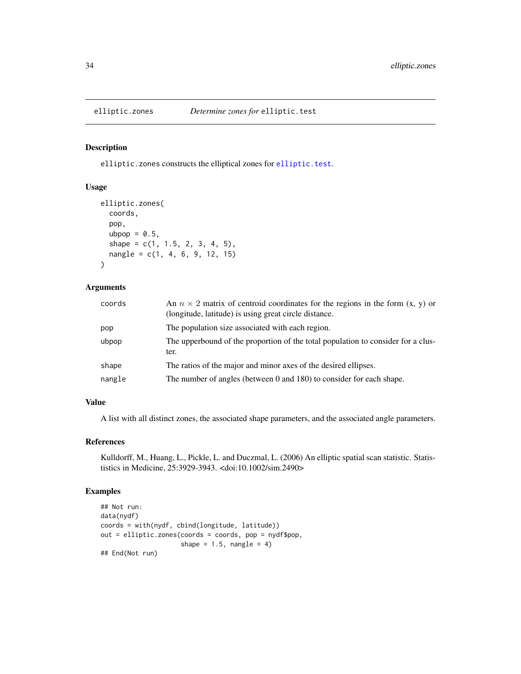<span id="page-33-0"></span>

elliptic.zones constructs the elliptical zones for [elliptic.test](#page-31-1).

### Usage

```
elliptic.zones(
  coords,
  pop,
  ubpop = 0.5,
  shape = c(1, 1.5, 2, 3, 4, 5),
  nangle = c(1, 4, 6, 9, 12, 15))
```
### Arguments

| coords | An $n \times 2$ matrix of centroid coordinates for the regions in the form $(x, y)$ or<br>(longitude, latitude) is using great circle distance. |
|--------|-------------------------------------------------------------------------------------------------------------------------------------------------|
| pop    | The population size associated with each region.                                                                                                |
| ubpop  | The upperbound of the proportion of the total population to consider for a clus-<br>ter.                                                        |
| shape  | The ratios of the major and minor axes of the desired ellipses.                                                                                 |
| nangle | The number of angles (between 0 and 180) to consider for each shape.                                                                            |

### Value

A list with all distinct zones, the associated shape parameters, and the associated angle parameters.

#### References

Kulldorff, M., Huang, L., Pickle, L. and Duczmal, L. (2006) An elliptic spatial scan statistic. Statististics in Medicine, 25:3929-3943. <doi:10.1002/sim.2490>

```
## Not run:
data(nydf)
coords = with(nydf, cbind(longitude, latitude))
out = elliptic.zones(coords = coords, pop = nydf$pop,
                     shape = 1.5, nangle = 4)
## End(Not run)
```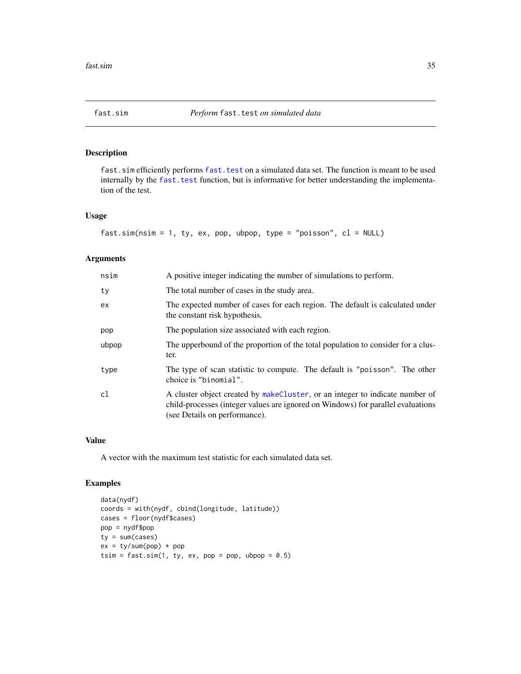<span id="page-34-0"></span>

fast. sim efficiently performs fast. test on a simulated data set. The function is meant to be used internally by the [fast.test](#page-35-1) function, but is informative for better understanding the implementation of the test.

### Usage

fast.sim(nsim = 1, ty, ex, pop, ubpop, type = "poisson", cl = NULL)

### Arguments

| nsim  | A positive integer indicating the number of simulations to perform.                                                                                                                                |
|-------|----------------------------------------------------------------------------------------------------------------------------------------------------------------------------------------------------|
| ty    | The total number of cases in the study area.                                                                                                                                                       |
| ex    | The expected number of cases for each region. The default is calculated under<br>the constant risk hypothesis.                                                                                     |
| pop   | The population size associated with each region.                                                                                                                                                   |
| ubpop | The upperbound of the proportion of the total population to consider for a clus-<br>ter.                                                                                                           |
| type  | The type of scan statistic to compute. The default is "poisson". The other<br>choice is "binomial".                                                                                                |
| cl    | A cluster object created by make Cluster, or an integer to indicate number of<br>child-processes (integer values are ignored on Windows) for parallel evaluations<br>(see Details on performance). |

#### Value

A vector with the maximum test statistic for each simulated data set.

```
data(nydf)
coords = with(nydf, cbind(longitude, latitude))
cases = floor(nydf$cases)
pop = nydf$pop
ty = sum(cases)ex = ty/sum(pop) * poptsim = fast.sim(1, ty, ex, pop = pop, ubpop = 0.5)
```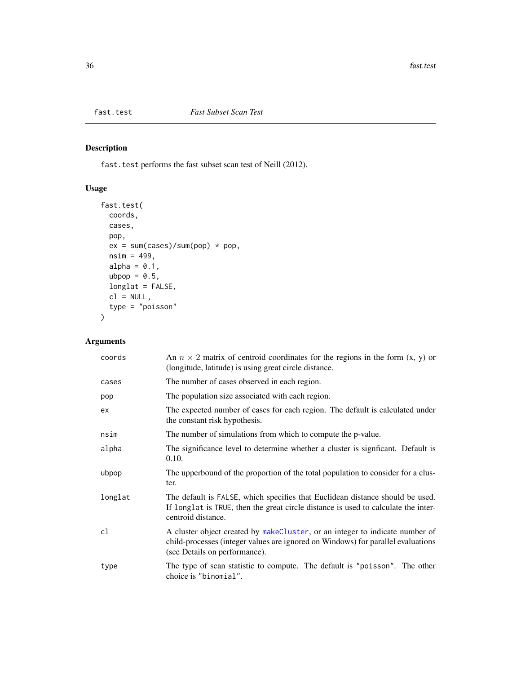<span id="page-35-1"></span><span id="page-35-0"></span>

fast.test performs the fast subset scan test of Neill (2012).

### Usage

```
fast.test(
 coords,
 cases,
 pop,
 ex = sum(cases)/sum(pop) * pop,nsim = 499,alpha = 0.1,
 ubpop = 0.5,
 longlat = FALSE,
 cl = NULL,type = "poisson"
)
```

| coords  | An $n \times 2$ matrix of centroid coordinates for the regions in the form $(x, y)$ or<br>(longitude, latitude) is using great circle distance.                                                   |
|---------|---------------------------------------------------------------------------------------------------------------------------------------------------------------------------------------------------|
| cases   | The number of cases observed in each region.                                                                                                                                                      |
| pop     | The population size associated with each region.                                                                                                                                                  |
| ex      | The expected number of cases for each region. The default is calculated under<br>the constant risk hypothesis.                                                                                    |
| nsim    | The number of simulations from which to compute the p-value.                                                                                                                                      |
| alpha   | The significance level to determine whether a cluster is significant. Default is<br>0.10.                                                                                                         |
| ubpop   | The upperbound of the proportion of the total population to consider for a clus-<br>ter.                                                                                                          |
| longlat | The default is FALSE, which specifies that Euclidean distance should be used.<br>If longlat is TRUE, then the great circle distance is used to calculate the inter-<br>centroid distance.         |
| cl      | A cluster object created by makeCluster, or an integer to indicate number of<br>child-processes (integer values are ignored on Windows) for parallel evaluations<br>(see Details on performance). |
| type    | The type of scan statistic to compute. The default is "poisson". The other<br>choice is "binomial".                                                                                               |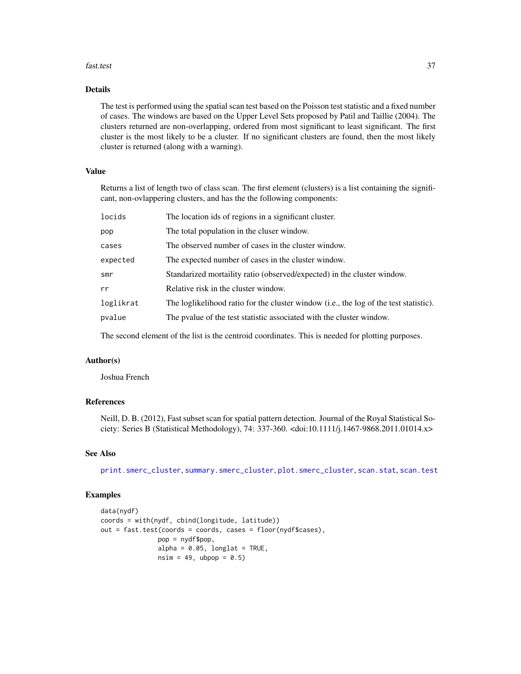#### fast.test 37

## Details

The test is performed using the spatial scan test based on the Poisson test statistic and a fixed number of cases. The windows are based on the Upper Level Sets proposed by Patil and Taillie (2004). The clusters returned are non-overlapping, ordered from most significant to least significant. The first cluster is the most likely to be a cluster. If no significant clusters are found, then the most likely cluster is returned (along with a warning).

# Value

Returns a list of length two of class scan. The first element (clusters) is a list containing the significant, non-ovlappering clusters, and has the the following components:

| locids    | The location ids of regions in a significant cluster.                                 |
|-----------|---------------------------------------------------------------------------------------|
| pop       | The total population in the cluser window.                                            |
| cases     | The observed number of cases in the cluster window.                                   |
| expected  | The expected number of cases in the cluster window.                                   |
| smr       | Standarized mortaility ratio (observed/expected) in the cluster window.               |
| rr        | Relative risk in the cluster window.                                                  |
| loglikrat | The loglikelihood ratio for the cluster window (i.e., the log of the test statistic). |
| pvalue    | The pvalue of the test statistic associated with the cluster window.                  |
|           |                                                                                       |

The second element of the list is the centroid coordinates. This is needed for plotting purposes.

# Author(s)

Joshua French

# References

Neill, D. B. (2012), Fast subset scan for spatial pattern detection. Journal of the Royal Statistical Society: Series B (Statistical Methodology), 74: 337-360. <doi:10.1111/j.1467-9868.2011.01014.x>

# See Also

[print.smerc\\_cluster](#page-76-0), [summary.smerc\\_cluster](#page-98-0), [plot.smerc\\_cluster](#page-73-0), [scan.stat](#page-88-0), [scan.test](#page-89-0)

```
data(nydf)
coords = with(nydf, cbind(longitude, latitude))
out = fast.test(coords = coords, cases = floor(nydf$cases),
               pop = nydf$pop,
               alpha = 0.05, longlat = TRUE,
               nsim = 49, ubpop = 0.5)
```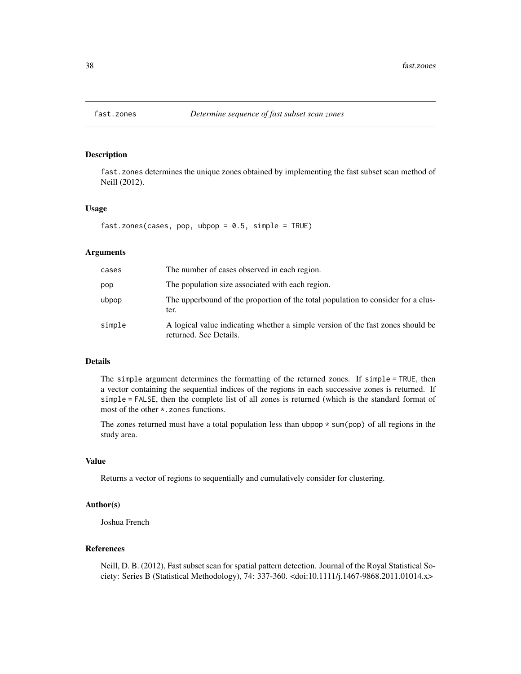fast.zones determines the unique zones obtained by implementing the fast subset scan method of Neill (2012).

#### Usage

```
fast.zones(cases, pop, ubpop = 0.5, simple = TRUE)
```
# Arguments

| cases  | The number of cases observed in each region.                                                              |
|--------|-----------------------------------------------------------------------------------------------------------|
| pop    | The population size associated with each region.                                                          |
| ubpop  | The upperbound of the proportion of the total population to consider for a clus-<br>ter.                  |
| simple | A logical value indicating whether a simple version of the fast zones should be<br>returned. See Details. |

#### Details

The simple argument determines the formatting of the returned zones. If simple = TRUE, then a vector containing the sequential indices of the regions in each successive zones is returned. If simple = FALSE, then the complete list of all zones is returned (which is the standard format of most of the other \*.zones functions.

The zones returned must have a total population less than ubpop  $* \text{sum}(pop)$  of all regions in the study area.

## Value

Returns a vector of regions to sequentially and cumulatively consider for clustering.

## Author(s)

Joshua French

## References

Neill, D. B. (2012), Fast subset scan for spatial pattern detection. Journal of the Royal Statistical Society: Series B (Statistical Methodology), 74: 337-360. <doi:10.1111/j.1467-9868.2011.01014.x>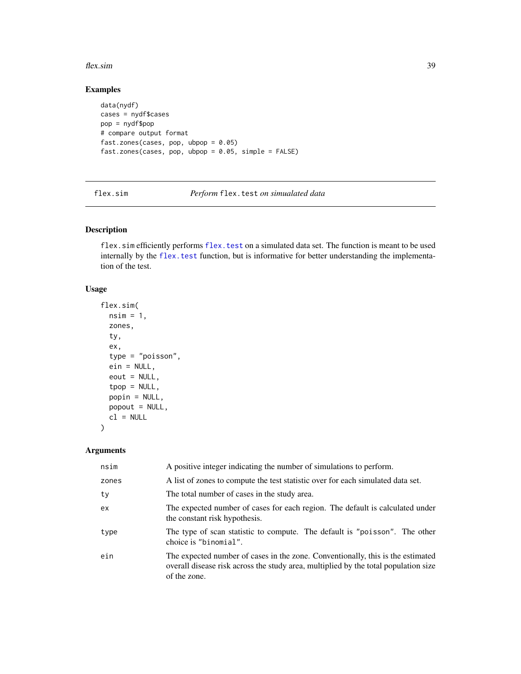#### flex.sim 39

# Examples

```
data(nydf)
cases = nydf$cases
pop = nydf$pop
# compare output format
fast.zones(cases, pop, ubpop = 0.05)
fast.zones(cases, pop, ubpop = 0.05, simple = FALSE)
```
flex.sim *Perform* flex.test *on simualated data*

# Description

flex.sim efficiently performs [flex.test](#page-39-0) on a simulated data set. The function is meant to be used internally by the flex. test function, but is informative for better understanding the implementation of the test.

## Usage

```
flex.sim(
 nsim = 1,
  zones,
  ty,
  ex,
  type = "poisson",
  ein = NULL,
  eout = NULL,
  top = NULL,popin = NULL,
 popout = NULL,
 cl = NULL)
```

| nsim  | A positive integer indicating the number of simulations to perform.                                                                                                                    |
|-------|----------------------------------------------------------------------------------------------------------------------------------------------------------------------------------------|
| zones | A list of zones to compute the test statistic over for each simulated data set.                                                                                                        |
| ty    | The total number of cases in the study area.                                                                                                                                           |
| ex    | The expected number of cases for each region. The default is calculated under<br>the constant risk hypothesis.                                                                         |
| type  | The type of scan statistic to compute. The default is "poisson". The other<br>choice is "binomial".                                                                                    |
| ein   | The expected number of cases in the zone. Conventionally, this is the estimated<br>overall disease risk across the study area, multiplied by the total population size<br>of the zone. |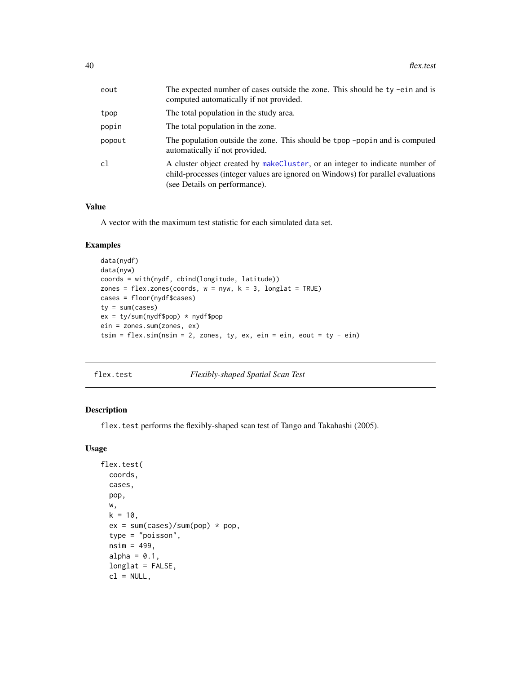| eout   | The expected number of cases outside the zone. This should be ty -ein and is<br>computed automatically if not provided.                                                                           |
|--------|---------------------------------------------------------------------------------------------------------------------------------------------------------------------------------------------------|
| tpop   | The total population in the study area.                                                                                                                                                           |
| popin  | The total population in the zone.                                                                                                                                                                 |
| popout | The population outside the zone. This should be tpop -popin and is computed<br>automatically if not provided.                                                                                     |
| c1     | A cluster object created by makeCluster, or an integer to indicate number of<br>child-processes (integer values are ignored on Windows) for parallel evaluations<br>(see Details on performance). |

## Value

A vector with the maximum test statistic for each simulated data set.

# Examples

```
data(nydf)
data(nyw)
coords = with(nydf, cbind(longitude, latitude))
zones = flex.zones(coords, w = nyw, k = 3, longlat = TRUE)
cases = floor(nydf$cases)
ty = sum(cases)ex = ty/sum(nydf$pop) * nydf$pop
ein = zones.sum(zones, ex)
tsim = flex.sim(nsim = 2, zones, ty, ex, ein = ein, eout = ty - ein)
```
<span id="page-39-0"></span>

flex.test *Flexibly-shaped Spatial Scan Test*

## Description

flex.test performs the flexibly-shaped scan test of Tango and Takahashi (2005).

## Usage

```
flex.test(
 coords,
  cases,
 pop,
  w,
 k = 10,
  ex = sum(cases)/sum(pop) * pop,type = "poisson",
  nsim = 499,
  alpha = 0.1,
  longlat = FALSE,
  cl = NULL,
```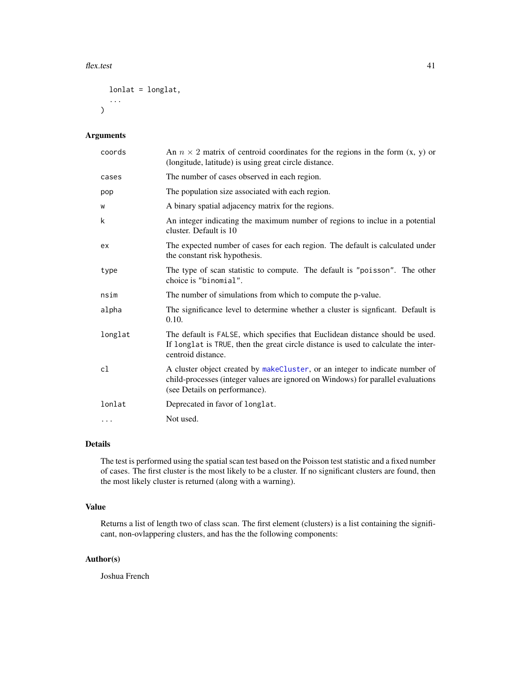#### flex.test 41

```
lonlat = longlat,
   ...
\mathcal{L}
```
# Arguments

| coords   | An $n \times 2$ matrix of centroid coordinates for the regions in the form $(x, y)$ or<br>(longitude, latitude) is using great circle distance.                                                   |
|----------|---------------------------------------------------------------------------------------------------------------------------------------------------------------------------------------------------|
| cases    | The number of cases observed in each region.                                                                                                                                                      |
| pop      | The population size associated with each region.                                                                                                                                                  |
| W        | A binary spatial adjacency matrix for the regions.                                                                                                                                                |
| k        | An integer indicating the maximum number of regions to inclue in a potential<br>cluster. Default is 10                                                                                            |
| ex       | The expected number of cases for each region. The default is calculated under<br>the constant risk hypothesis.                                                                                    |
| type     | The type of scan statistic to compute. The default is "poisson". The other<br>choice is "binomial".                                                                                               |
| nsim     | The number of simulations from which to compute the p-value.                                                                                                                                      |
| alpha    | The significance level to determine whether a cluster is significant. Default is<br>0.10.                                                                                                         |
| longlat  | The default is FALSE, which specifies that Euclidean distance should be used.<br>If longlat is TRUE, then the great circle distance is used to calculate the inter-<br>centroid distance.         |
| cl       | A cluster object created by makeCluster, or an integer to indicate number of<br>child-processes (integer values are ignored on Windows) for parallel evaluations<br>(see Details on performance). |
| lonlat   | Deprecated in favor of longlat.                                                                                                                                                                   |
| $\cdots$ | Not used.                                                                                                                                                                                         |

## Details

The test is performed using the spatial scan test based on the Poisson test statistic and a fixed number of cases. The first cluster is the most likely to be a cluster. If no significant clusters are found, then the most likely cluster is returned (along with a warning).

# Value

Returns a list of length two of class scan. The first element (clusters) is a list containing the significant, non-ovlappering clusters, and has the the following components:

# Author(s)

Joshua French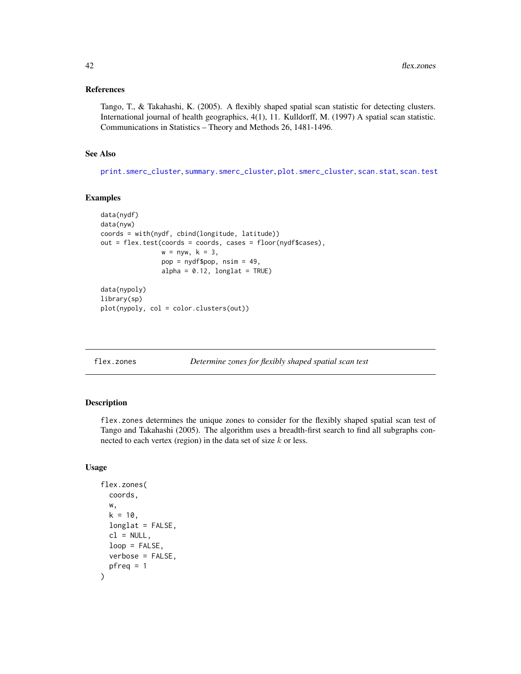#### References

Tango, T., & Takahashi, K. (2005). A flexibly shaped spatial scan statistic for detecting clusters. International journal of health geographics, 4(1), 11. Kulldorff, M. (1997) A spatial scan statistic. Communications in Statistics – Theory and Methods 26, 1481-1496.

## See Also

[print.smerc\\_cluster](#page-76-0), [summary.smerc\\_cluster](#page-98-0), [plot.smerc\\_cluster](#page-73-0), [scan.stat](#page-88-0), [scan.test](#page-89-0)

## Examples

```
data(nydf)
data(nyw)
coords = with(nydf, cbind(longitude, latitude))
out = flex.test(coords = coords, cases = floor(nydf$cases),
                w = nyw, k = 3,pop = nydf$pop, nsim = 49,
                alpha = 0.12, longlat = TRUE)
data(nypoly)
library(sp)
plot(nypoly, col = color.clusters(out))
```
flex.zones *Determine zones for flexibly shaped spatial scan test*

# Description

flex.zones determines the unique zones to consider for the flexibly shaped spatial scan test of Tango and Takahashi (2005). The algorithm uses a breadth-first search to find all subgraphs connected to each vertex (region) in the data set of size  $k$  or less.

#### Usage

```
flex.zones(
  coords,
 w,
 k = 10,
  longlat = FALSE,cl = NULL,loop = FALSE,
  verbose = FALSE,
 pfreq = 1)
```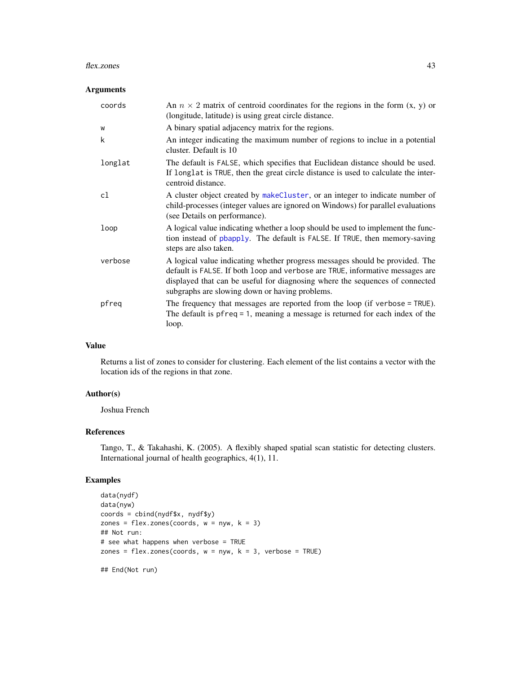#### flex.zones 43

## Arguments

| coords  | An $n \times 2$ matrix of centroid coordinates for the regions in the form $(x, y)$ or<br>(longitude, latitude) is using great circle distance.                                                                                                                                                 |
|---------|-------------------------------------------------------------------------------------------------------------------------------------------------------------------------------------------------------------------------------------------------------------------------------------------------|
| W       | A binary spatial adjacency matrix for the regions.                                                                                                                                                                                                                                              |
| k       | An integer indicating the maximum number of regions to inclue in a potential<br>cluster. Default is 10                                                                                                                                                                                          |
| longlat | The default is FALSE, which specifies that Euclidean distance should be used.<br>If longlat is TRUE, then the great circle distance is used to calculate the inter-<br>centroid distance.                                                                                                       |
| cl      | A cluster object created by make Cluster, or an integer to indicate number of<br>child-processes (integer values are ignored on Windows) for parallel evaluations<br>(see Details on performance).                                                                                              |
| loop    | A logical value indicating whether a loop should be used to implement the func-<br>tion instead of phapply. The default is FALSE. If TRUE, then memory-saving<br>steps are also taken.                                                                                                          |
| verbose | A logical value indicating whether progress messages should be provided. The<br>default is FALSE. If both loop and verbose are TRUE, informative messages are<br>displayed that can be useful for diagnosing where the sequences of connected<br>subgraphs are slowing down or having problems. |
| pfreq   | The frequency that messages are reported from the loop (if verbose = TRUE).<br>The default is $pfreq = 1$ , meaning a message is returned for each index of the<br>loop.                                                                                                                        |

# Value

Returns a list of zones to consider for clustering. Each element of the list contains a vector with the location ids of the regions in that zone.

# Author(s)

Joshua French

# References

Tango, T., & Takahashi, K. (2005). A flexibly shaped spatial scan statistic for detecting clusters. International journal of health geographics, 4(1), 11.

# Examples

```
data(nydf)
data(nyw)
coords = cbind(nydf$x, nydf$y)
zones = flex.zones(coords, w = nyw, k = 3)## Not run:
# see what happens when verbose = TRUE
zones = flex.zones(coords, w = nyw, k = 3, verbose = TRUE)
```
## End(Not run)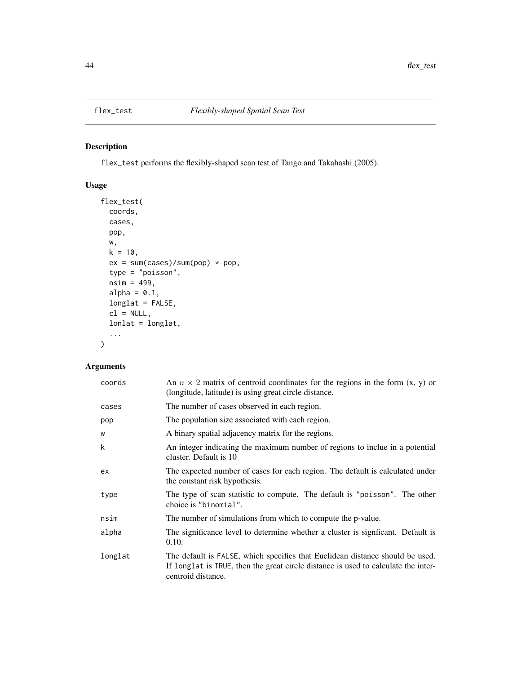flex\_test performs the flexibly-shaped scan test of Tango and Takahashi (2005).

# Usage

```
flex_test(
 coords,
 cases,
 pop,
 w,
 k = 10,
 ex = sum(cases)/sum(pop) * pop,type = "poisson",
 nsim = 499,alpha = 0.1,
 longlat = FALSE,
 cl = NULL,lonlat = longlat,
  ...
\mathcal{L}
```

| coords  | An $n \times 2$ matrix of centroid coordinates for the regions in the form $(x, y)$ or<br>(longitude, latitude) is using great circle distance.                                           |
|---------|-------------------------------------------------------------------------------------------------------------------------------------------------------------------------------------------|
| cases   | The number of cases observed in each region.                                                                                                                                              |
| pop     | The population size associated with each region.                                                                                                                                          |
| W       | A binary spatial adjacency matrix for the regions.                                                                                                                                        |
| k       | An integer indicating the maximum number of regions to inclue in a potential<br>cluster. Default is 10                                                                                    |
| ex      | The expected number of cases for each region. The default is calculated under<br>the constant risk hypothesis.                                                                            |
| type    | The type of scan statistic to compute. The default is "poisson". The other<br>choice is "binomial".                                                                                       |
| nsim    | The number of simulations from which to compute the p-value.                                                                                                                              |
| alpha   | The significance level to determine whether a cluster is significant. Default is<br>0.10.                                                                                                 |
| longlat | The default is FALSE, which specifies that Euclidean distance should be used.<br>If longlat is TRUE, then the great circle distance is used to calculate the inter-<br>centroid distance. |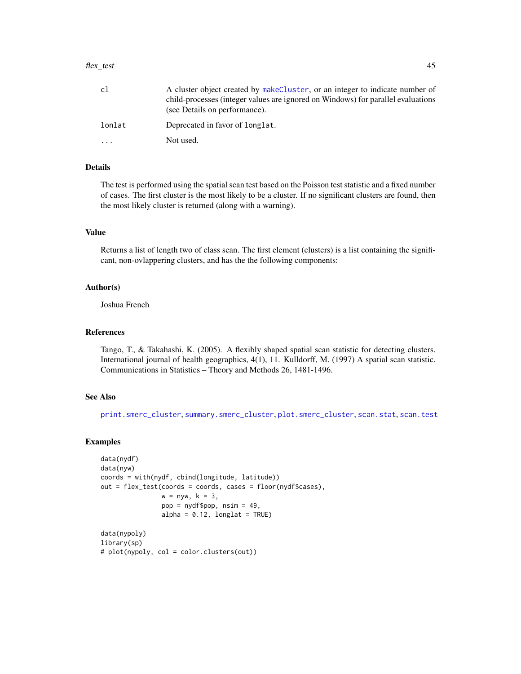#### flex\_test 45

| cl     | A cluster object created by makeCluster, or an integer to indicate number of<br>child-processes (integer values are ignored on Windows) for parallel evaluations<br>(see Details on performance). |
|--------|---------------------------------------------------------------------------------------------------------------------------------------------------------------------------------------------------|
| lonlat | Deprecated in favor of longlat.                                                                                                                                                                   |
| .      | Not used.                                                                                                                                                                                         |

## Details

The test is performed using the spatial scan test based on the Poisson test statistic and a fixed number of cases. The first cluster is the most likely to be a cluster. If no significant clusters are found, then the most likely cluster is returned (along with a warning).

#### Value

Returns a list of length two of class scan. The first element (clusters) is a list containing the significant, non-ovlappering clusters, and has the the following components:

#### Author(s)

Joshua French

#### References

Tango, T., & Takahashi, K. (2005). A flexibly shaped spatial scan statistic for detecting clusters. International journal of health geographics, 4(1), 11. Kulldorff, M. (1997) A spatial scan statistic. Communications in Statistics – Theory and Methods 26, 1481-1496.

#### See Also

[print.smerc\\_cluster](#page-76-0), [summary.smerc\\_cluster](#page-98-0), [plot.smerc\\_cluster](#page-73-0), [scan.stat](#page-88-0), [scan.test](#page-89-0)

```
data(nydf)
data(nyw)
coords = with(nydf, cbind(longitude, latitude))
out = flex_test(coords = coords, cases = floor(nydf$cases),
                w = nyw, k = 3,pop = nydf$pop, nsim = 49,
                alpha = 0.12, longlat = TRUE)
data(nypoly)
library(sp)
# plot(nypoly, col = color.clusters(out))
```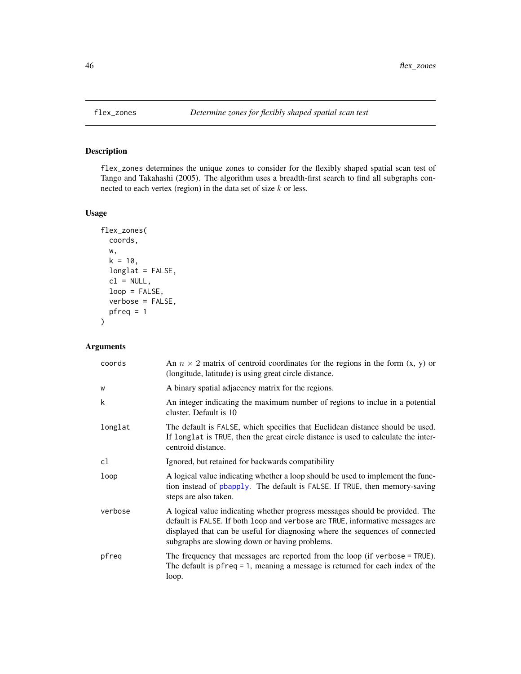flex\_zones determines the unique zones to consider for the flexibly shaped spatial scan test of Tango and Takahashi (2005). The algorithm uses a breadth-first search to find all subgraphs connected to each vertex (region) in the data set of size  $k$  or less.

# Usage

```
flex_zones(
  coords,
 w,
 k = 10,
  longlat = FALSE,
  cl = NULL,loop = FALSE,
  verbose = FALSE,
 pfreq = 1)
```

| coords  | An $n \times 2$ matrix of centroid coordinates for the regions in the form $(x, y)$ or<br>(longitude, latitude) is using great circle distance.                                                                                                                                                 |
|---------|-------------------------------------------------------------------------------------------------------------------------------------------------------------------------------------------------------------------------------------------------------------------------------------------------|
| W       | A binary spatial adjacency matrix for the regions.                                                                                                                                                                                                                                              |
| k       | An integer indicating the maximum number of regions to inclue in a potential<br>cluster. Default is 10                                                                                                                                                                                          |
| longlat | The default is FALSE, which specifies that Euclidean distance should be used.<br>If longlat is TRUE, then the great circle distance is used to calculate the inter-<br>centroid distance.                                                                                                       |
| cl      | Ignored, but retained for backwards compatibility                                                                                                                                                                                                                                               |
| loop    | A logical value indicating whether a loop should be used to implement the func-<br>tion instead of pbapply. The default is FALSE. If TRUE, then memory-saving<br>steps are also taken.                                                                                                          |
| verbose | A logical value indicating whether progress messages should be provided. The<br>default is FALSE. If both loop and verbose are TRUE, informative messages are<br>displayed that can be useful for diagnosing where the sequences of connected<br>subgraphs are slowing down or having problems. |
| pfreq   | The frequency that messages are reported from the loop (if verbose = TRUE).<br>The default is $pfreq = 1$ , meaning a message is returned for each index of the<br>loop.                                                                                                                        |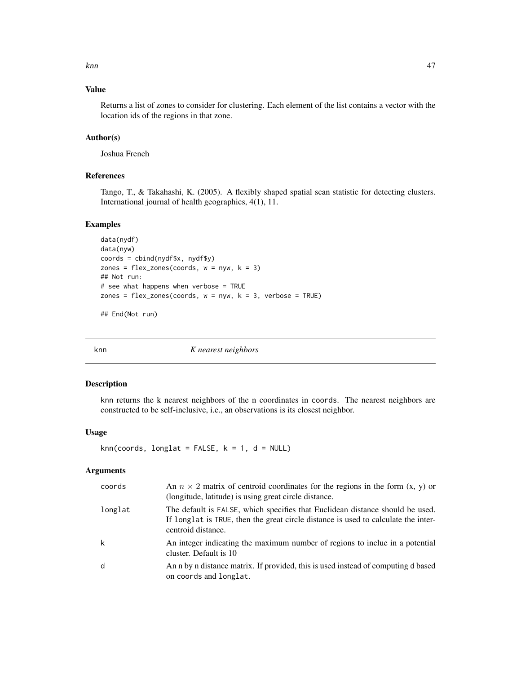knn and the set of the set of the set of the set of the set of the set of the set of the set of the set of the

# Value

Returns a list of zones to consider for clustering. Each element of the list contains a vector with the location ids of the regions in that zone.

# Author(s)

Joshua French

# References

Tango, T., & Takahashi, K. (2005). A flexibly shaped spatial scan statistic for detecting clusters. International journal of health geographics, 4(1), 11.

# Examples

```
data(nydf)
data(nyw)
coords = cbind(nydf$x, nydf$y)
zones = flex_zones(coords, w = nyw, k = 3)
## Not run:
# see what happens when verbose = TRUE
zones = flex_zones(coords, w = nyw, k = 3, verbose = TRUE)
## End(Not run)
```
<span id="page-46-0"></span>knn *K nearest neighbors*

## Description

knn returns the k nearest neighbors of the n coordinates in coords. The nearest neighbors are constructed to be self-inclusive, i.e., an observations is its closest neighbor.

#### Usage

```
knn(coords, longlat = FALSE, k = 1, d = NULL)
```

| coords  | An $n \times 2$ matrix of centroid coordinates for the regions in the form $(x, y)$ or<br>(longitude, latitude) is using great circle distance.                                           |
|---------|-------------------------------------------------------------------------------------------------------------------------------------------------------------------------------------------|
| longlat | The default is FALSE, which specifies that Euclidean distance should be used.<br>If longlat is TRUE, then the great circle distance is used to calculate the inter-<br>centroid distance. |
| k       | An integer indicating the maximum number of regions to inclue in a potential<br>cluster. Default is 10                                                                                    |
| d       | An n by n distance matrix. If provided, this is used instead of computing d based<br>on coords and longlat.                                                                               |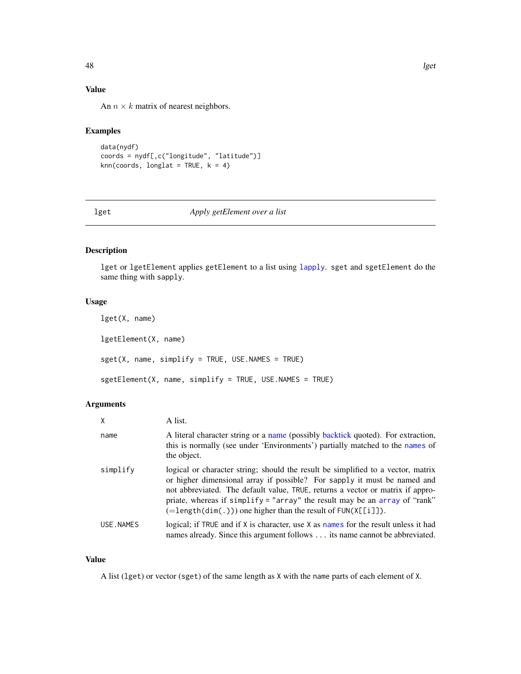# Value

An  $n \times k$  matrix of nearest neighbors.

# Examples

```
data(nydf)
coords = nydf[,c("longitude", "latitude")]
knn(coords, longlat = TRUE, k = 4)
```
# lget *Apply getElement over a list*

# Description

lget or lgetElement applies getElement to a list using [lapply](#page-0-0). sget and sgetElement do the same thing with sapply.

# Usage

```
lget(X, name)
lgetElement(X, name)
sget(X, name, simplify = TRUE, USE.NAMES = TRUE)
sgetElement(X, name, simplify = TRUE, USE.NAMES = TRUE)
```
## Arguments

| $\mathsf{x}$ | A list.                                                                                                                                                                                                                                                                                                                                                                                                  |
|--------------|----------------------------------------------------------------------------------------------------------------------------------------------------------------------------------------------------------------------------------------------------------------------------------------------------------------------------------------------------------------------------------------------------------|
| name         | A literal character string or a name (possibly backtick quoted). For extraction,<br>this is normally (see under 'Environments') partially matched to the names of<br>the object.                                                                                                                                                                                                                         |
| simplify     | logical or character string; should the result be simplified to a vector, matrix<br>or higher dimensional array if possible? For sapply it must be named and<br>not abbreviated. The default value, TRUE, returns a vector or matrix if appro-<br>priate, whereas if simplify = "array" the result may be an array of "rank"<br>$(=\text{length}(dim(.)))$ one higher than the result of $FUN(X[[i]])$ . |
| USE.NAMES    | logical; if TRUE and if $X$ is character, use $X$ as names for the result unless it had<br>names already. Since this argument follows its name cannot be abbreviated.                                                                                                                                                                                                                                    |

#### Value

A list (lget) or vector (sget) of the same length as X with the name parts of each element of X.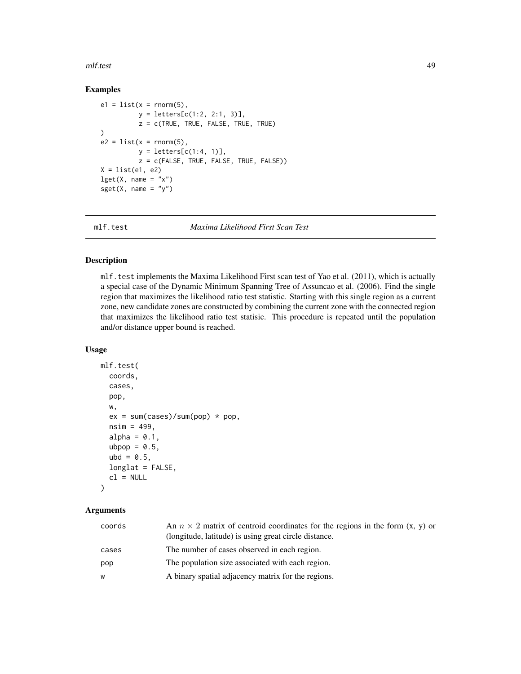#### mlf.test 49

# Examples

```
e1 = list(x = rnorm(5),y = letters[c(1:2, 2:1, 3)],
          z = c(TRUE, TRUE, FALSE, TRUE, TRUE)
\lambdae2 = list(x = rnorm(5),
          y = letters[c(1:4, 1)],z = c(FALSE, TRUE, FALSE, TRUE, FALSE))
X = list(e1, e2)\text{lget}(X, \text{ name } = "x")sget(X, name = "y")
```
mlf.test *Maxima Likelihood First Scan Test*

## Description

mlf.test implements the Maxima Likelihood First scan test of Yao et al. (2011), which is actually a special case of the Dynamic Minimum Spanning Tree of Assuncao et al. (2006). Find the single region that maximizes the likelihood ratio test statistic. Starting with this single region as a current zone, new candidate zones are constructed by combining the current zone with the connected region that maximizes the likelihood ratio test statisic. This procedure is repeated until the population and/or distance upper bound is reached.

#### Usage

```
mlf.test(
  coords,
  cases,
  pop,
  w,
  ex = sum(cases)/sum(pop) * pop,nsim = 499,alpha = 0.1,
  ubpop = 0.5,
  ubd = 0.5,
  longlat = FALSE,
  cl = NULL)
```

| coords | An $n \times 2$ matrix of centroid coordinates for the regions in the form $(x, y)$ or<br>(longitude, latitude) is using great circle distance. |
|--------|-------------------------------------------------------------------------------------------------------------------------------------------------|
| cases  | The number of cases observed in each region.                                                                                                    |
| pop    | The population size associated with each region.                                                                                                |
| W      | A binary spatial adjacency matrix for the regions.                                                                                              |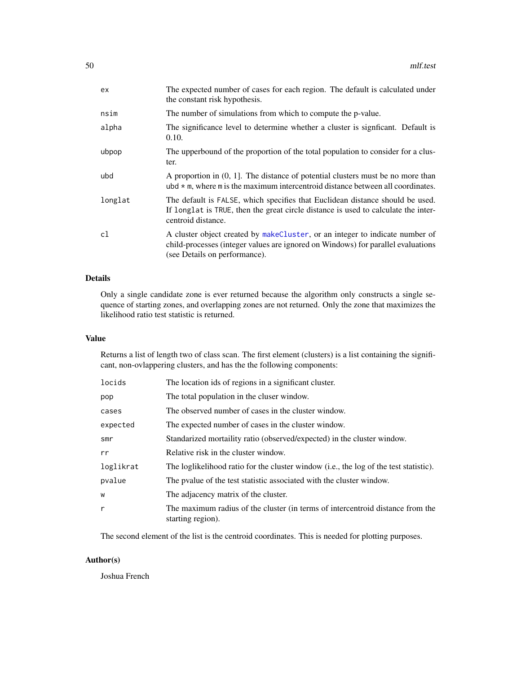| ex.     | The expected number of cases for each region. The default is calculated under<br>the constant risk hypothesis.                                                                                    |
|---------|---------------------------------------------------------------------------------------------------------------------------------------------------------------------------------------------------|
| nsim    | The number of simulations from which to compute the p-value.                                                                                                                                      |
| alpha   | The significance level to determine whether a cluster is significant. Default is<br>0.10.                                                                                                         |
| ubpop   | The upperbound of the proportion of the total population to consider for a clus-<br>ter.                                                                                                          |
| ubd     | A proportion in $(0, 1]$ . The distance of potential clusters must be no more than<br>ubd $\star$ m, where m is the maximum intercentroid distance between all coordinates.                       |
| longlat | The default is FALSE, which specifies that Euclidean distance should be used.<br>If longlat is TRUE, then the great circle distance is used to calculate the inter-<br>centroid distance.         |
| cl      | A cluster object created by makeCluster, or an integer to indicate number of<br>child-processes (integer values are ignored on Windows) for parallel evaluations<br>(see Details on performance). |

# Details

Only a single candidate zone is ever returned because the algorithm only constructs a single sequence of starting zones, and overlapping zones are not returned. Only the zone that maximizes the likelihood ratio test statistic is returned.

# Value

Returns a list of length two of class scan. The first element (clusters) is a list containing the significant, non-ovlappering clusters, and has the the following components:

| locids    | The location ids of regions in a significant cluster.                                               |
|-----------|-----------------------------------------------------------------------------------------------------|
| pop       | The total population in the cluser window.                                                          |
| cases     | The observed number of cases in the cluster window.                                                 |
| expected  | The expected number of cases in the cluster window.                                                 |
| smr       | Standarized mortaility ratio (observed/expected) in the cluster window.                             |
| rr        | Relative risk in the cluster window.                                                                |
| loglikrat | The loglikelihood ratio for the cluster window (i.e., the log of the test statistic).               |
| pvalue    | The pyalue of the test statistic associated with the cluster window.                                |
| w         | The adjacency matrix of the cluster.                                                                |
| r         | The maximum radius of the cluster (in terms of intercentroid distance from the<br>starting region). |

The second element of the list is the centroid coordinates. This is needed for plotting purposes.

# Author(s)

Joshua French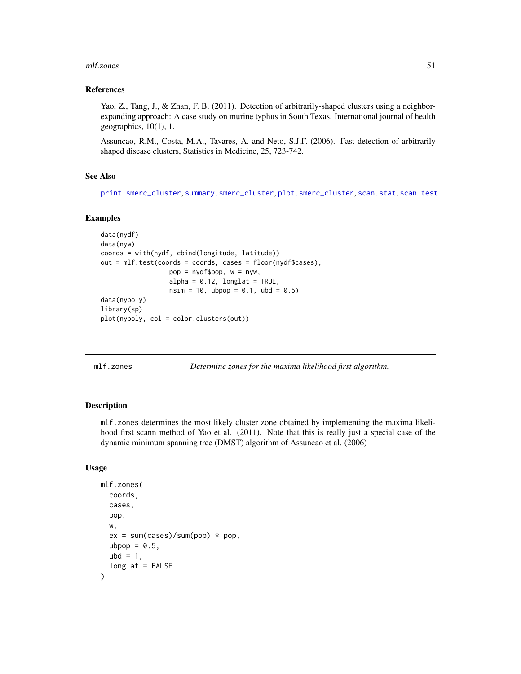#### mlf.zones 51

#### References

Yao, Z., Tang, J., & Zhan, F. B. (2011). Detection of arbitrarily-shaped clusters using a neighborexpanding approach: A case study on murine typhus in South Texas. International journal of health geographics, 10(1), 1.

Assuncao, R.M., Costa, M.A., Tavares, A. and Neto, S.J.F. (2006). Fast detection of arbitrarily shaped disease clusters, Statistics in Medicine, 25, 723-742.

#### See Also

```
print.smerc_cluster, summary.smerc_cluster, plot.smerc_cluster, scan.stat, scan.test
```
#### Examples

```
data(nydf)
data(nyw)
coords = with(nydf, cbind(longitude, latitude))
out = mlf.test(coords = coords, cases = floor(nydf$cases),
                  pop = nydf$pop, w = nyw,
                  alpha = 0.12, longlat = TRUE,
                  nsim = 10, ubpop = 0.1, ubd = 0.5)
data(nypoly)
library(sp)
plot(nypoly, col = color.clusters(out))
```
mlf.zones *Determine zones for the maxima likelihood first algorithm.*

## Description

mlf.zones determines the most likely cluster zone obtained by implementing the maxima likelihood first scann method of Yao et al. (2011). Note that this is really just a special case of the dynamic minimum spanning tree (DMST) algorithm of Assuncao et al. (2006)

## Usage

```
mlf.zones(
  coords,
  cases,
  pop,
  w,
  ex = sum(cases)/sum(pop) * pop,ubpop = 0.5,
  ubd = 1,
  longlat = FALSE
)
```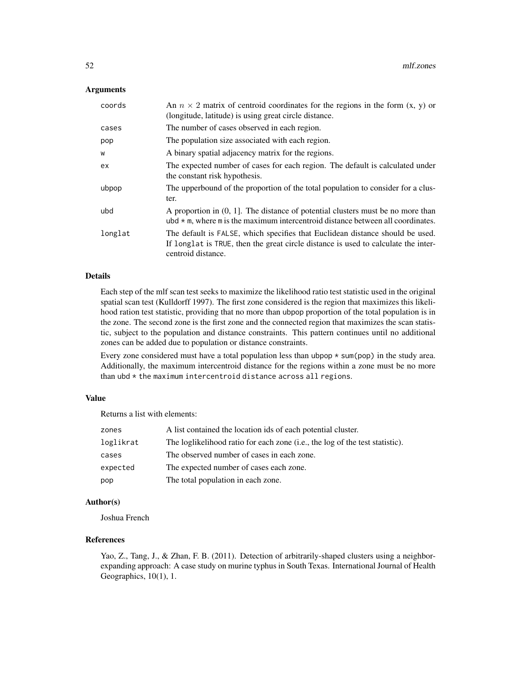## **Arguments**

| coords  | An $n \times 2$ matrix of centroid coordinates for the regions in the form $(x, y)$ or<br>(longitude, latitude) is using great circle distance.                                           |
|---------|-------------------------------------------------------------------------------------------------------------------------------------------------------------------------------------------|
| cases   | The number of cases observed in each region.                                                                                                                                              |
| pop     | The population size associated with each region.                                                                                                                                          |
| W       | A binary spatial adjacency matrix for the regions.                                                                                                                                        |
| ex      | The expected number of cases for each region. The default is calculated under<br>the constant risk hypothesis.                                                                            |
| ubpop   | The upperbound of the proportion of the total population to consider for a clus-<br>ter.                                                                                                  |
| ubd     | A proportion in $(0, 1]$ . The distance of potential clusters must be no more than<br>ubd $*$ m, where m is the maximum intercentroid distance between all coordinates.                   |
| longlat | The default is FALSE, which specifies that Euclidean distance should be used.<br>If longlat is TRUE, then the great circle distance is used to calculate the inter-<br>centroid distance. |

## Details

Each step of the mlf scan test seeks to maximize the likelihood ratio test statistic used in the original spatial scan test (Kulldorff 1997). The first zone considered is the region that maximizes this likelihood ration test statistic, providing that no more than ubpop proportion of the total population is in the zone. The second zone is the first zone and the connected region that maximizes the scan statistic, subject to the population and distance constraints. This pattern continues until no additional zones can be added due to population or distance constraints.

Every zone considered must have a total population less than ubpop \* sum(pop) in the study area. Additionally, the maximum intercentroid distance for the regions within a zone must be no more than ubd \* the maximum intercentroid distance across all regions.

## Value

Returns a list with elements:

| zones     | A list contained the location ids of each potential cluster.                 |
|-----------|------------------------------------------------------------------------------|
| loglikrat | The loglikelihood ratio for each zone (i.e., the log of the test statistic). |
| cases     | The observed number of cases in each zone.                                   |
| expected  | The expected number of cases each zone.                                      |
| pop       | The total population in each zone.                                           |

# Author(s)

Joshua French

# References

Yao, Z., Tang, J., & Zhan, F. B. (2011). Detection of arbitrarily-shaped clusters using a neighborexpanding approach: A case study on murine typhus in South Texas. International Journal of Health Geographics, 10(1), 1.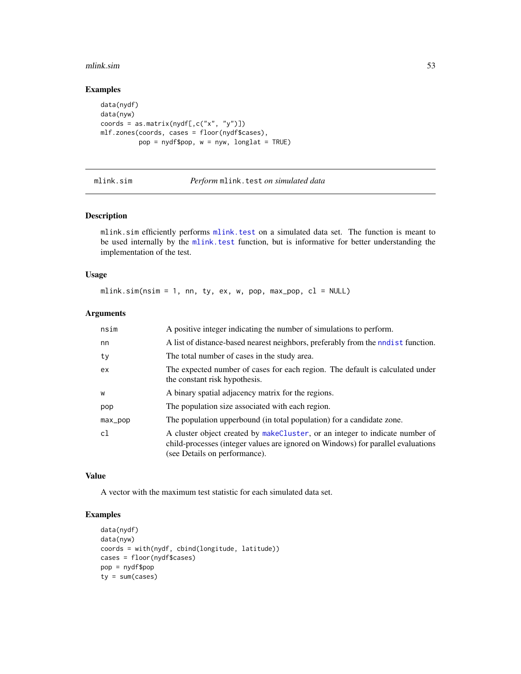#### mlink.sim 53

# Examples

```
data(nydf)
data(nyw)
coords = as.matrix(nydf[,c("x", "y")])
mlf.zones(coords, cases = floor(nydf$cases),
          pop = nydf$pop, w = nyw, longlat = TRUE)
```
mlink.sim *Perform* mlink.test *on simulated data*

## Description

mlink.sim efficiently performs [mlink.test](#page-53-0) on a simulated data set. The function is meant to be used internally by the [mlink.test](#page-53-0) function, but is informative for better understanding the implementation of the test.

#### Usage

mlink.sim(nsim = 1, nn, ty, ex, w, pop, max\_pop,  $cl = NULL$ )

# Arguments

| nsim       | A positive integer indicating the number of simulations to perform.                                                                                                                               |
|------------|---------------------------------------------------------------------------------------------------------------------------------------------------------------------------------------------------|
| nn         | A list of distance-based nearest neighbors, preferably from the nodest function.                                                                                                                  |
| ty         | The total number of cases in the study area.                                                                                                                                                      |
| ex         | The expected number of cases for each region. The default is calculated under<br>the constant risk hypothesis.                                                                                    |
| W          | A binary spatial adjacency matrix for the regions.                                                                                                                                                |
| pop        | The population size associated with each region.                                                                                                                                                  |
| $max\_pop$ | The population upperbound (in total population) for a candidate zone.                                                                                                                             |
| c1         | A cluster object created by makeCluster, or an integer to indicate number of<br>child-processes (integer values are ignored on Windows) for parallel evaluations<br>(see Details on performance). |

#### Value

A vector with the maximum test statistic for each simulated data set.

```
data(nydf)
data(nyw)
coords = with(nydf, cbind(longitude, latitude))
cases = floor(nydf$cases)
pop = nydf$pop
ty = sum(cases)
```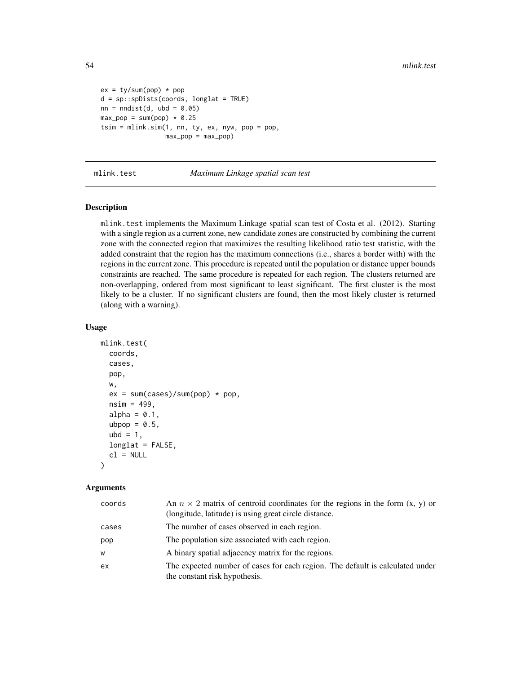```
ex = ty/sum(pop) * popd = sp::spDists(coords, longlat = TRUE)
nn = midist(d, ubd = 0.05)max\_pop = sum(pop) * 0.25tsim = mlink.sim(1, nn, ty, ex, nyw, pop = pop,max\_pop = max\_pop)
```
<span id="page-53-0"></span>mlink.test *Maximum Linkage spatial scan test*

#### Description

mlink.test implements the Maximum Linkage spatial scan test of Costa et al. (2012). Starting with a single region as a current zone, new candidate zones are constructed by combining the current zone with the connected region that maximizes the resulting likelihood ratio test statistic, with the added constraint that the region has the maximum connections (i.e., shares a border with) with the regions in the current zone. This procedure is repeated until the population or distance upper bounds constraints are reached. The same procedure is repeated for each region. The clusters returned are non-overlapping, ordered from most significant to least significant. The first cluster is the most likely to be a cluster. If no significant clusters are found, then the most likely cluster is returned (along with a warning).

## Usage

```
mlink.test(
  coords,
  cases,
  pop,
  w,
  ex = sum(cases)/sum(pop) * pop,nsim = 499.
  alpha = 0.1,
  ubpop = 0.5,
  ubd = 1,
  longlat = FALSE,
  cl = NULL\lambda
```

| coords | An $n \times 2$ matrix of centroid coordinates for the regions in the form $(x, y)$ or<br>(longitude, latitude) is using great circle distance. |
|--------|-------------------------------------------------------------------------------------------------------------------------------------------------|
| cases  | The number of cases observed in each region.                                                                                                    |
| pop    | The population size associated with each region.                                                                                                |
| W      | A binary spatial adjacency matrix for the regions.                                                                                              |
| ex     | The expected number of cases for each region. The default is calculated under<br>the constant risk hypothesis.                                  |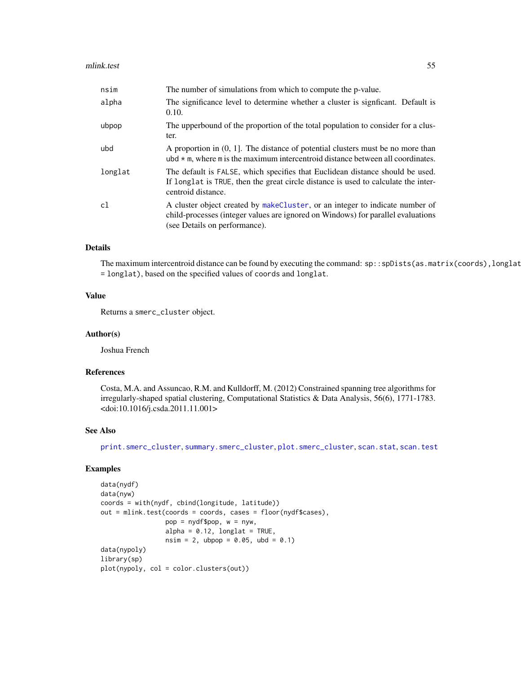| nsim    | The number of simulations from which to compute the p-value.                                                                                                                                      |
|---------|---------------------------------------------------------------------------------------------------------------------------------------------------------------------------------------------------|
| alpha   | The significance level to determine whether a cluster is significant. Default is<br>0.10.                                                                                                         |
| ubpop   | The upperbound of the proportion of the total population to consider for a clus-<br>ter.                                                                                                          |
| ubd     | A proportion in $(0, 1]$ . The distance of potential clusters must be no more than<br>ubd $*$ m, where m is the maximum intercentroid distance between all coordinates.                           |
| longlat | The default is FALSE, which specifies that Euclidean distance should be used.<br>If longlat is TRUE, then the great circle distance is used to calculate the inter-<br>centroid distance.         |
| c1      | A cluster object created by makeCluster, or an integer to indicate number of<br>child-processes (integer values are ignored on Windows) for parallel evaluations<br>(see Details on performance). |

# Details

The maximum intercentroid distance can be found by executing the command: sp::spDists(as.matrix(coords),longlat = longlat), based on the specified values of coords and longlat.

# Value

Returns a smerc\_cluster object.

#### Author(s)

Joshua French

#### References

Costa, M.A. and Assuncao, R.M. and Kulldorff, M. (2012) Constrained spanning tree algorithms for irregularly-shaped spatial clustering, Computational Statistics & Data Analysis, 56(6), 1771-1783. <doi:10.1016/j.csda.2011.11.001>

## See Also

[print.smerc\\_cluster](#page-76-0), [summary.smerc\\_cluster](#page-98-0), [plot.smerc\\_cluster](#page-73-0), [scan.stat](#page-88-0), [scan.test](#page-89-0)

```
data(nydf)
data(nyw)
coords = with(nydf, cbind(longitude, latitude))
out = mlink.test(coords = coords, cases = floor(nydf$cases),
                 pop = nydf$pop, w = nyw,
                 alpha = 0.12, longlat = TRUE,
                 nsim = 2, ubpop = 0.05, ubd = 0.1)
data(nypoly)
library(sp)
plot(nypoly, col = color.clusters(out))
```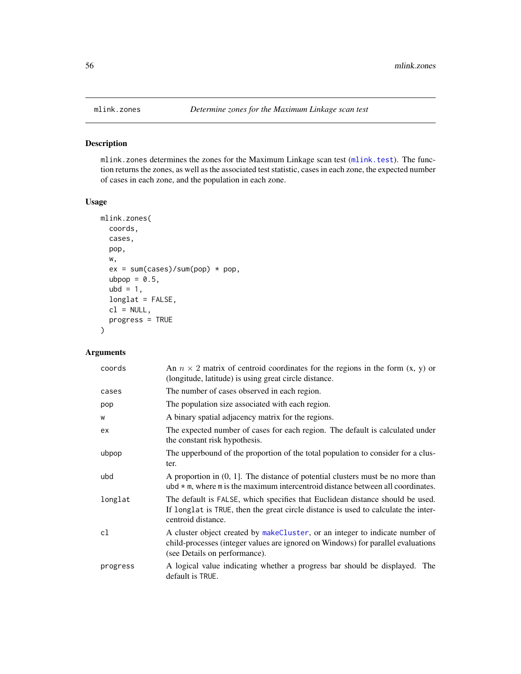mlink.zones determines the zones for the Maximum Linkage scan test ([mlink.test](#page-53-0)). The function returns the zones, as well as the associated test statistic, cases in each zone, the expected number of cases in each zone, and the population in each zone.

# Usage

```
mlink.zones(
  coords,
  cases,
 pop,
 w,
  ex = sum(cases)/sum(pop) * pop,ubpop = 0.5,
  ubd = 1,
  longlat = FALSE,
  cl = NULL,progress = TRUE
)
```

| coords   | An $n \times 2$ matrix of centroid coordinates for the regions in the form $(x, y)$ or<br>(longitude, latitude) is using great circle distance.                                                   |  |
|----------|---------------------------------------------------------------------------------------------------------------------------------------------------------------------------------------------------|--|
| cases    | The number of cases observed in each region.                                                                                                                                                      |  |
| pop      | The population size associated with each region.                                                                                                                                                  |  |
| W        | A binary spatial adjacency matrix for the regions.                                                                                                                                                |  |
| ex       | The expected number of cases for each region. The default is calculated under<br>the constant risk hypothesis.                                                                                    |  |
| ubpop    | The upperbound of the proportion of the total population to consider for a clus-<br>ter.                                                                                                          |  |
| ubd      | A proportion in $(0, 1]$ . The distance of potential clusters must be no more than<br>ubd $*$ m, where m is the maximum intercentroid distance between all coordinates.                           |  |
| longlat  | The default is FALSE, which specifies that Euclidean distance should be used.<br>If longlat is TRUE, then the great circle distance is used to calculate the inter-<br>centroid distance.         |  |
| cl       | A cluster object created by makeCluster, or an integer to indicate number of<br>child-processes (integer values are ignored on Windows) for parallel evaluations<br>(see Details on performance). |  |
| progress | A logical value indicating whether a progress bar should be displayed. The<br>default is TRUE.                                                                                                    |  |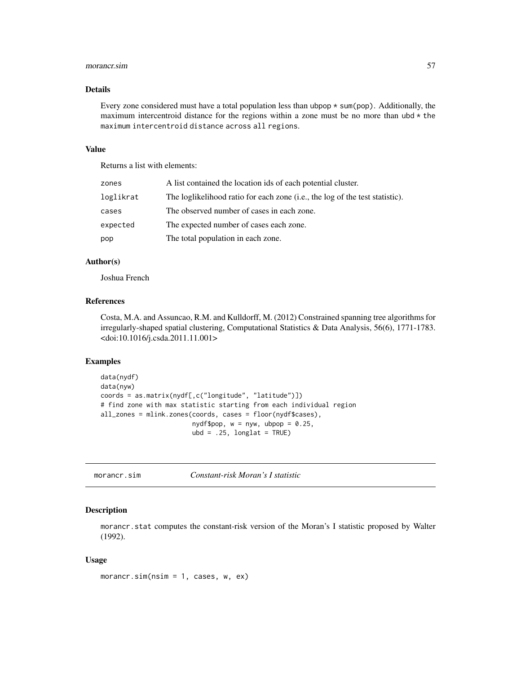#### morancr.sim 57

## Details

Every zone considered must have a total population less than ubpop  $*$  sum(pop). Additionally, the maximum intercentroid distance for the regions within a zone must be no more than  $ubd \star$  the maximum intercentroid distance across all regions.

## Value

Returns a list with elements:

| zones     | A list contained the location ids of each potential cluster.                 |
|-----------|------------------------------------------------------------------------------|
| loglikrat | The loglikelihood ratio for each zone (i.e., the log of the test statistic). |
| cases     | The observed number of cases in each zone.                                   |
| expected  | The expected number of cases each zone.                                      |
| pop       | The total population in each zone.                                           |
|           |                                                                              |

# Author(s)

Joshua French

# References

Costa, M.A. and Assuncao, R.M. and Kulldorff, M. (2012) Constrained spanning tree algorithms for irregularly-shaped spatial clustering, Computational Statistics & Data Analysis, 56(6), 1771-1783. <doi:10.1016/j.csda.2011.11.001>

#### Examples

```
data(nydf)
data(nyw)
coords = as.matrix(nydf[,c("longitude", "latitude")])
# find zone with max statistic starting from each individual region
all_zones = mlink.zones(coords, cases = floor(nydf$cases),
                       nydf$pop, w = nyw, ubpop = 0.25,
                        ubd = .25, longlat = TRUE)
```
morancr.sim *Constant-risk Moran's I statistic*

## Description

morancr.stat computes the constant-risk version of the Moran's I statistic proposed by Walter (1992).

#### Usage

morancr.sim(nsim = 1, cases, w, ex)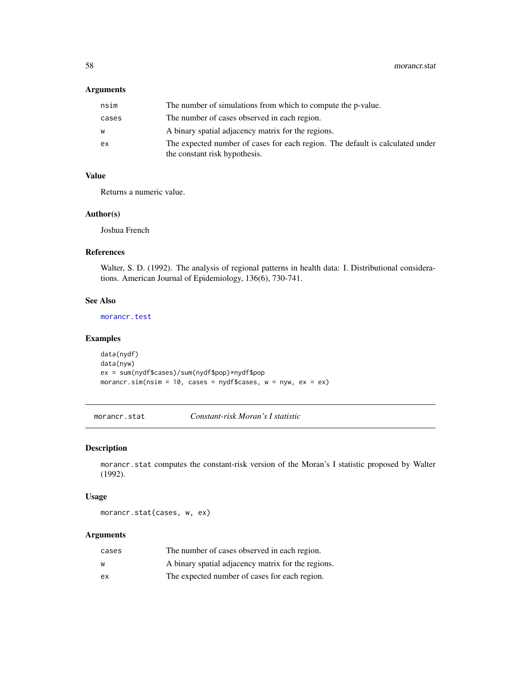# Arguments

| nsim  | The number of simulations from which to compute the p-value.                                                   |
|-------|----------------------------------------------------------------------------------------------------------------|
| cases | The number of cases observed in each region.                                                                   |
| w     | A binary spatial adjacency matrix for the regions.                                                             |
| ex    | The expected number of cases for each region. The default is calculated under<br>the constant risk hypothesis. |

# Value

Returns a numeric value.

# Author(s)

Joshua French

# References

Walter, S. D. (1992). The analysis of regional patterns in health data: I. Distributional considerations. American Journal of Epidemiology, 136(6), 730-741.

# See Also

[morancr.test](#page-58-0)

## Examples

```
data(nydf)
data(nyw)
ex = sum(nydf$cases)/sum(nydf$pop)*nydf$pop
morancr.sim(nsim = 10, cases = nydf$cases, w = nyw, ex = ex)
```
<span id="page-57-0"></span>morancr.stat *Constant-risk Moran's I statistic*

# Description

morancr.stat computes the constant-risk version of the Moran's I statistic proposed by Walter (1992).

#### Usage

morancr.stat(cases, w, ex)

| cases | The number of cases observed in each region.       |
|-------|----------------------------------------------------|
| w     | A binary spatial adjacency matrix for the regions. |
| eх    | The expected number of cases for each region.      |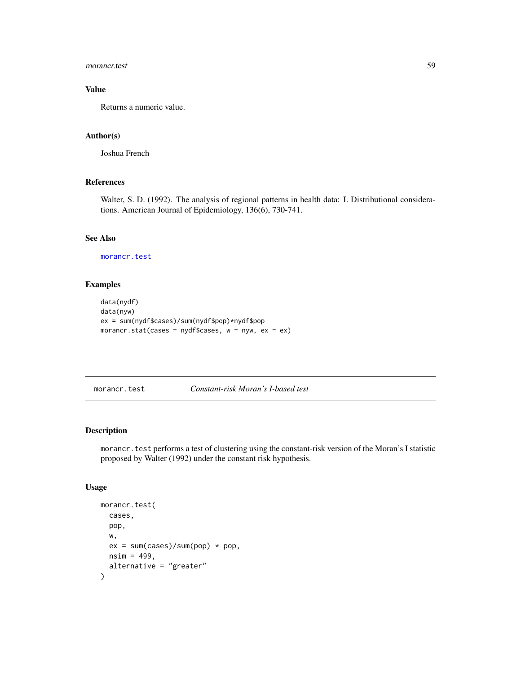## morancr.test 59

# Value

Returns a numeric value.

# Author(s)

Joshua French

## References

Walter, S. D. (1992). The analysis of regional patterns in health data: I. Distributional considerations. American Journal of Epidemiology, 136(6), 730-741.

## See Also

[morancr.test](#page-58-0)

# Examples

```
data(nydf)
data(nyw)
ex = sum(nydf$cases)/sum(nydf$pop)*nydf$pop
morancr.stat(cases = nydf$cases, w = nyw, ex = ex)
```
<span id="page-58-0"></span>morancr.test *Constant-risk Moran's I-based test*

## Description

morancr.test performs a test of clustering using the constant-risk version of the Moran's I statistic proposed by Walter (1992) under the constant risk hypothesis.

## Usage

```
morancr.test(
 cases,
 pop,
 w,
 ex = sum(cases)/sum(pop) * pop,nsim = 499,alternative = "greater"
)
```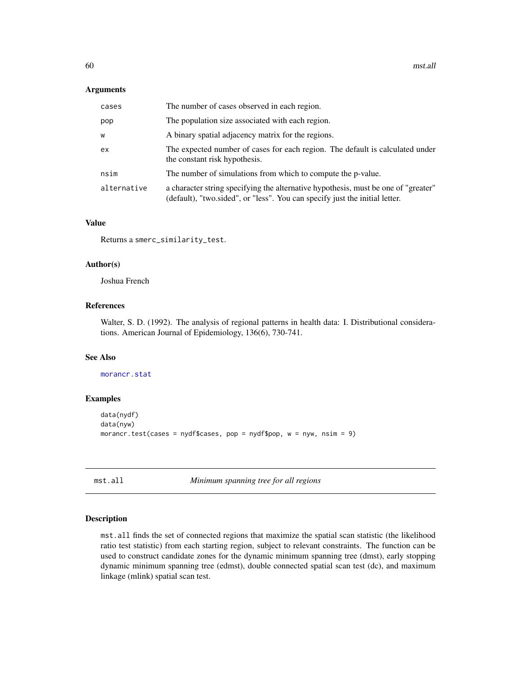#### Arguments

| cases       | The number of cases observed in each region.                                                                                                                      |
|-------------|-------------------------------------------------------------------------------------------------------------------------------------------------------------------|
| pop         | The population size associated with each region.                                                                                                                  |
| W           | A binary spatial adjacency matrix for the regions.                                                                                                                |
| ex          | The expected number of cases for each region. The default is calculated under<br>the constant risk hypothesis.                                                    |
| nsim        | The number of simulations from which to compute the p-value.                                                                                                      |
| alternative | a character string specifying the alternative hypothesis, must be one of "greater"<br>(default), "two sided", or "less". You can specify just the initial letter. |

## Value

Returns a smerc\_similarity\_test.

#### Author(s)

Joshua French

## References

Walter, S. D. (1992). The analysis of regional patterns in health data: I. Distributional considerations. American Journal of Epidemiology, 136(6), 730-741.

#### See Also

[morancr.stat](#page-57-0)

## Examples

```
data(nydf)
data(nyw)
morancr.test(cases = nydf$cases, pop = nydf$pop, w = nyw, nsim = 9)
```
mst.all *Minimum spanning tree for all regions*

# Description

mst.all finds the set of connected regions that maximize the spatial scan statistic (the likelihood ratio test statistic) from each starting region, subject to relevant constraints. The function can be used to construct candidate zones for the dynamic minimum spanning tree (dmst), early stopping dynamic minimum spanning tree (edmst), double connected spatial scan test (dc), and maximum linkage (mlink) spatial scan test.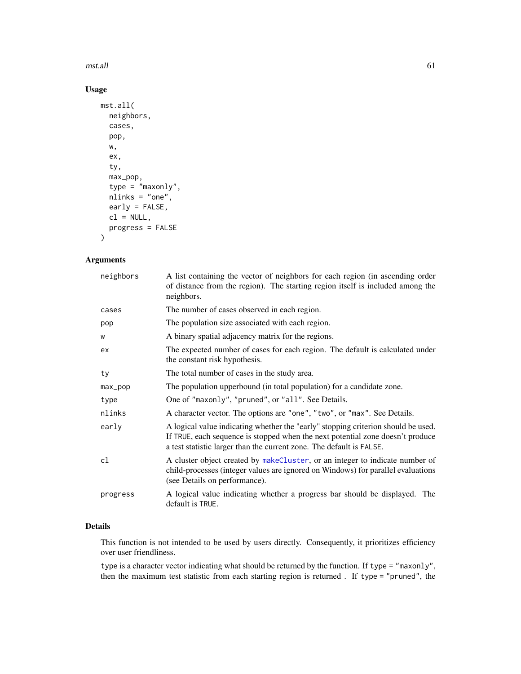#### mst.all 61

# Usage

```
mst.all(
 neighbors,
 cases,
 pop,
 w,
  ex,
  ty,
  max_pop,
  type = "maxonly",
  nlinks = "one",
 early = FALSE,
 cl = NULL,progress = FALSE
)
```
# Arguments

| neighbors  | A list containing the vector of neighbors for each region (in ascending order<br>of distance from the region). The starting region itself is included among the<br>neighbors.                                                               |
|------------|---------------------------------------------------------------------------------------------------------------------------------------------------------------------------------------------------------------------------------------------|
| cases      | The number of cases observed in each region.                                                                                                                                                                                                |
| pop        | The population size associated with each region.                                                                                                                                                                                            |
| W          | A binary spatial adjacency matrix for the regions.                                                                                                                                                                                          |
| ex         | The expected number of cases for each region. The default is calculated under<br>the constant risk hypothesis.                                                                                                                              |
| ty         | The total number of cases in the study area.                                                                                                                                                                                                |
| $max\_pop$ | The population upperbound (in total population) for a candidate zone.                                                                                                                                                                       |
| type       | One of "maxonly", "pruned", or "all". See Details.                                                                                                                                                                                          |
| nlinks     | A character vector. The options are "one", "two", or "max". See Details.                                                                                                                                                                    |
| early      | A logical value indicating whether the "early" stopping criterion should be used.<br>If TRUE, each sequence is stopped when the next potential zone doesn't produce<br>a test statistic larger than the current zone. The default is FALSE. |
| cl         | A cluster object created by makeCluster, or an integer to indicate number of<br>child-processes (integer values are ignored on Windows) for parallel evaluations<br>(see Details on performance).                                           |
| progress   | A logical value indicating whether a progress bar should be displayed. The<br>default is TRUE.                                                                                                                                              |

# Details

This function is not intended to be used by users directly. Consequently, it prioritizes efficiency over user friendliness.

type is a character vector indicating what should be returned by the function. If type = "maxonly", then the maximum test statistic from each starting region is returned . If type = "pruned", the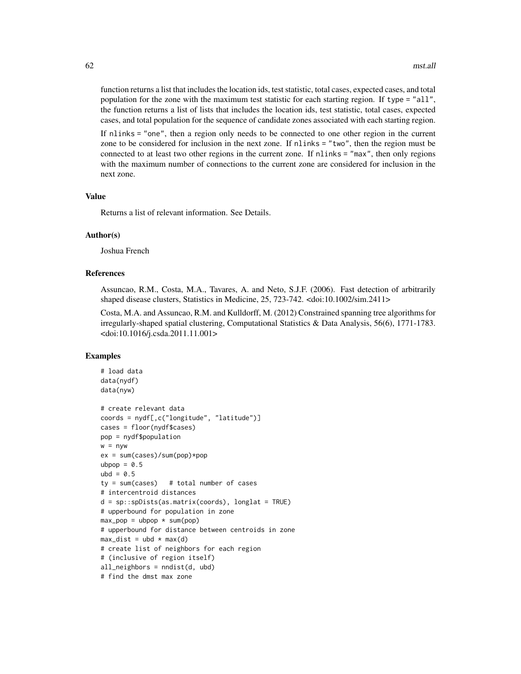function returns a list that includes the location ids, test statistic, total cases, expected cases, and total population for the zone with the maximum test statistic for each starting region. If type = "all", the function returns a list of lists that includes the location ids, test statistic, total cases, expected cases, and total population for the sequence of candidate zones associated with each starting region.

If nlinks = "one", then a region only needs to be connected to one other region in the current zone to be considered for inclusion in the next zone. If nlinks = "two", then the region must be connected to at least two other regions in the current zone. If nlinks = "max", then only regions with the maximum number of connections to the current zone are considered for inclusion in the next zone.

# Value

Returns a list of relevant information. See Details.

#### Author(s)

Joshua French

#### References

Assuncao, R.M., Costa, M.A., Tavares, A. and Neto, S.J.F. (2006). Fast detection of arbitrarily shaped disease clusters, Statistics in Medicine, 25, 723-742. <doi:10.1002/sim.2411>

Costa, M.A. and Assuncao, R.M. and Kulldorff, M. (2012) Constrained spanning tree algorithms for irregularly-shaped spatial clustering, Computational Statistics & Data Analysis, 56(6), 1771-1783. <doi:10.1016/j.csda.2011.11.001>

```
# load data
data(nydf)
data(nyw)
# create relevant data
coords = nydf[,c("longitude", "latitude")]
cases = floor(nydf$cases)
pop = nydf$population
w = nywex = sum(cases)/sum(pop)*popubpop = 0.5ubd = 0.5ty = sum(cases) # total number of cases
# intercentroid distances
d = sp::spDists(as.matrix(coords), longlat = TRUE)
# upperbound for population in zone
max\_pop = ubpop * sum(pop)# upperbound for distance between centroids in zone
max\_dist = ubd * max(d)# create list of neighbors for each region
# (inclusive of region itself)
all_neighbors = nndist(d, ubd)
# find the dmst max zone
```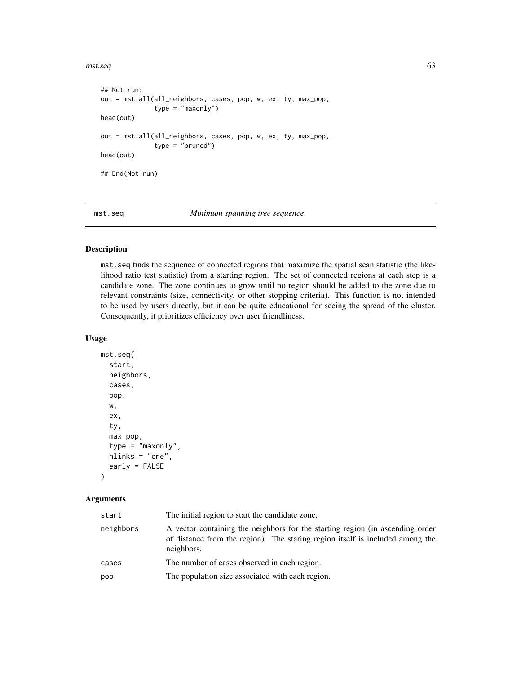$m$ st.seq 63

```
## Not run:
out = mst.all(all_neighbors, cases, pop, w, ex, ty, max_pop,
              type = "maxonly")
head(out)
out = mst.all(all_neighbors, cases, pop, w, ex, ty, max_pop,
              type = "pruned")head(out)
## End(Not run)
```
mst.seq *Minimum spanning tree sequence*

# Description

mst.seq finds the sequence of connected regions that maximize the spatial scan statistic (the likelihood ratio test statistic) from a starting region. The set of connected regions at each step is a candidate zone. The zone continues to grow until no region should be added to the zone due to relevant constraints (size, connectivity, or other stopping criteria). This function is not intended to be used by users directly, but it can be quite educational for seeing the spread of the cluster. Consequently, it prioritizes efficiency over user friendliness.

#### Usage

```
mst.seq(
  start,
  neighbors,
 cases,
  pop,
  w,
  ex,
  ty,
  max_pop,
  type = "maxonly",
  nlinks = "one",
  early = FALSE
)
```

| start     | The initial region to start the candidate zone.                                                                                                                              |
|-----------|------------------------------------------------------------------------------------------------------------------------------------------------------------------------------|
| neighbors | A vector containing the neighbors for the starting region (in ascending order<br>of distance from the region). The staring region itself is included among the<br>neighbors. |
| cases     | The number of cases observed in each region.                                                                                                                                 |
| pop       | The population size associated with each region.                                                                                                                             |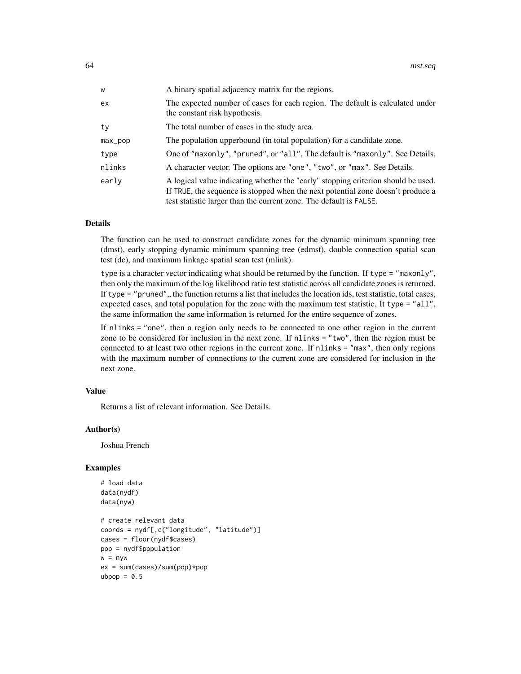| w       | A binary spatial adjacency matrix for the regions.                                                                                                                                                                                         |
|---------|--------------------------------------------------------------------------------------------------------------------------------------------------------------------------------------------------------------------------------------------|
| ex      | The expected number of cases for each region. The default is calculated under<br>the constant risk hypothesis.                                                                                                                             |
| tv      | The total number of cases in the study area.                                                                                                                                                                                               |
| max_pop | The population upperbound (in total population) for a candidate zone.                                                                                                                                                                      |
| type    | One of "maxonly", "pruned", or "all". The default is "maxonly". See Details.                                                                                                                                                               |
| nlinks  | A character vector. The options are "one", "two", or "max". See Details.                                                                                                                                                                   |
| early   | A logical value indicating whether the "early" stopping criterion should be used.<br>If TRUE, the sequence is stopped when the next potential zone doesn't produce a<br>test statistic larger than the current zone. The default is FALSE. |

## Details

The function can be used to construct candidate zones for the dynamic minimum spanning tree (dmst), early stopping dynamic minimum spanning tree (edmst), double connection spatial scan test (dc), and maximum linkage spatial scan test (mlink).

type is a character vector indicating what should be returned by the function. If type = "maxonly", then only the maximum of the log likelihood ratio test statistic across all candidate zones is returned. If type  $=$  "pruned", the function returns a list that includes the location ids, test statistic, total cases, expected cases, and total population for the zone with the maximum test statistic. It type = "all", the same information the same information is returned for the entire sequence of zones.

If nlinks = "one", then a region only needs to be connected to one other region in the current zone to be considered for inclusion in the next zone. If nlinks = "two", then the region must be connected to at least two other regions in the current zone. If nlinks = "max", then only regions with the maximum number of connections to the current zone are considered for inclusion in the next zone.

#### Value

Returns a list of relevant information. See Details.

#### Author(s)

Joshua French

```
# load data
data(nydf)
data(nyw)
# create relevant data
coords = nydf[,c("longitude", "latitude")]
cases = floor(nydf$cases)
pop = nydf$population
w = nyw
ex = sum(cases)/sum(pop)*pop
ubpop = 0.5
```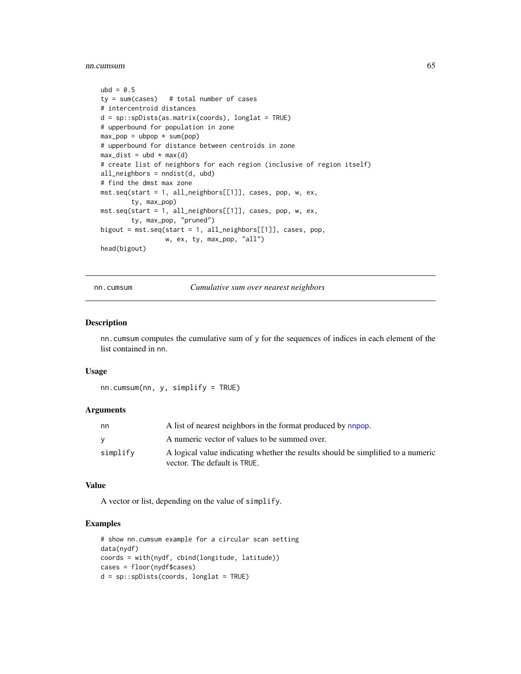nn.cumsum 65

```
ubd = 0.5ty = sum(cases) # total number of cases
# intercentroid distances
d = sp::splists(as.matrix(coords), longlat = TRUE)# upperbound for population in zone
max\_pop = ubpop * sum(pop)# upperbound for distance between centroids in zone
max\_dist = ubd * max(d)# create list of neighbors for each region (inclusive of region itself)
all_neighbors = nndist(d, ubd)
# find the dmst max zone
mst.seq(start = 1, all_neighbors[[1]], cases, pop, w, ex,
        ty, max_pop)
mst.seq(start = 1, all_neighbors[[1]], cases, pop, w, ex,
        ty, max_pop, "pruned")
bigout = mst.seq(start = 1, all_neighbors[[1]], cases, pop,
                 w, ex, ty, max_pop, "all")
head(bigout)
```
nn.cumsum *Cumulative sum over nearest neighbors*

#### Description

nn.cumsum computes the cumulative sum of y for the sequences of indices in each element of the list contained in nn.

#### Usage

nn.cumsum(nn, y, simplify = TRUE)

## **Arguments**

| nn       | A list of nearest neighbors in the format produced by <b>napop</b> .                                             |
|----------|------------------------------------------------------------------------------------------------------------------|
|          | A numeric vector of values to be summed over.                                                                    |
| simplify | A logical value indicating whether the results should be simplified to a numeric<br>vector. The default is TRUE. |

#### Value

A vector or list, depending on the value of simplify.

```
# show nn.cumsum example for a circular scan setting
data(nydf)
coords = with(nydf, cbind(longitude, latitude))
cases = floor(nydf$cases)
d = sp::spDists(coords, longlat = TRUE)
```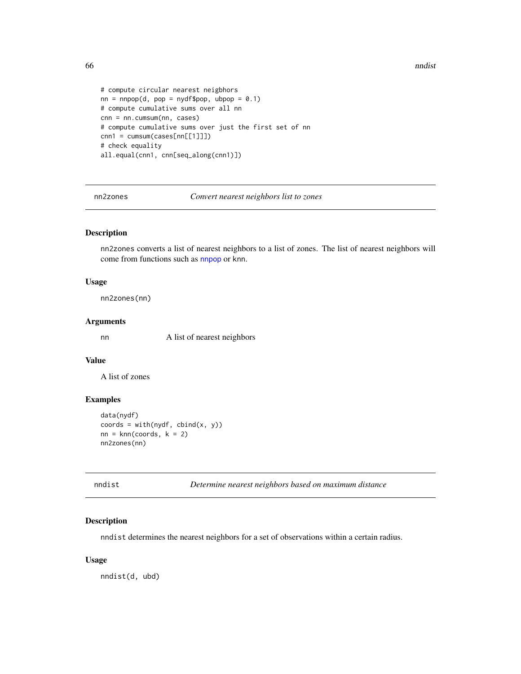```
# compute circular nearest neigbhors
nn = nnpop(d, pop = nydf$pop, ubpop = 0.1)
# compute cumulative sums over all nn
cnn = nn.cumsum(nn, cases)
# compute cumulative sums over just the first set of nn
cnn1 = cumsum(cases[nn[[1]]])# check equality
all.equal(cnn1, cnn[seq_along(cnn1)])
```
<span id="page-65-1"></span>nn2zones *Convert nearest neighbors list to zones*

## Description

nn2zones converts a list of nearest neighbors to a list of zones. The list of nearest neighbors will come from functions such as [nnpop](#page-67-0) or knn.

## Usage

nn2zones(nn)

## Arguments

nn A list of nearest neighbors

# Value

A list of zones

#### Examples

```
data(nydf)
coords = with(nydf, chind(x, y))nn = knn(coords, k = 2)
nn2zones(nn)
```
<span id="page-65-0"></span>nndist *Determine nearest neighbors based on maximum distance*

## Description

nndist determines the nearest neighbors for a set of observations within a certain radius.

#### Usage

nndist(d, ubd)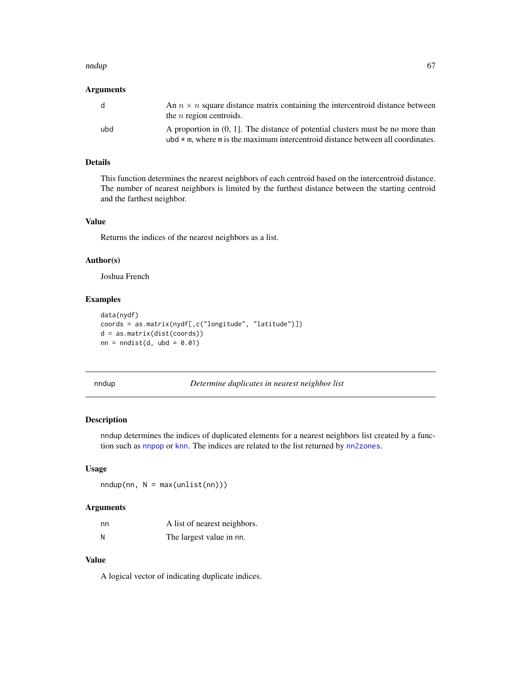#### nndup 67 ann an t-Òireann an t-Òireann an t-Òireann an t-Òireann an t-Òireann an t-Òireann an t-Òireann an t-Ò

## Arguments

| d   | An $n \times n$ square distance matrix containing the intercentroid distance between<br>the <i>n</i> region centroids.                                                   |
|-----|--------------------------------------------------------------------------------------------------------------------------------------------------------------------------|
| ubd | A proportion in (0, 1). The distance of potential clusters must be no more than<br>ubd $\star$ m, where m is the maximum intercentroid distance between all coordinates. |

# Details

This function determines the nearest neighbors of each centroid based on the intercentroid distance. The number of nearest neighbors is limited by the furthest distance between the starting centroid and the farthest neighbor.

# Value

Returns the indices of the nearest neighbors as a list.

#### Author(s)

Joshua French

# Examples

```
data(nydf)
coords = as.matrix(nydf[,c("longitude", "latitude")])
d = as.matrix(dist(coords))
nn = midist(d, ubd = 0.01)
```
nndup *Determine duplicates in nearest neighbor list*

#### Description

nndup determines the indices of duplicated elements for a nearest neighbors list created by a function such as [nnpop](#page-67-0) or [knn](#page-46-0). The indices are related to the list returned by [nn2zones](#page-65-1).

#### Usage

 $nndup(nn, N = max(unlist(nn)))$ 

#### Arguments

| nn | A list of nearest neighbors. |
|----|------------------------------|
| N  | The largest value in nn.     |

# Value

A logical vector of indicating duplicate indices.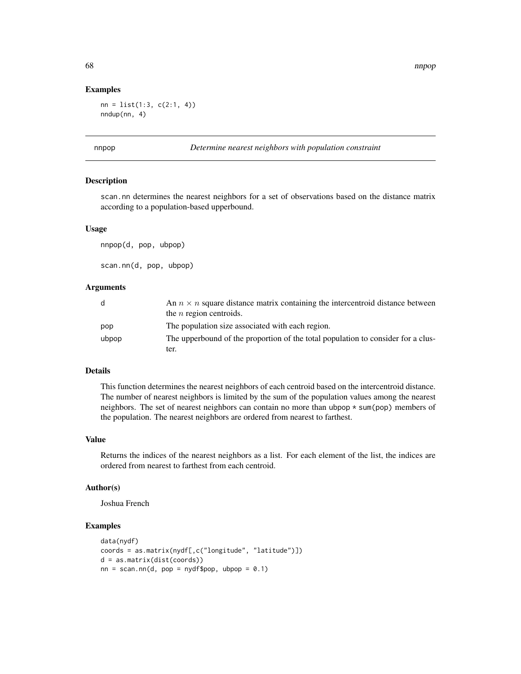#### Examples

 $nn = list(1:3, c(2:1, 4))$ nndup(nn, 4)

<span id="page-67-0"></span>

#### p *Determine nearest neighbors with population constraint*

#### Description

scan.nn determines the nearest neighbors for a set of observations based on the distance matrix according to a population-based upperbound.

#### Usage

nnpop(d, pop, ubpop)

scan.nn(d, pop, ubpop)

#### **Arguments**

| d     | An $n \times n$ square distance matrix containing the intercentroid distance between |
|-------|--------------------------------------------------------------------------------------|
|       | the $n$ region centroids.                                                            |
| pop   | The population size associated with each region.                                     |
| ubpop | The upperbound of the proportion of the total population to consider for a clus-     |
|       | ter.                                                                                 |

#### Details

This function determines the nearest neighbors of each centroid based on the intercentroid distance. The number of nearest neighbors is limited by the sum of the population values among the nearest neighbors. The set of nearest neighbors can contain no more than ubpop \* sum(pop) members of the population. The nearest neighbors are ordered from nearest to farthest.

## Value

Returns the indices of the nearest neighbors as a list. For each element of the list, the indices are ordered from nearest to farthest from each centroid.

## Author(s)

Joshua French

```
data(nydf)
coords = as.matrix(nydf[,c("longitude", "latitude")])
d = as.matrix(dist(coords))
nn = scan.nn(d, pop = nydf\pop, ubpop = 0.1)
```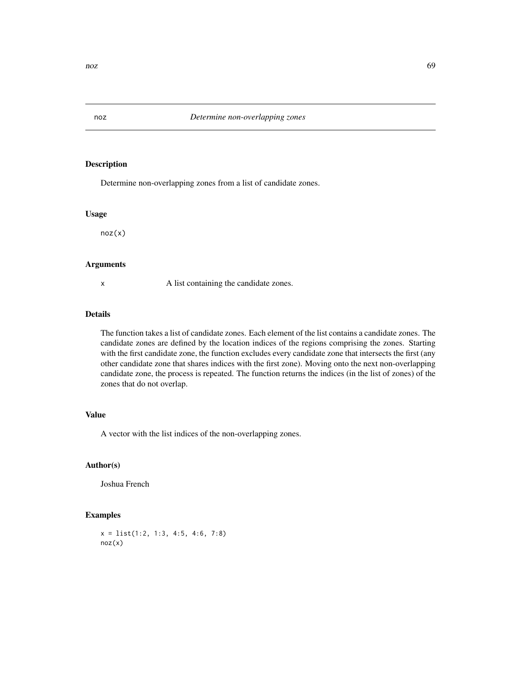Determine non-overlapping zones from a list of candidate zones.

#### Usage

noz(x)

## Arguments

x A list containing the candidate zones.

## Details

The function takes a list of candidate zones. Each element of the list contains a candidate zones. The candidate zones are defined by the location indices of the regions comprising the zones. Starting with the first candidate zone, the function excludes every candidate zone that intersects the first (any other candidate zone that shares indices with the first zone). Moving onto the next non-overlapping candidate zone, the process is repeated. The function returns the indices (in the list of zones) of the zones that do not overlap.

### Value

A vector with the list indices of the non-overlapping zones.

# Author(s)

Joshua French

```
x = list(1:2, 1:3, 4:5, 4:6, 7:8)
noz(x)
```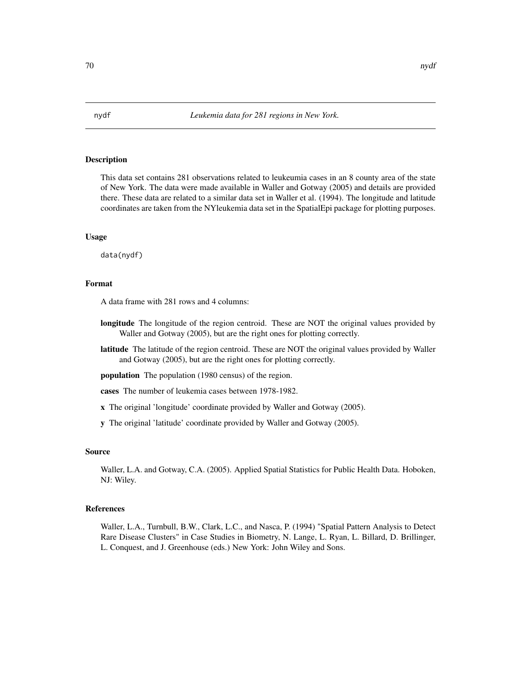This data set contains 281 observations related to leukeumia cases in an 8 county area of the state of New York. The data were made available in Waller and Gotway (2005) and details are provided there. These data are related to a similar data set in Waller et al. (1994). The longitude and latitude coordinates are taken from the NYleukemia data set in the SpatialEpi package for plotting purposes.

## Usage

data(nydf)

## Format

A data frame with 281 rows and 4 columns:

- longitude The longitude of the region centroid. These are NOT the original values provided by Waller and Gotway (2005), but are the right ones for plotting correctly.
- latitude The latitude of the region centroid. These are NOT the original values provided by Waller and Gotway (2005), but are the right ones for plotting correctly.

population The population (1980 census) of the region.

cases The number of leukemia cases between 1978-1982.

- x The original 'longitude' coordinate provided by Waller and Gotway (2005).
- y The original 'latitude' coordinate provided by Waller and Gotway (2005).

#### Source

Waller, L.A. and Gotway, C.A. (2005). Applied Spatial Statistics for Public Health Data. Hoboken, NJ: Wiley.

#### References

Waller, L.A., Turnbull, B.W., Clark, L.C., and Nasca, P. (1994) "Spatial Pattern Analysis to Detect Rare Disease Clusters" in Case Studies in Biometry, N. Lange, L. Ryan, L. Billard, D. Brillinger, L. Conquest, and J. Greenhouse (eds.) New York: John Wiley and Sons.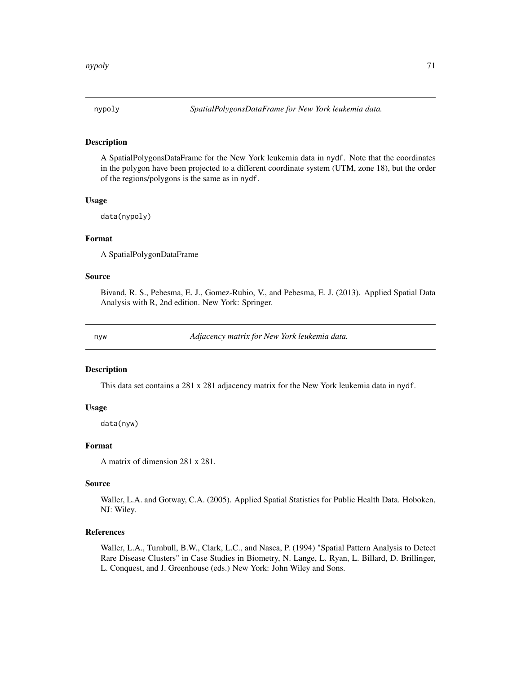A SpatialPolygonsDataFrame for the New York leukemia data in nydf. Note that the coordinates in the polygon have been projected to a different coordinate system (UTM, zone 18), but the order of the regions/polygons is the same as in nydf.

#### Usage

data(nypoly)

# Format

A SpatialPolygonDataFrame

## Source

Bivand, R. S., Pebesma, E. J., Gomez-Rubio, V., and Pebesma, E. J. (2013). Applied Spatial Data Analysis with R, 2nd edition. New York: Springer.

nyw *Adjacency matrix for New York leukemia data.*

## Description

This data set contains a 281 x 281 adjacency matrix for the New York leukemia data in nydf.

#### Usage

data(nyw)

# Format

A matrix of dimension 281 x 281.

#### Source

Waller, L.A. and Gotway, C.A. (2005). Applied Spatial Statistics for Public Health Data. Hoboken, NJ: Wiley.

## References

Waller, L.A., Turnbull, B.W., Clark, L.C., and Nasca, P. (1994) "Spatial Pattern Analysis to Detect Rare Disease Clusters" in Case Studies in Biometry, N. Lange, L. Ryan, L. Billard, D. Brillinger, L. Conquest, and J. Greenhouse (eds.) New York: John Wiley and Sons.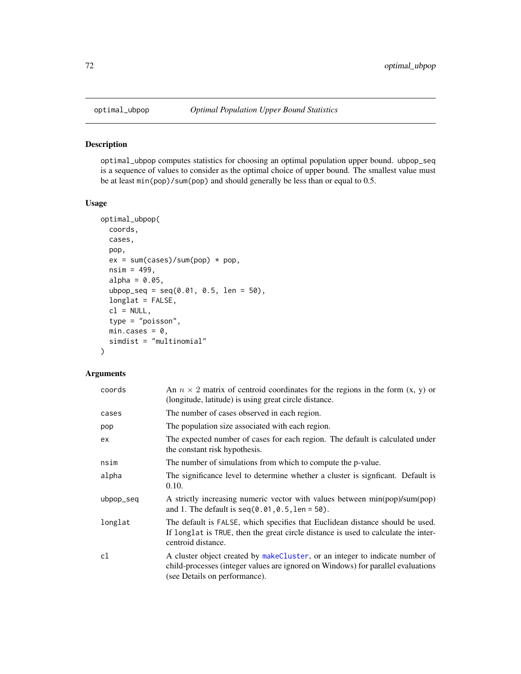optimal\_ubpop computes statistics for choosing an optimal population upper bound. ubpop\_seq is a sequence of values to consider as the optimal choice of upper bound. The smallest value must be at least min(pop)/sum(pop) and should generally be less than or equal to 0.5.

## Usage

```
optimal_ubpop(
 coords,
 cases,
 pop,
 ex = sum(cases)/sum(pop) * pop,nsim = 499,alpha = 0.05,
 ubpop_seq = seq(0.01, 0.5, len = 50),
 longlat = FALSE,
 cl = NULL,type = "poisson",
 min.class = 0,simdist = "multinomial"
)
```

| coords    | An $n \times 2$ matrix of centroid coordinates for the regions in the form $(x, y)$ or<br>(longitude, latitude) is using great circle distance.                                                   |
|-----------|---------------------------------------------------------------------------------------------------------------------------------------------------------------------------------------------------|
| cases     | The number of cases observed in each region.                                                                                                                                                      |
| pop       | The population size associated with each region.                                                                                                                                                  |
| ex        | The expected number of cases for each region. The default is calculated under<br>the constant risk hypothesis.                                                                                    |
| nsim      | The number of simulations from which to compute the p-value.                                                                                                                                      |
| alpha     | The significance level to determine whether a cluster is significant. Default is<br>0.10.                                                                                                         |
| ubpop_seq | A strictly increasing numeric vector with values between min(pop)/sum(pop)<br>and 1. The default is $seq(0.01, 0.5, len = 50)$ .                                                                  |
| longlat   | The default is FALSE, which specifies that Euclidean distance should be used.<br>If longlat is TRUE, then the great circle distance is used to calculate the inter-<br>centroid distance.         |
| cl        | A cluster object created by makeCluster, or an integer to indicate number of<br>child-processes (integer values are ignored on Windows) for parallel evaluations<br>(see Details on performance). |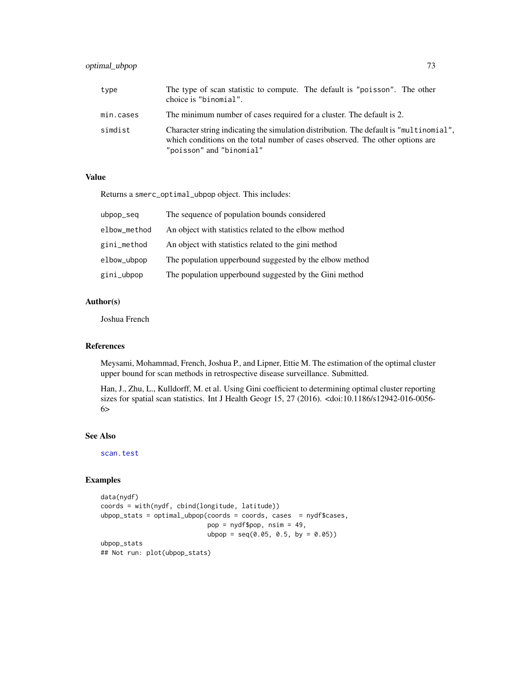# optimal\_ubpop 73

| type      | The type of scan statistic to compute. The default is "poisson". The other<br>choice is "binomial".                                                                                                 |
|-----------|-----------------------------------------------------------------------------------------------------------------------------------------------------------------------------------------------------|
| min.cases | The minimum number of cases required for a cluster. The default is 2.                                                                                                                               |
| simdist   | Character string indicating the simulation distribution. The default is "multinomial".<br>which conditions on the total number of cases observed. The other options are<br>"poisson" and "binomial" |

### Value

Returns a smerc\_optimal\_ubpop object. This includes:

| ubpop_seq    | The sequence of population bounds considered            |
|--------------|---------------------------------------------------------|
| elbow_method | An object with statistics related to the elbow method   |
| gini_method  | An object with statistics related to the gini method    |
| elbow_ubpop  | The population upperbound suggested by the elbow method |
| gini_ubpop   | The population upperbound suggested by the Gini method  |

# Author(s)

Joshua French

### References

Meysami, Mohammad, French, Joshua P., and Lipner, Ettie M. The estimation of the optimal cluster upper bound for scan methods in retrospective disease surveillance. Submitted.

Han, J., Zhu, L., Kulldorff, M. et al. Using Gini coefficient to determining optimal cluster reporting sizes for spatial scan statistics. Int J Health Geogr 15, 27 (2016). <doi:10.1186/s12942-016-0056- 6>

#### See Also

[scan.test](#page-89-0)

```
data(nydf)
coords = with(nydf, cbind(longitude, latitude))
ubpop_stats = optimal_ubpop(coords = coords, cases = nydf$cases,
                           pop = nydf$pop, nsim = 49,
                           ubpop = seq(0.05, 0.5, by = 0.05)ubpop_stats
## Not run: plot(ubpop_stats)
```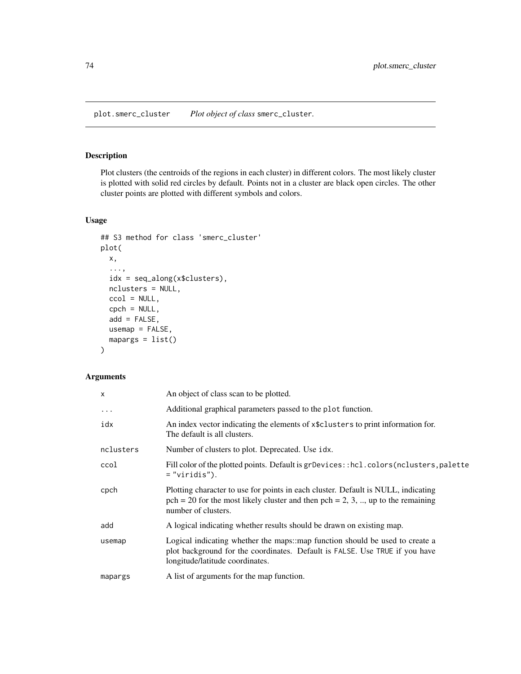<span id="page-73-0"></span>plot.smerc\_cluster *Plot object of class* smerc\_cluster*.*

### Description

Plot clusters (the centroids of the regions in each cluster) in different colors. The most likely cluster is plotted with solid red circles by default. Points not in a cluster are black open circles. The other cluster points are plotted with different symbols and colors.

# Usage

```
## S3 method for class 'smerc_cluster'
plot(
 x,
  ...,
  idx = seq_along(x$clusters),
 nclusters = NULL,
 ccol = NULL,
  cpch = NULL,
  add = FALSE,usemap = FALSE,
 mapargs = list())
```

| x         | An object of class scan to be plotted.                                                                                                                                                                |
|-----------|-------------------------------------------------------------------------------------------------------------------------------------------------------------------------------------------------------|
| $\cdots$  | Additional graphical parameters passed to the plot function.                                                                                                                                          |
| idx       | An index vector indicating the elements of x\$clusters to print information for.<br>The default is all clusters.                                                                                      |
| nclusters | Number of clusters to plot. Deprecated. Use idx.                                                                                                                                                      |
| ccol      | Fill color of the plotted points. Default is grDevices: : hcl.colors (nclusters, palette<br>$=$ "viridis").                                                                                           |
| cpch      | Plotting character to use for points in each cluster. Default is NULL, indicating<br>$pch = 20$ for the most likely cluster and then $pch = 2, 3, \dots$ , up to the remaining<br>number of clusters. |
| add       | A logical indicating whether results should be drawn on existing map.                                                                                                                                 |
| usemap    | Logical indicating whether the maps::map function should be used to create a<br>plot background for the coordinates. Default is FALSE. Use TRUE if you have<br>longitude/latitude coordinates.        |
| mapargs   | A list of arguments for the map function.                                                                                                                                                             |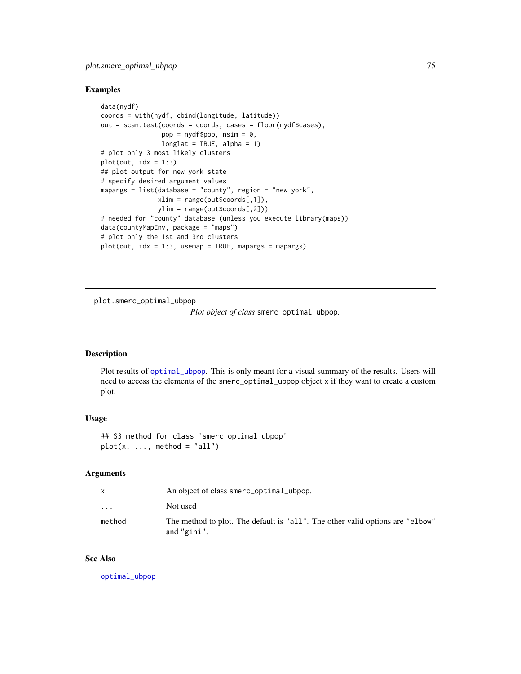#### Examples

```
data(nydf)
coords = with(nydf, cbind(longitude, latitude))
out = scan.test(coords = coords, cases = floor(nydf$cases),
                pop = nydf\pop, nsim = 0,
                longlat = TRUE, alpha = 1)# plot only 3 most likely clusters
plot(out, idx = 1:3)## plot output for new york state
# specify desired argument values
mapargs = list(database = "county", region = "new york",
               xlim = range(out$coords[,1]),
               ylim = range(out$coords[,2]))
# needed for "county" database (unless you execute library(maps))
data(countyMapEnv, package = "maps")
# plot only the 1st and 3rd clusters
plot(out, idx = 1:3, usemap = TRUE, mapargs = mapargs)
```
plot.smerc\_optimal\_ubpop

*Plot object of class* smerc\_optimal\_ubpop*.*

### Description

Plot results of [optimal\\_ubpop](#page-71-0). This is only meant for a visual summary of the results. Users will need to access the elements of the smerc\_optimal\_ubpop object x if they want to create a custom plot.

### Usage

## S3 method for class 'smerc\_optimal\_ubpop'  $plot(x, ..., method = "all")$ 

### Arguments

|          | An object of class smerc_optimal_ubpop.                                                      |
|----------|----------------------------------------------------------------------------------------------|
| $\cdots$ | Not used                                                                                     |
| method   | The method to plot. The default is "all". The other valid options are "elbow"<br>and "gini". |

#### See Also

[optimal\\_ubpop](#page-71-0)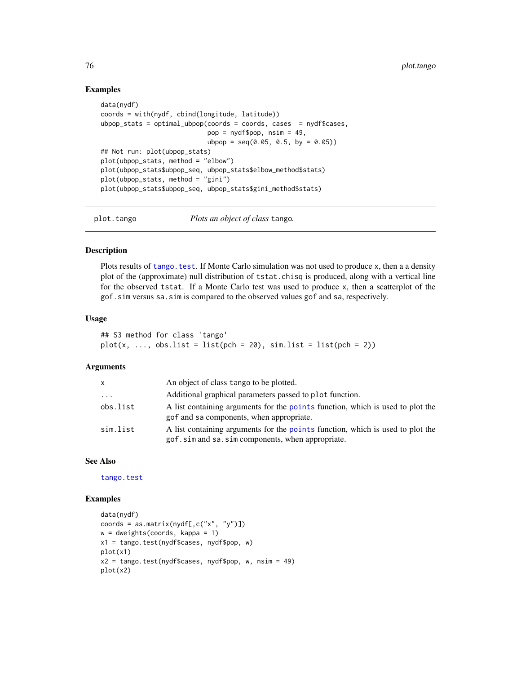### Examples

```
data(nydf)
coords = with(nydf, cbind(longitude, latitude))
ubpop_stats = optimal_ubpop(coords = coords, cases = nydf$cases,
                            pop = nydf$pop, nsim = 49,
                            ubpop = seq(0.05, 0.5, by = 0.05)## Not run: plot(ubpop_stats)
plot(ubpop_stats, method = "elbow")
plot(ubpop_stats$ubpop_seq, ubpop_stats$elbow_method$stats)
plot(ubpop_{stats}, method = "gini")plot(ubpop_stats$ubpop_seq, ubpop_stats$gini_method$stats)
```
plot.tango *Plots an object of class* tango*.*

#### Description

Plots results of tango. test. If Monte Carlo simulation was not used to produce x, then a a density plot of the (approximate) null distribution of tstat.chisq is produced, along with a vertical line for the observed tstat. If a Monte Carlo test was used to produce x, then a scatterplot of the gof.sim versus sa.sim is compared to the observed values gof and sa, respectively.

#### Usage

```
## S3 method for class 'tango'
plot(x, ..., obs.list = list(pch = 20), sim.list = list(pch = 2))
```
#### Arguments

| <b>X</b> | An object of class tango to be plotted.                                                                                            |
|----------|------------------------------------------------------------------------------------------------------------------------------------|
| $\ddots$ | Additional graphical parameters passed to plot function.                                                                           |
| obs.list | A list containing arguments for the points function, which is used to plot the<br>gof and sa components, when appropriate.         |
| sim.list | A list containing arguments for the points function, which is used to plot the<br>gof.sim and sa.sim components, when appropriate. |

### See Also

[tango.test](#page-100-0)

```
data(nydf)
coords = as.matrix(nydf[,c("x", "y")])
w = dweights(coords, kappa = 1)
x1 = tango.test(nydf$cases, nydf$pop, w)
plot(x1)
x2 = \text{tango.test(nydf}cases, nydf\text{pop}, w, \text{nsim} = 49)plot(x2)
```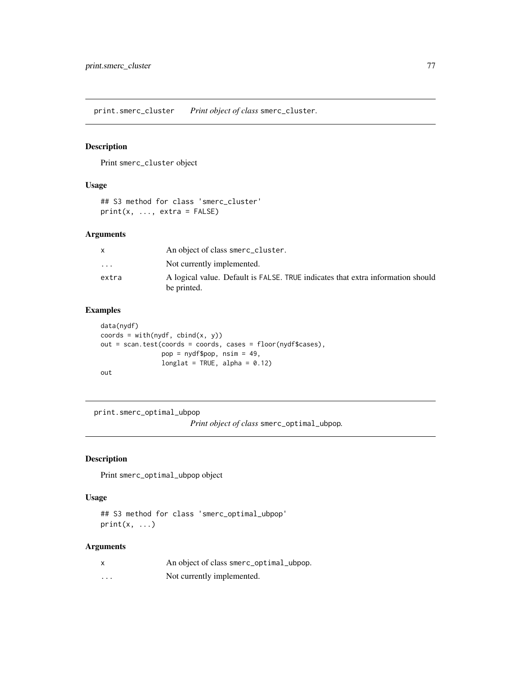<span id="page-76-0"></span>print.smerc\_cluster *Print object of class* smerc\_cluster*.*

# Description

Print smerc\_cluster object

# Usage

```
## S3 method for class 'smerc_cluster'
print(x, ..., extra = FALSE)
```
# Arguments

|                         | An object of class smerc_cluster.                                                              |
|-------------------------|------------------------------------------------------------------------------------------------|
| $\cdot$ $\cdot$ $\cdot$ | Not currently implemented.                                                                     |
| extra                   | A logical value. Default is FALSE. TRUE indicates that extra information should<br>be printed. |

# Examples

```
data(nydf)
coords = with(nydf, chind(x, y))out = scan.test(coords = coords, cases = floor(nydf$cases),
               pop = nydf$pop, nsim = 49,
               longlat = TRUE, alpha = 0.12)out
```
print.smerc\_optimal\_ubpop

*Print object of class* smerc\_optimal\_ubpop*.*

# Description

Print smerc\_optimal\_ubpop object

### Usage

```
## S3 method for class 'smerc_optimal_ubpop'
print(x, \ldots)
```

| X | An object of class smerc_optimal_ubpop. |
|---|-----------------------------------------|
| . | Not currently implemented.              |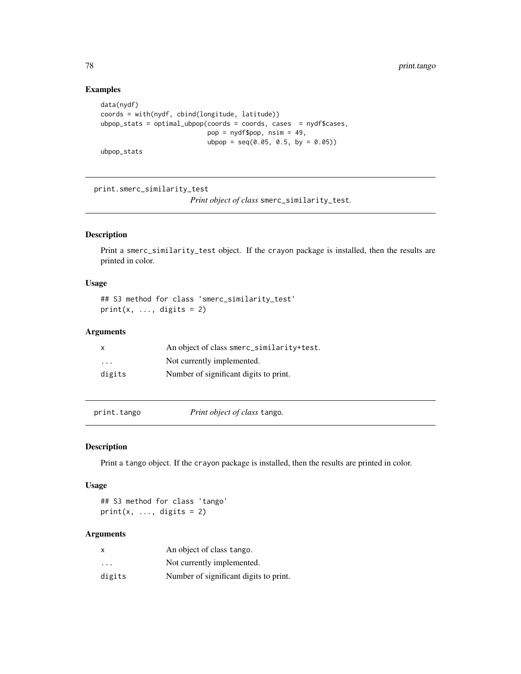# Examples

```
data(nydf)
coords = with(nydf, cbind(longitude, latitude))
ubpop_stats = optimal_ubpop(coords = coords, cases = nydf$cases,
                           pop = nydf$pop, nsim = 49,
                           ubpop = seq(0.05, 0.5, by = 0.05)ubpop_stats
```
print.smerc\_similarity\_test

*Print object of class* smerc\_similarity\_test*.*

# Description

Print a smerc\_similarity\_test object. If the crayon package is installed, then the results are printed in color.

#### Usage

## S3 method for class 'smerc\_similarity\_test'  $print(x, ..., digits = 2)$ 

### Arguments

| $\mathsf{x}$            | An object of class smerc_similarity+test. |
|-------------------------|-------------------------------------------|
| $\cdot$ $\cdot$ $\cdot$ | Not currently implemented.                |
| digits                  | Number of significant digits to print.    |

print.tango *Print object of class* tango*.*

#### Description

Print a tango object. If the crayon package is installed, then the results are printed in color.

#### Usage

## S3 method for class 'tango' print(x,  $\ldots$ , digits = 2)

| x                       | An object of class tango.              |
|-------------------------|----------------------------------------|
| $\cdot$ $\cdot$ $\cdot$ | Not currently implemented.             |
| digits                  | Number of significant digits to print. |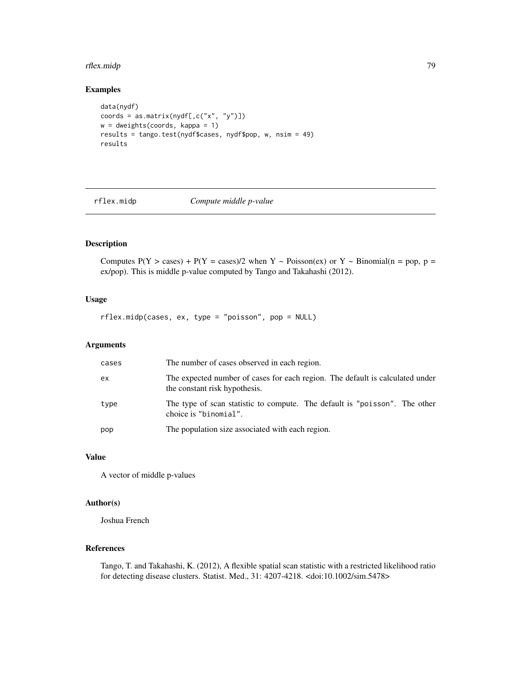# rflex.midp 79

# Examples

```
data(nydf)
coords = as.matrix(nydf[,c("x", "y")])
w = dweights(coords, kappa = 1)
results = tango.test(nydf$cases, nydf$pop, w, nsim = 49)
results
```
rflex.midp *Compute middle p-value*

# Description

Computes  $P(Y > cases) + P(Y = cases)/2$  when Y ~ Poisson(ex) or Y ~ Binomial(n = pop, p = ex/pop). This is middle p-value computed by Tango and Takahashi (2012).

# Usage

rflex.midp(cases, ex, type = "poisson", pop = NULL)

#### Arguments

| cases | The number of cases observed in each region.                                                                   |
|-------|----------------------------------------------------------------------------------------------------------------|
| ex    | The expected number of cases for each region. The default is calculated under<br>the constant risk hypothesis. |
| type  | The type of scan statistic to compute. The default is "poisson". The other<br>choice is "binomial".            |
| pop   | The population size associated with each region.                                                               |

# Value

A vector of middle p-values

### Author(s)

Joshua French

### References

Tango, T. and Takahashi, K. (2012), A flexible spatial scan statistic with a restricted likelihood ratio for detecting disease clusters. Statist. Med., 31: 4207-4218. <doi:10.1002/sim.5478>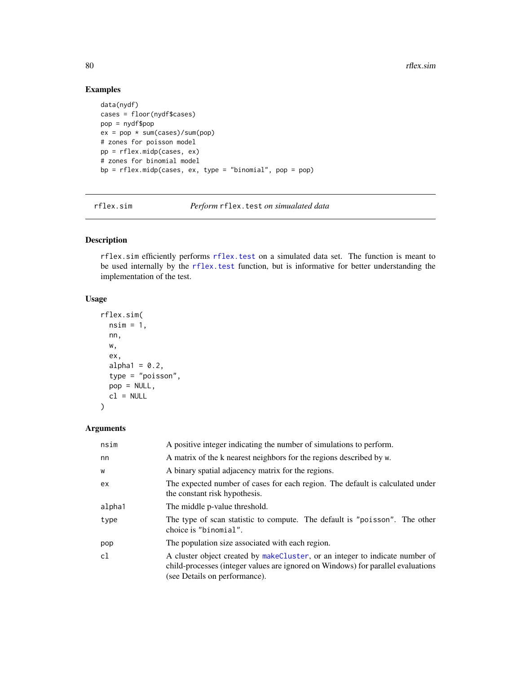# Examples

```
data(nydf)
cases = floor(nydf$cases)
pop = nydf$pop
ex = pop * sum(cases)/sum(pop)# zones for poisson model
pp = rflex.midp(cases, ex)
# zones for binomial model
bp = rflex.midp(cases, ex, type = "binomial", pop = pop)
```
rflex.sim *Perform* rflex.test *on simualated data*

# Description

rflex.sim efficiently performs [rflex.test](#page-80-0) on a simulated data set. The function is meant to be used internally by the [rflex.test](#page-80-0) function, but is informative for better understanding the implementation of the test.

#### Usage

```
rflex.sim(
 nsim = 1,
  nn,
  w,
  ex,
  alpha1 = 0.2,
  type = "poisson",
  pop = NULL,
  cl = NULL)
```

| nsim   | A positive integer indicating the number of simulations to perform.                                                                                                                               |
|--------|---------------------------------------------------------------------------------------------------------------------------------------------------------------------------------------------------|
| nn     | A matrix of the k nearest neighbors for the regions described by w.                                                                                                                               |
| W      | A binary spatial adjacency matrix for the regions.                                                                                                                                                |
| ex     | The expected number of cases for each region. The default is calculated under<br>the constant risk hypothesis.                                                                                    |
| alpha1 | The middle p-value threshold.                                                                                                                                                                     |
| type   | The type of scan statistic to compute. The default is "poisson". The other<br>choice is "binomial".                                                                                               |
| pop    | The population size associated with each region.                                                                                                                                                  |
| cl     | A cluster object created by makeCluster, or an integer to indicate number of<br>child-processes (integer values are ignored on Windows) for parallel evaluations<br>(see Details on performance). |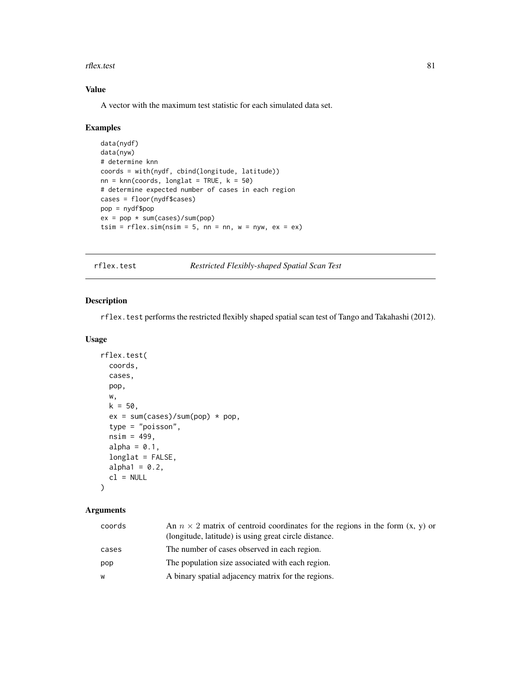#### rflex.test 81

# Value

A vector with the maximum test statistic for each simulated data set.

#### Examples

```
data(nydf)
data(nyw)
# determine knn
coords = with(nydf, cbind(longitude, latitude))
nn = knn(coords, longlat = TRUE, k = 50)
# determine expected number of cases in each region
cases = floor(nydf$cases)
pop = nydf$pop
ex = pop * sum(cases)/sum(pop)tsim = rflex.sim(nsim = 5, nn = nn, w = nyw, ex = ex)
```
<span id="page-80-0"></span>rflex.test *Restricted Flexibly-shaped Spatial Scan Test*

### Description

rflex.test performs the restricted flexibly shaped spatial scan test of Tango and Takahashi (2012).

#### Usage

```
rflex.test(
  coords,
  cases,
 pop,
 w,
 k = 50,
  ex = sum(cases)/sum(pop) * pop,type = "poisson",
  nsim = 499,alpha = 0.1,
  longlat = FALSE,
  alpha1 = 0.2,
  cl = NULL
```
### )

| coords | An $n \times 2$ matrix of centroid coordinates for the regions in the form $(x, y)$ or<br>(longitude, latitude) is using great circle distance. |
|--------|-------------------------------------------------------------------------------------------------------------------------------------------------|
| cases  | The number of cases observed in each region.                                                                                                    |
| pop    | The population size associated with each region.                                                                                                |
| W      | A binary spatial adjacency matrix for the regions.                                                                                              |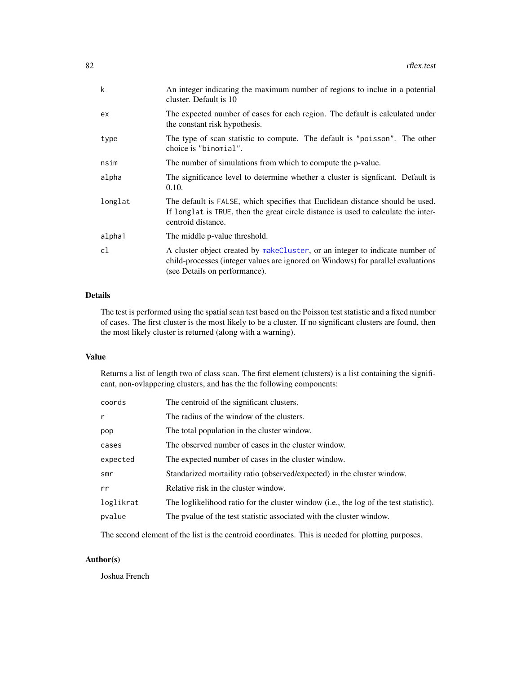| $\mathsf{k}$ | An integer indicating the maximum number of regions to inclue in a potential<br>cluster. Default is 10                                                                                            |
|--------------|---------------------------------------------------------------------------------------------------------------------------------------------------------------------------------------------------|
| ex           | The expected number of cases for each region. The default is calculated under<br>the constant risk hypothesis.                                                                                    |
| type         | The type of scan statistic to compute. The default is "poisson". The other<br>choice is "binomial".                                                                                               |
| nsim         | The number of simulations from which to compute the p-value.                                                                                                                                      |
| alpha        | The significance level to determine whether a cluster is significant. Default is<br>0.10.                                                                                                         |
| longlat      | The default is FALSE, which specifies that Euclidean distance should be used.<br>If longlat is TRUE, then the great circle distance is used to calculate the inter-<br>centroid distance.         |
| alpha1       | The middle p-value threshold.                                                                                                                                                                     |
| c1           | A cluster object created by makeCluster, or an integer to indicate number of<br>child-processes (integer values are ignored on Windows) for parallel evaluations<br>(see Details on performance). |

# Details

The test is performed using the spatial scan test based on the Poisson test statistic and a fixed number of cases. The first cluster is the most likely to be a cluster. If no significant clusters are found, then the most likely cluster is returned (along with a warning).

### Value

Returns a list of length two of class scan. The first element (clusters) is a list containing the significant, non-ovlappering clusters, and has the the following components:

| coords    | The centroid of the significant clusters.                                              |
|-----------|----------------------------------------------------------------------------------------|
| r         | The radius of the window of the clusters.                                              |
| pop       | The total population in the cluster window.                                            |
| cases     | The observed number of cases in the cluster window.                                    |
| expected  | The expected number of cases in the cluster window.                                    |
| smr       | Standarized mortaility ratio (observed/expected) in the cluster window.                |
| rr        | Relative risk in the cluster window.                                                   |
| loglikrat | The logilizelihood ratio for the cluster window (i.e., the log of the test statistic). |
| pvalue    | The pvalue of the test statistic associated with the cluster window.                   |
|           |                                                                                        |

The second element of the list is the centroid coordinates. This is needed for plotting purposes.

# Author(s)

Joshua French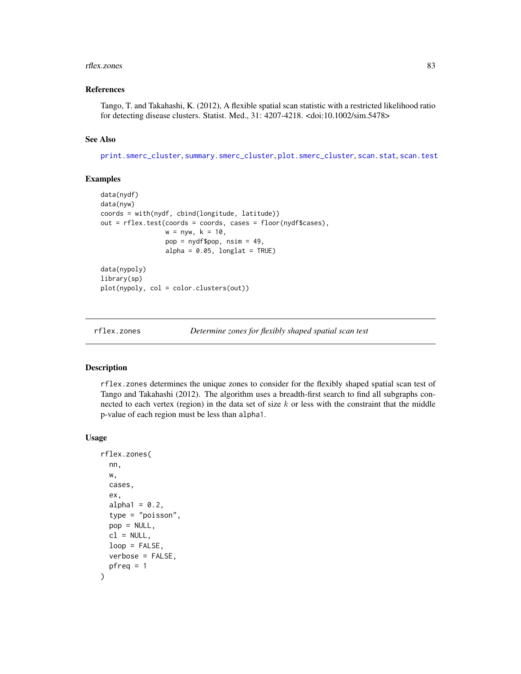#### rflex.zones 83

#### References

Tango, T. and Takahashi, K. (2012), A flexible spatial scan statistic with a restricted likelihood ratio for detecting disease clusters. Statist. Med., 31: 4207-4218. <doi:10.1002/sim.5478>

### See Also

[print.smerc\\_cluster](#page-76-0), [summary.smerc\\_cluster](#page-98-0), [plot.smerc\\_cluster](#page-73-0), [scan.stat](#page-88-0), [scan.test](#page-89-0)

#### Examples

```
data(nydf)
data(nyw)
coords = with(nydf, cbind(longitude, latitude))
out = rflex.test(coords = coords, cases = floor(nydf$cases),
                 w = nyw, k = 10,pop = nydf$pop, nsim = 49,
                 alpha = 0.05, longlat = TRUE)
data(nypoly)
library(sp)
plot(nypoly, col = color.clusters(out))
```
rflex.zones *Determine zones for flexibly shaped spatial scan test*

#### Description

rflex.zones determines the unique zones to consider for the flexibly shaped spatial scan test of Tango and Takahashi (2012). The algorithm uses a breadth-first search to find all subgraphs connected to each vertex (region) in the data set of size  $k$  or less with the constraint that the middle p-value of each region must be less than alpha1.

#### Usage

```
rflex.zones(
  nn,
 w,
  cases,
  ex,
  alpha1 = 0.2,
  type = "poisson",
  pop = NULL,
 cl = NULL,loop = FALSE,
  verbose = FALSE,
 pfreq = 1)
```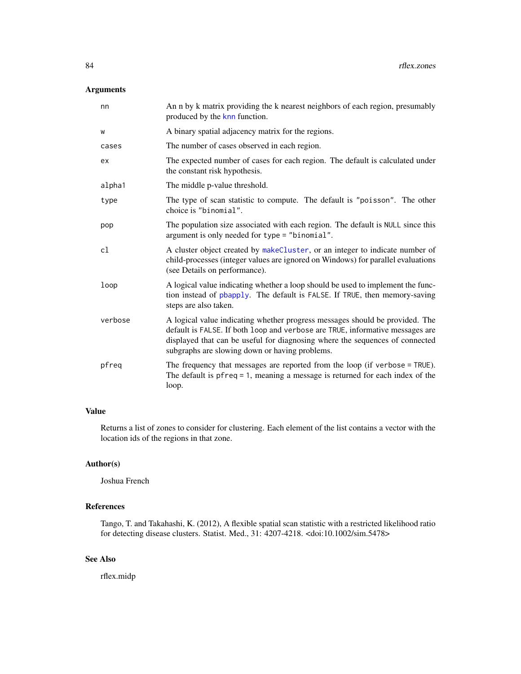### Arguments

| nn      | An n by k matrix providing the k nearest neighbors of each region, presumably<br>produced by the knn function.                                                                                                                                                                                  |
|---------|-------------------------------------------------------------------------------------------------------------------------------------------------------------------------------------------------------------------------------------------------------------------------------------------------|
| W       | A binary spatial adjacency matrix for the regions.                                                                                                                                                                                                                                              |
| cases   | The number of cases observed in each region.                                                                                                                                                                                                                                                    |
| ex      | The expected number of cases for each region. The default is calculated under<br>the constant risk hypothesis.                                                                                                                                                                                  |
| alpha1  | The middle p-value threshold.                                                                                                                                                                                                                                                                   |
| type    | The type of scan statistic to compute. The default is "poisson". The other<br>choice is "binomial".                                                                                                                                                                                             |
| pop     | The population size associated with each region. The default is NULL since this<br>argument is only needed for type = "binomial".                                                                                                                                                               |
| cl      | A cluster object created by makeCluster, or an integer to indicate number of<br>child-processes (integer values are ignored on Windows) for parallel evaluations<br>(see Details on performance).                                                                                               |
| loop    | A logical value indicating whether a loop should be used to implement the func-<br>tion instead of pbapply. The default is FALSE. If TRUE, then memory-saving<br>steps are also taken.                                                                                                          |
| verbose | A logical value indicating whether progress messages should be provided. The<br>default is FALSE. If both loop and verbose are TRUE, informative messages are<br>displayed that can be useful for diagnosing where the sequences of connected<br>subgraphs are slowing down or having problems. |
| pfreq   | The frequency that messages are reported from the loop (if verbose = TRUE).<br>The default is $pfreq = 1$ , meaning a message is returned for each index of the<br>loop.                                                                                                                        |

# Value

Returns a list of zones to consider for clustering. Each element of the list contains a vector with the location ids of the regions in that zone.

# Author(s)

Joshua French

# References

Tango, T. and Takahashi, K. (2012), A flexible spatial scan statistic with a restricted likelihood ratio for detecting disease clusters. Statist. Med., 31: 4207-4218. <doi:10.1002/sim.5478>

# See Also

rflex.midp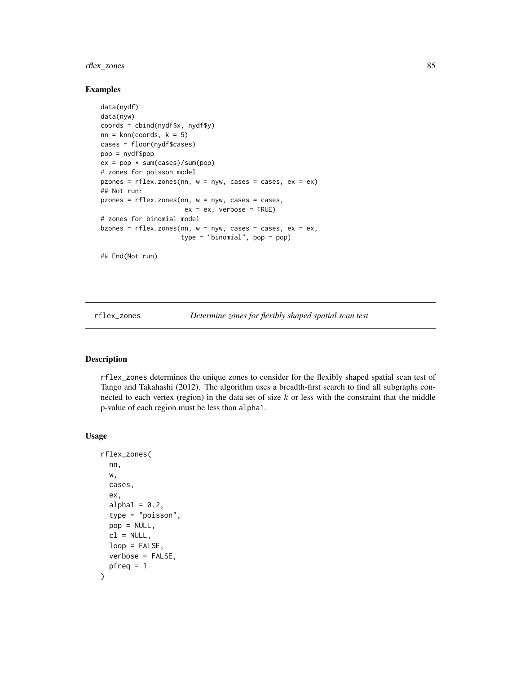# rflex\_zones 85

#### Examples

```
data(nydf)
data(nyw)
coords = cbind(nydf$x, nydf$y)
nn = knn(coords, k = 5)
cases = floor(nydf$cases)
pop = nydf$pop
ex = pop * sum(cases)/sum(pop)# zones for poisson model
pzones = rflex.zones(nn, w = nyw, cases = cases, ex = ex)## Not run:
p \, \text{zones} = \text{rflex} \, \text{zones}(n n, \, w = n \, y \, w, \, \text{cases} = \text{cases}ex = ex, verbose = TRUE)
# zones for binomial model
bzones = rflex.zones(nn, w = nyw, cases = cases, ex = ex,type = "binomial", pop = pop)
```
## End(Not run)

rflex\_zones *Determine zones for flexibly shaped spatial scan test*

#### Description

rflex\_zones determines the unique zones to consider for the flexibly shaped spatial scan test of Tango and Takahashi (2012). The algorithm uses a breadth-first search to find all subgraphs connected to each vertex (region) in the data set of size  $k$  or less with the constraint that the middle p-value of each region must be less than alpha1.

# Usage

```
rflex_zones(
  nn,
 w,
  cases,
  ex,
  alpha1 = 0.2,
  type = "poisson",
  pop = NULL,cl = NULL,loop = FALSE,
  verbose = FALSE,
 pfreq = 1)
```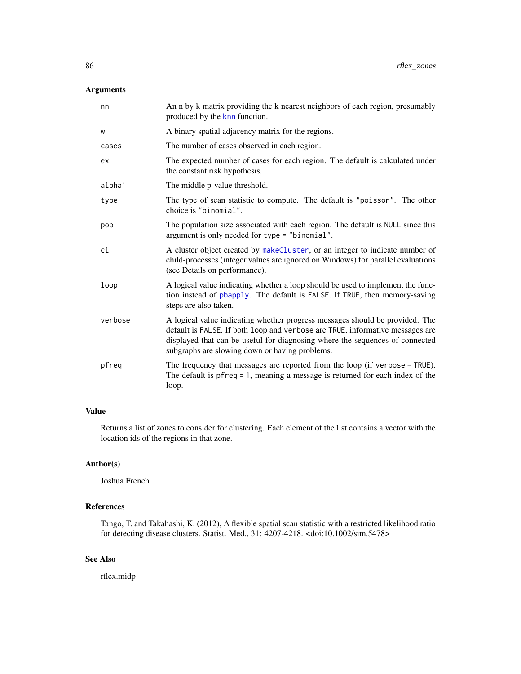### Arguments

| nn      | An n by k matrix providing the k nearest neighbors of each region, presumably<br>produced by the knn function.                                                                                                                                                                                  |
|---------|-------------------------------------------------------------------------------------------------------------------------------------------------------------------------------------------------------------------------------------------------------------------------------------------------|
| W       | A binary spatial adjacency matrix for the regions.                                                                                                                                                                                                                                              |
| cases   | The number of cases observed in each region.                                                                                                                                                                                                                                                    |
| ex      | The expected number of cases for each region. The default is calculated under<br>the constant risk hypothesis.                                                                                                                                                                                  |
| alpha1  | The middle p-value threshold.                                                                                                                                                                                                                                                                   |
| type    | The type of scan statistic to compute. The default is "poisson". The other<br>choice is "binomial".                                                                                                                                                                                             |
| pop     | The population size associated with each region. The default is NULL since this<br>argument is only needed for type = "binomial".                                                                                                                                                               |
| cl      | A cluster object created by makeCluster, or an integer to indicate number of<br>child-processes (integer values are ignored on Windows) for parallel evaluations<br>(see Details on performance).                                                                                               |
| loop    | A logical value indicating whether a loop should be used to implement the func-<br>tion instead of pbapply. The default is FALSE. If TRUE, then memory-saving<br>steps are also taken.                                                                                                          |
| verbose | A logical value indicating whether progress messages should be provided. The<br>default is FALSE. If both loop and verbose are TRUE, informative messages are<br>displayed that can be useful for diagnosing where the sequences of connected<br>subgraphs are slowing down or having problems. |
| pfreq   | The frequency that messages are reported from the loop (if verbose = TRUE).<br>The default is $pfreq = 1$ , meaning a message is returned for each index of the<br>loop.                                                                                                                        |

# Value

Returns a list of zones to consider for clustering. Each element of the list contains a vector with the location ids of the regions in that zone.

# Author(s)

Joshua French

# References

Tango, T. and Takahashi, K. (2012), A flexible spatial scan statistic with a restricted likelihood ratio for detecting disease clusters. Statist. Med., 31: 4207-4218. <doi:10.1002/sim.5478>

# See Also

rflex.midp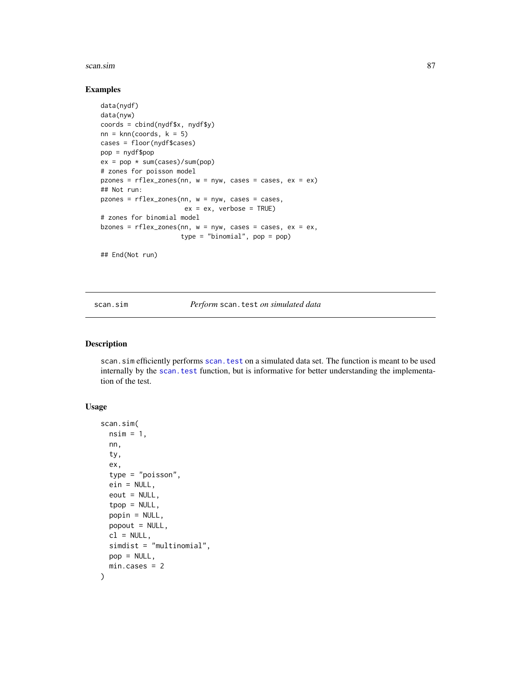#### scan.sim 87

#### Examples

```
data(nydf)
data(nyw)
coords = cbind(nydf$x, nydf$y)
nn = knn(coords, k = 5)
cases = floor(nydf$cases)
pop = nydf$pop
ex = pop * sum(cases)/sum(pop)# zones for poisson model
pzones = rflex_zones(nn, w = nyw, cases = cases, ex = ex)## Not run:
pzones = rflex_zones(nn, w = nyw, cases = cases,
                      ex = ex, verbose = TRUE)
# zones for binomial model
bzones = rflex_zones(nn, w = nyw, cases = cases, ex = ex,type = "binomial", pop = pop)
```
## End(Not run)

scan.sim *Perform* scan.test *on simulated data*

### Description

scan.sim efficiently performs [scan.test](#page-89-0) on a simulated data set. The function is meant to be used internally by the [scan.test](#page-89-0) function, but is informative for better understanding the implementation of the test.

### Usage

```
scan.sim(
 nsim = 1,
  nn,
  ty,
  ex,
  type = "poisson",
  ein = NULL,
  eout = NULL,top = NULL,popin = NULL,
 popout = NULL,cl = NULL,simdist = "multinomial",
 pop = NULL,
 min.cases = 2
)
```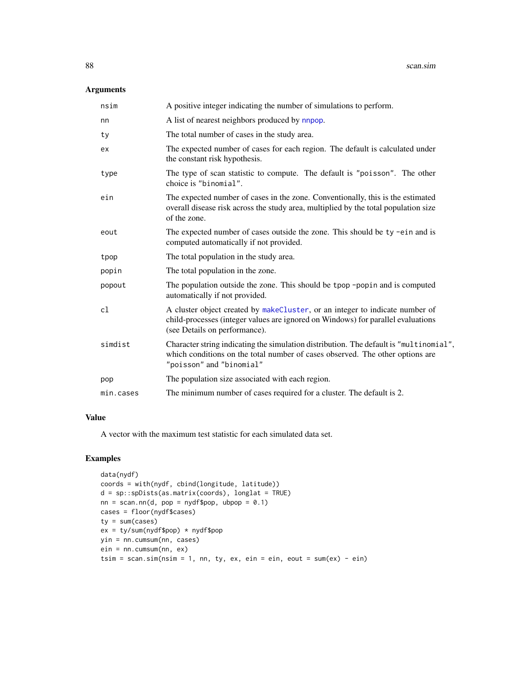# Arguments

| nsim      | A positive integer indicating the number of simulations to perform.                                                                                                                                 |
|-----------|-----------------------------------------------------------------------------------------------------------------------------------------------------------------------------------------------------|
| nn        | A list of nearest neighbors produced by nnpop.                                                                                                                                                      |
| ty        | The total number of cases in the study area.                                                                                                                                                        |
| ex        | The expected number of cases for each region. The default is calculated under<br>the constant risk hypothesis.                                                                                      |
| type      | The type of scan statistic to compute. The default is "poisson". The other<br>choice is "binomial".                                                                                                 |
| ein       | The expected number of cases in the zone. Conventionally, this is the estimated<br>overall disease risk across the study area, multiplied by the total population size<br>of the zone.              |
| eout      | The expected number of cases outside the zone. This should be ty -ein and is<br>computed automatically if not provided.                                                                             |
| tpop      | The total population in the study area.                                                                                                                                                             |
| popin     | The total population in the zone.                                                                                                                                                                   |
| popout    | The population outside the zone. This should be tpop -popin and is computed<br>automatically if not provided.                                                                                       |
| cl        | A cluster object created by makeCluster, or an integer to indicate number of<br>child-processes (integer values are ignored on Windows) for parallel evaluations<br>(see Details on performance).   |
| simdist   | Character string indicating the simulation distribution. The default is "multinomial",<br>which conditions on the total number of cases observed. The other options are<br>"poisson" and "binomial" |
| pop       | The population size associated with each region.                                                                                                                                                    |
| min.cases | The minimum number of cases required for a cluster. The default is 2.                                                                                                                               |
|           |                                                                                                                                                                                                     |

# Value

A vector with the maximum test statistic for each simulated data set.

```
data(nydf)
coords = with(nydf, cbind(longitude, latitude))
d = sp::spDists(as.matrix(coords), longlat = TRUE)
nn = scan.nn(d, pop = nydf$pop, ubpop = 0.1)
cases = floor(nydf$cases)
ty = sum(cases)
ex = ty/sum(nydf$pop) * nydf$pop
yin = nn.cumsum(nn, cases)
ein = nn.cumsum(nn, ex)
tsim = scan.sim(nsim = 1, nn, ty, ex, ein = ein, eout = sum(ex) - ein)
```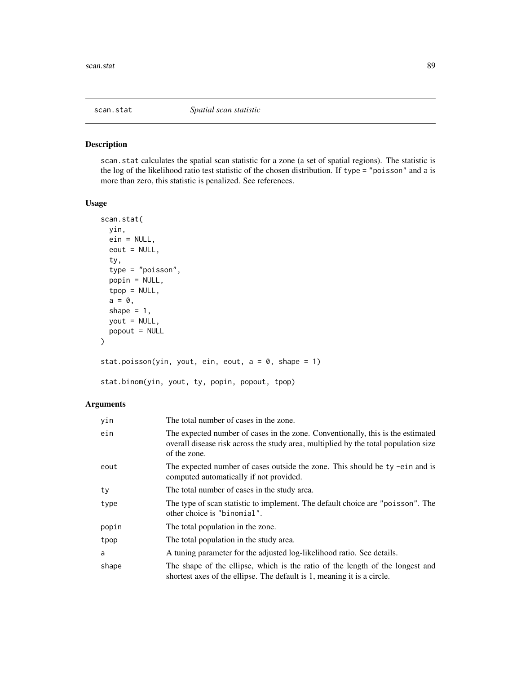<span id="page-88-0"></span>

# Description

scan.stat calculates the spatial scan statistic for a zone (a set of spatial regions). The statistic is the log of the likelihood ratio test statistic of the chosen distribution. If type = "poisson" and a is more than zero, this statistic is penalized. See references.

### Usage

```
scan.stat(
 yin,
 ein = NULL,
 eout = NULL,
  ty,
  type = "poisson",
 popin = NULL,
  tpop = NULL,
 a = 0,shape = 1,
 yout = NULL,
 popout = NULL
\mathcal{L}stat.poisson(yin, yout, ein, eout, a = 0, shape = 1)
```
stat.binom(yin, yout, ty, popin, popout, tpop)

| yin   | The total number of cases in the zone.                                                                                                                                                 |
|-------|----------------------------------------------------------------------------------------------------------------------------------------------------------------------------------------|
| ein   | The expected number of cases in the zone. Conventionally, this is the estimated<br>overall disease risk across the study area, multiplied by the total population size<br>of the zone. |
| eout  | The expected number of cases outside the zone. This should be ty -ein and is<br>computed automatically if not provided.                                                                |
| ty    | The total number of cases in the study area.                                                                                                                                           |
| type  | The type of scan statistic to implement. The default choice are "poisson". The<br>other choice is "binomial".                                                                          |
| popin | The total population in the zone.                                                                                                                                                      |
| tpop  | The total population in the study area.                                                                                                                                                |
| a     | A tuning parameter for the adjusted log-likelihood ratio. See details.                                                                                                                 |
| shape | The shape of the ellipse, which is the ratio of the length of the longest and<br>shortest axes of the ellipse. The default is 1, meaning it is a circle.                               |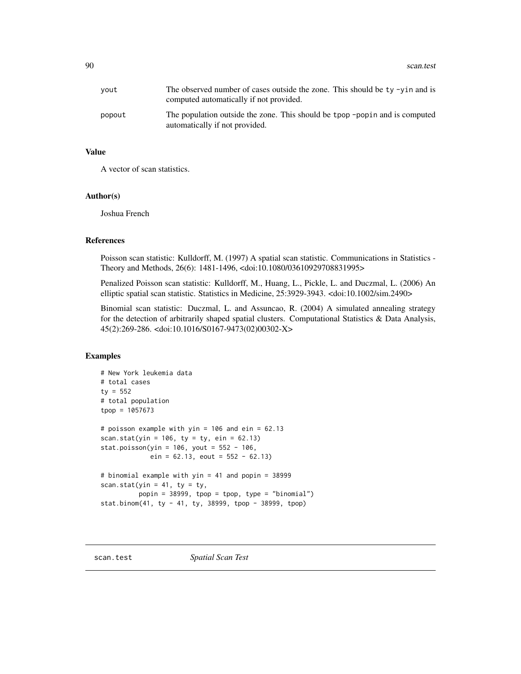| yout   | The observed number of cases outside the zone. This should be $ty - yin$ and is<br>computed automatically if not provided. |
|--------|----------------------------------------------------------------------------------------------------------------------------|
| popout | The population outside the zone. This should be tpop -popin and is computed<br>automatically if not provided.              |

#### Value

A vector of scan statistics.

# Author(s)

Joshua French

#### References

Poisson scan statistic: Kulldorff, M. (1997) A spatial scan statistic. Communications in Statistics - Theory and Methods, 26(6): 1481-1496, <doi:10.1080/03610929708831995>

Penalized Poisson scan statistic: Kulldorff, M., Huang, L., Pickle, L. and Duczmal, L. (2006) An elliptic spatial scan statistic. Statistics in Medicine, 25:3929-3943. <doi:10.1002/sim.2490>

Binomial scan statistic: Duczmal, L. and Assuncao, R. (2004) A simulated annealing strategy for the detection of arbitrarily shaped spatial clusters. Computational Statistics & Data Analysis, 45(2):269-286. <doi:10.1016/S0167-9473(02)00302-X>

```
# New York leukemia data
# total cases
ty = 552# total population
tpop = 1057673
# poisson example with yin = 106 and ein = 62.13
scan.stat(yin = 106, ty = ty, ein = 62.13)
stat.poisson(yin = 106, yout = 552 - 106,
            ein = 62.13, eout = 552 - 62.13# binomial example with yin = 41 and popin = 38999
scan.stat(yin = 41, ty = ty,
         popin = 38999, tpop = tpop, type = "binomial")
stat.binom(41, ty - 41, ty, 38999, tpop - 38999, tpop)
```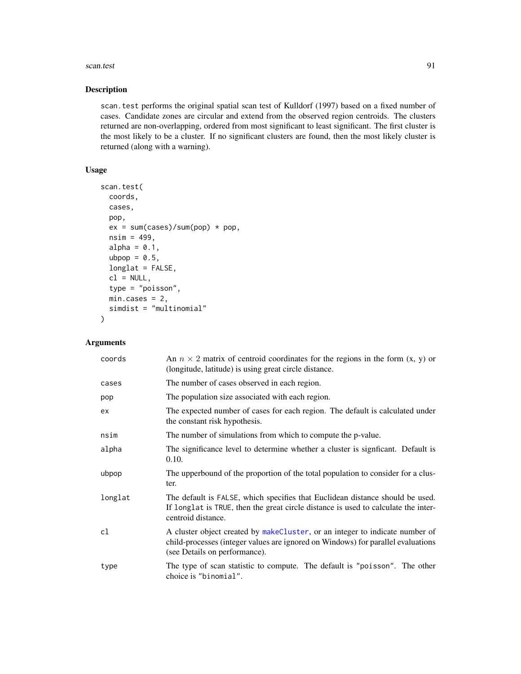#### scan.test 91

### Description

scan.test performs the original spatial scan test of Kulldorf (1997) based on a fixed number of cases. Candidate zones are circular and extend from the observed region centroids. The clusters returned are non-overlapping, ordered from most significant to least significant. The first cluster is the most likely to be a cluster. If no significant clusters are found, then the most likely cluster is returned (along with a warning).

# Usage

```
scan.test(
 coords,
 cases,
 pop,
 ex = sum(cases)/sum(pop) * pop,nsim = 499,alpha = 0.1,
  ubpop = 0.5,
  longlat = FALSE,
  cl = NULL,type = "poisson",
 min.class = 2,simdist = "multinomial"
)
```

| coords  | An $n \times 2$ matrix of centroid coordinates for the regions in the form $(x, y)$ or<br>(longitude, latitude) is using great circle distance.                                                   |
|---------|---------------------------------------------------------------------------------------------------------------------------------------------------------------------------------------------------|
| cases   | The number of cases observed in each region.                                                                                                                                                      |
| pop     | The population size associated with each region.                                                                                                                                                  |
| ex      | The expected number of cases for each region. The default is calculated under<br>the constant risk hypothesis.                                                                                    |
| nsim    | The number of simulations from which to compute the p-value.                                                                                                                                      |
| alpha   | The significance level to determine whether a cluster is significant. Default is<br>0.10.                                                                                                         |
| ubpop   | The upperbound of the proportion of the total population to consider for a clus-<br>ter.                                                                                                          |
| longlat | The default is FALSE, which specifies that Euclidean distance should be used.<br>If longlat is TRUE, then the great circle distance is used to calculate the inter-<br>centroid distance.         |
| cl      | A cluster object created by makeCluster, or an integer to indicate number of<br>child-processes (integer values are ignored on Windows) for parallel evaluations<br>(see Details on performance). |
| type    | The type of scan statistic to compute. The default is "poisson". The other<br>choice is "binomial".                                                                                               |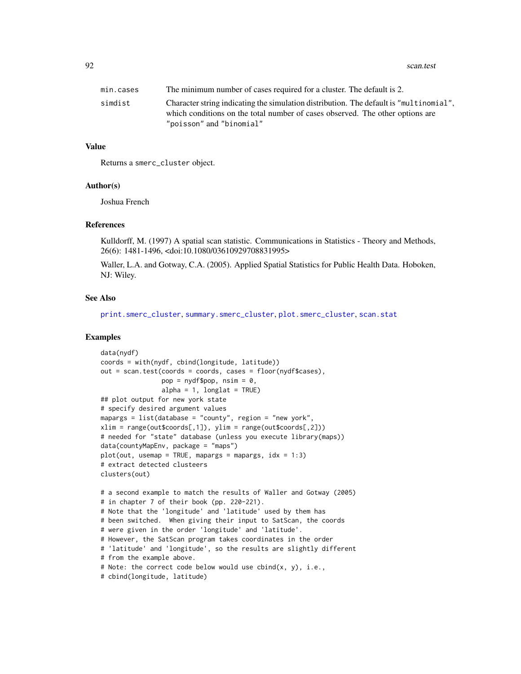#### 92 scan.test and the set of the set of the set of the set of the set of the set of the set of the set of the set of the set of the set of the set of the set of the set of the set of the set of the set of the set of the set

| min.cases | The minimum number of cases required for a cluster. The default is 2.                                                                                                                               |
|-----------|-----------------------------------------------------------------------------------------------------------------------------------------------------------------------------------------------------|
| simdist   | Character string indicating the simulation distribution. The default is "multinomial".<br>which conditions on the total number of cases observed. The other options are<br>"poisson" and "binomial" |

## Value

Returns a smerc\_cluster object.

#### Author(s)

Joshua French

### References

Kulldorff, M. (1997) A spatial scan statistic. Communications in Statistics - Theory and Methods, 26(6): 1481-1496, <doi:10.1080/03610929708831995>

Waller, L.A. and Gotway, C.A. (2005). Applied Spatial Statistics for Public Health Data. Hoboken, NJ: Wiley.

### See Also

[print.smerc\\_cluster](#page-76-0), [summary.smerc\\_cluster](#page-98-0), [plot.smerc\\_cluster](#page-73-0), [scan.stat](#page-88-0)

```
data(nydf)
coords = with(nydf, cbind(longitude, latitude))
out = scan.test(coords = coords, cases = floor(nydf$cases),
                pop = nydf\pop, nsim = 0,
                alpha = 1, longlat = TRUE)
## plot output for new york state
# specify desired argument values
mapargs = list(database = "county", region = "new york",
xlim = range(out$coords[,1]), ylim = range(out$coords[,2]))
# needed for "state" database (unless you execute library(maps))
data(countyMapEnv, package = "maps")
plot(out, useman = TRUE, mapargs = mapargs, idx = 1:3)# extract detected clusteers
clusters(out)
# a second example to match the results of Waller and Gotway (2005)
# in chapter 7 of their book (pp. 220-221).
# Note that the 'longitude' and 'latitude' used by them has
# been switched. When giving their input to SatScan, the coords
# were given in the order 'longitude' and 'latitude'.
# However, the SatScan program takes coordinates in the order
# 'latitude' and 'longitude', so the results are slightly different
# from the example above.
# Note: the correct code below would use cbind(x, y), i.e.,
# cbind(longitude, latitude)
```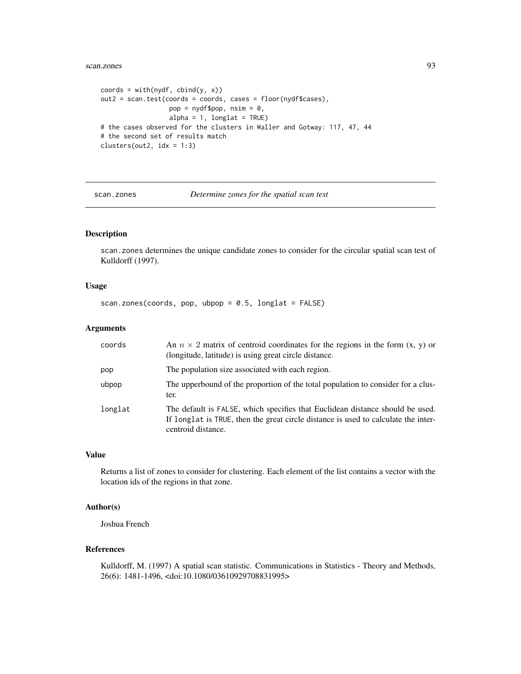#### scan.zones 93

```
coords = with(nydf, chind(y, x))out2 = scan.test(coords = coords, cases = floor(nydf$cases),
                  pop = nydf$pop, nsim = 0,
                  alpha = 1, longlat = TRUE)
# the cases observed for the clusters in Waller and Gotway: 117, 47, 44
# the second set of results match
clusters(out2, idx = 1:3)
```
<span id="page-92-0"></span>

scan.zones *Determine zones for the spatial scan test*

# Description

scan.zones determines the unique candidate zones to consider for the circular spatial scan test of Kulldorff (1997).

## Usage

scan.zones(coords, pop, ubpop =  $0.5$ , longlat = FALSE)

# Arguments

| coords  | An $n \times 2$ matrix of centroid coordinates for the regions in the form $(x, y)$ or<br>(longitude, latitude) is using great circle distance.                                           |
|---------|-------------------------------------------------------------------------------------------------------------------------------------------------------------------------------------------|
| pop     | The population size associated with each region.                                                                                                                                          |
| ubpop   | The upperbound of the proportion of the total population to consider for a clus-<br>ter.                                                                                                  |
| longlat | The default is FALSE, which specifies that Euclidean distance should be used.<br>If longlat is TRUE, then the great circle distance is used to calculate the inter-<br>centroid distance. |

# Value

Returns a list of zones to consider for clustering. Each element of the list contains a vector with the location ids of the regions in that zone.

#### Author(s)

Joshua French

### References

Kulldorff, M. (1997) A spatial scan statistic. Communications in Statistics - Theory and Methods, 26(6): 1481-1496, <doi:10.1080/03610929708831995>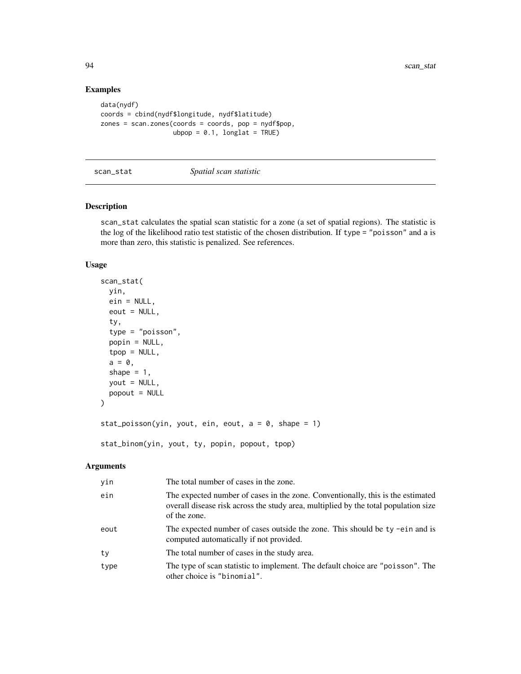# Examples

```
data(nydf)
coords = cbind(nydf$longitude, nydf$latitude)
zones = scan.zones(coords = coords, pop = nydf$pop,
                  ubpop = 0.1, longlat = TRUE)
```
#### scan\_stat *Spatial scan statistic*

# Description

scan\_stat calculates the spatial scan statistic for a zone (a set of spatial regions). The statistic is the log of the likelihood ratio test statistic of the chosen distribution. If type = "poisson" and a is more than zero, this statistic is penalized. See references.

#### Usage

```
scan_stat(
 yin,
 ein = NULL,
 eout = NULL,
  ty,
  type = "poisson",
 popin = NULL,
  top = NULL,a = 0,shape = 1,
 yout = NULL,
 popout = NULL
)
stat_poisson(yin, yout, ein, eout, a = 0, shape = 1)
stat_binom(yin, yout, ty, popin, popout, tpop)
```

| yin  | The total number of cases in the zone.                                                                                                                                                 |
|------|----------------------------------------------------------------------------------------------------------------------------------------------------------------------------------------|
| ein  | The expected number of cases in the zone. Conventionally, this is the estimated<br>overall disease risk across the study area, multiplied by the total population size<br>of the zone. |
| eout | The expected number of cases outside the zone. This should be ty -ein and is<br>computed automatically if not provided.                                                                |
| ty   | The total number of cases in the study area.                                                                                                                                           |
| type | The type of scan statistic to implement. The default choice are "poisson". The<br>other choice is "binomial".                                                                          |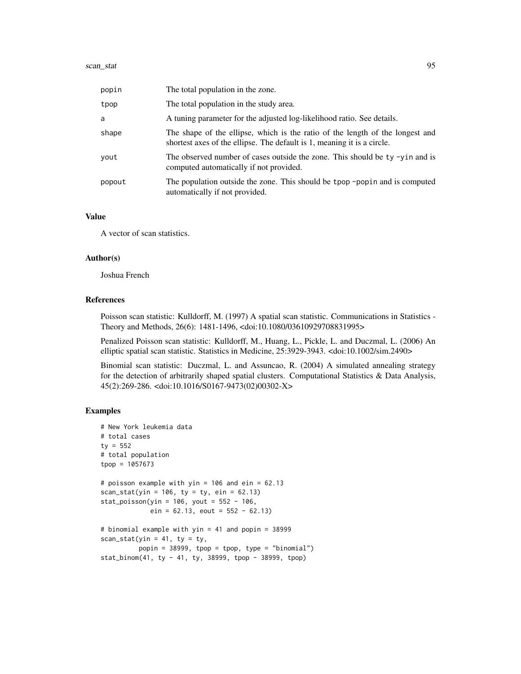| popin  | The total population in the zone.                                                                                                                        |
|--------|----------------------------------------------------------------------------------------------------------------------------------------------------------|
| tpop   | The total population in the study area.                                                                                                                  |
| a      | A tuning parameter for the adjusted log-likelihood ratio. See details.                                                                                   |
| shape  | The shape of the ellipse, which is the ratio of the length of the longest and<br>shortest axes of the ellipse. The default is 1, meaning it is a circle. |
| yout   | The observed number of cases outside the zone. This should be ty -yin and is<br>computed automatically if not provided.                                  |
| popout | The population outside the zone. This should be tpop -pop in and is computed<br>automatically if not provided.                                           |

### Value

A vector of scan statistics.

#### Author(s)

Joshua French

# References

Poisson scan statistic: Kulldorff, M. (1997) A spatial scan statistic. Communications in Statistics - Theory and Methods, 26(6): 1481-1496, <doi:10.1080/03610929708831995>

Penalized Poisson scan statistic: Kulldorff, M., Huang, L., Pickle, L. and Duczmal, L. (2006) An elliptic spatial scan statistic. Statistics in Medicine, 25:3929-3943. <doi:10.1002/sim.2490>

Binomial scan statistic: Duczmal, L. and Assuncao, R. (2004) A simulated annealing strategy for the detection of arbitrarily shaped spatial clusters. Computational Statistics & Data Analysis, 45(2):269-286. <doi:10.1016/S0167-9473(02)00302-X>

```
# New York leukemia data
# total cases
ty = 552
# total population
tpop = 1057673
# poisson example with yin = 106 and ein = 62.13
scan_stat(yin = 106, ty = ty, ein = 62.13)
stat_poisson(yin = 106, yout = 552 - 106,
            ein = 62.13, eout = 552 - 62.13# binomial example with yin = 41 and popin = 38999
scan_stat(yin = 41, ty = ty,
         popin = 38999, tpop = tpop, type = "binomial")
stat_binom(41, ty - 41, ty, 38999, tpop - 38999, tpop)
```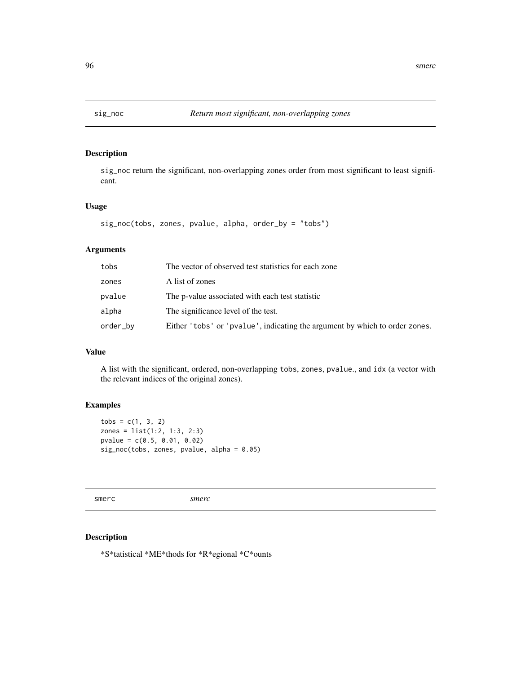# Description

sig\_noc return the significant, non-overlapping zones order from most significant to least significant.

## Usage

```
sig_noc(tobs, zones, pvalue, alpha, order_by = "tobs")
```
# Arguments

| tobs     | The vector of observed test statistics for each zone                        |
|----------|-----------------------------------------------------------------------------|
| zones    | A list of zones                                                             |
| pvalue   | The p-value associated with each test statistic                             |
| alpha    | The significance level of the test.                                         |
| order_by | Either 'tobs' or 'pvalue', indicating the argument by which to order zones. |

#### Value

A list with the significant, ordered, non-overlapping tobs, zones, pvalue., and idx (a vector with the relevant indices of the original zones).

# Examples

```
tobs = c(1, 3, 2)zones = list(1:2, 1:3, 2:3)
pvalue = c(0.5, 0.01, 0.02)
sig_noc(tobs, zones, pvalue, alpha = 0.05)
```
smerc *smerc*

### Description

\*S\*tatistical \*ME\*thods for \*R\*egional \*C\*ounts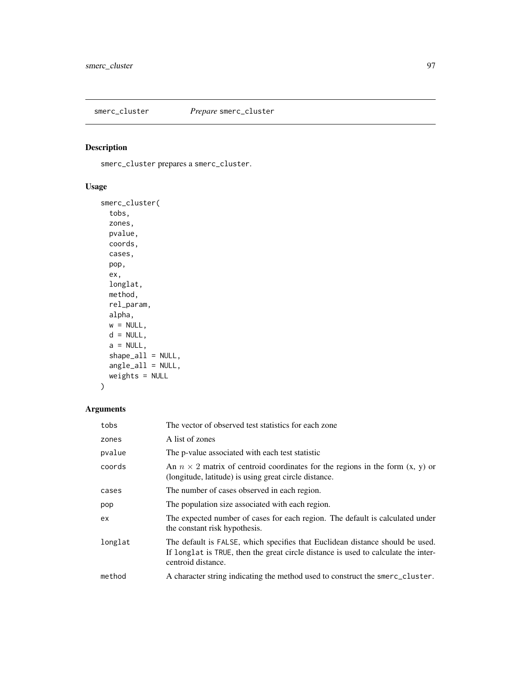# Description

smerc\_cluster prepares a smerc\_cluster.

# Usage

```
smerc_cluster(
 tobs,
 zones,
 pvalue,
 coords,
 cases,
 pop,
 ex,
 longlat,
 method,
 rel_param,
 alpha,
 w = NULL,d = NULL,a = NULL,shape\_all = NULL,angle_all = NULL,
 weights = NULL
)
```

| tobs    | The vector of observed test statistics for each zone                                                                                                                                      |
|---------|-------------------------------------------------------------------------------------------------------------------------------------------------------------------------------------------|
| zones   | A list of zones                                                                                                                                                                           |
| pvalue  | The p-value associated with each test statistic                                                                                                                                           |
| coords  | An $n \times 2$ matrix of centroid coordinates for the regions in the form $(x, y)$ or<br>(longitude, latitude) is using great circle distance.                                           |
| cases   | The number of cases observed in each region.                                                                                                                                              |
| pop     | The population size associated with each region.                                                                                                                                          |
| ex.     | The expected number of cases for each region. The default is calculated under<br>the constant risk hypothesis.                                                                            |
| longlat | The default is FALSE, which specifies that Euclidean distance should be used.<br>If longlat is TRUE, then the great circle distance is used to calculate the inter-<br>centroid distance. |
| method  | A character string indicating the method used to construct the smerc_cluster.                                                                                                             |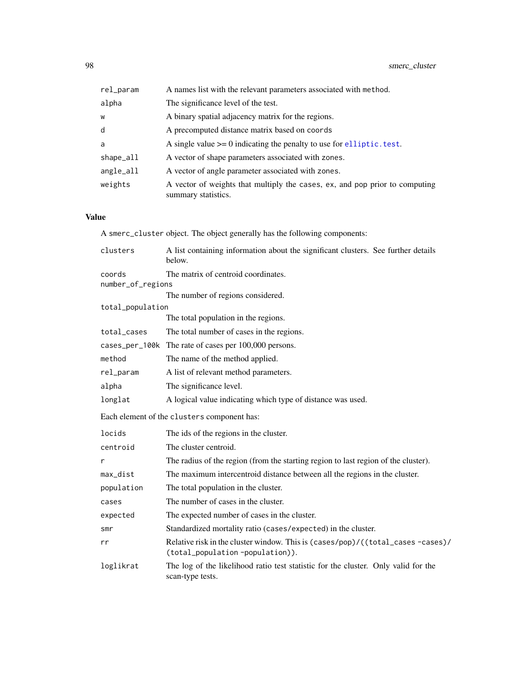| A names list with the relevant parameters associated with method.                                  |
|----------------------------------------------------------------------------------------------------|
| The significance level of the test.                                                                |
| A binary spatial adjacency matrix for the regions.                                                 |
| A precomputed distance matrix based on coords                                                      |
| A single value $\ge$ = 0 indicating the penalty to use for elliptic. test.                         |
| A vector of shape parameters associated with zones.                                                |
| A vector of angle parameter associated with zones.                                                 |
| A vector of weights that multiply the cases, ex, and pop prior to computing<br>summary statistics. |
|                                                                                                    |

# Value

A smerc\_cluster object. The object generally has the following components:

| clusters          | A list containing information about the significant clusters. See further details<br>below.                       |
|-------------------|-------------------------------------------------------------------------------------------------------------------|
| coords            | The matrix of centroid coordinates.                                                                               |
| number_of_regions |                                                                                                                   |
|                   | The number of regions considered.                                                                                 |
| total_population  |                                                                                                                   |
|                   | The total population in the regions.                                                                              |
| total_cases       | The total number of cases in the regions.                                                                         |
|                   | cases_per_100k The rate of cases per 100,000 persons.                                                             |
| method            | The name of the method applied.                                                                                   |
| rel_param         | A list of relevant method parameters.                                                                             |
| alpha             | The significance level.                                                                                           |
| longlat           | A logical value indicating which type of distance was used.                                                       |
|                   | Each element of the clusters component has:                                                                       |
| locids            | The ids of the regions in the cluster.                                                                            |
| centroid          | The cluster centroid.                                                                                             |
| r                 | The radius of the region (from the starting region to last region of the cluster).                                |
| max_dist          | The maximum intercentroid distance between all the regions in the cluster.                                        |
| population        | The total population in the cluster.                                                                              |
| cases             | The number of cases in the cluster.                                                                               |
| expected          | The expected number of cases in the cluster.                                                                      |
| smr               | Standardized mortality ratio (cases/expected) in the cluster.                                                     |
| rr                | Relative risk in the cluster window. This is (cases/pop)/((total_cases-cases)/<br>(total_population-population)). |

loglikrat The log of the likelihood ratio test statistic for the cluster. Only valid for the scan-type tests.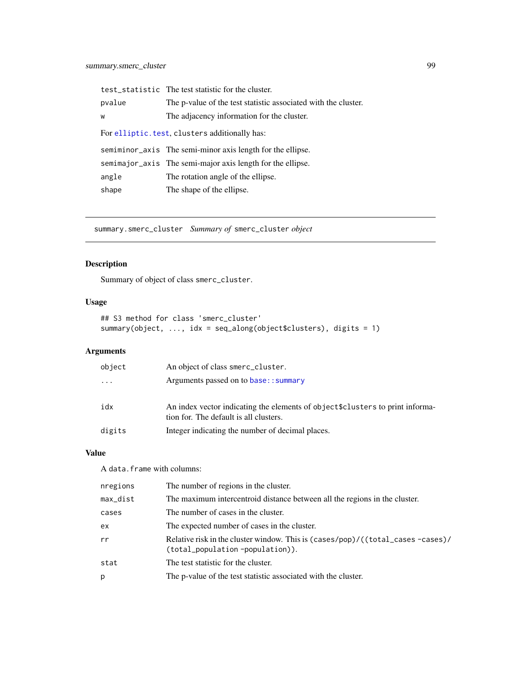|                                                | test_statistic The test statistic for the cluster.             |  |
|------------------------------------------------|----------------------------------------------------------------|--|
| pvalue                                         | The p-value of the test statistic associated with the cluster. |  |
| W                                              | The adjacency information for the cluster.                     |  |
| For elliptic. test, clusters additionally has: |                                                                |  |
|                                                |                                                                |  |
|                                                | semiminor axis The semi-minor axis length for the ellipse.     |  |
|                                                | semimajor_axis The semi-major axis length for the ellipse.     |  |
| angle                                          | The rotation angle of the ellipse.                             |  |

<span id="page-98-0"></span>summary.smerc\_cluster *Summary of* smerc\_cluster *object*

# Description

Summary of object of class smerc\_cluster.

# Usage

```
## S3 method for class 'smerc_cluster'
summary(object, ..., idx = seq_along(object$clusters), digits = 1)
```
# Arguments

| object   | An object of class smerc_cluster.                                                                                        |
|----------|--------------------------------------------------------------------------------------------------------------------------|
| $\cdots$ | Arguments passed on to base:: summary                                                                                    |
| idx      | An index vector indicating the elements of object \$clusters to print informa-<br>tion for. The default is all clusters. |
| digits   | Integer indicating the number of decimal places.                                                                         |

# Value

A data.frame with columns:

| nregions | The number of regions in the cluster.                                                                               |
|----------|---------------------------------------------------------------------------------------------------------------------|
| max_dist | The maximum intercentroid distance between all the regions in the cluster.                                          |
| cases    | The number of cases in the cluster.                                                                                 |
| ex       | The expected number of cases in the cluster.                                                                        |
| rr       | Relative risk in the cluster window. This is (cases/pop)/((total_cases -cases)/<br>(total_population -population)). |
| stat     | The test statistic for the cluster.                                                                                 |
| р        | The p-value of the test statistic associated with the cluster.                                                      |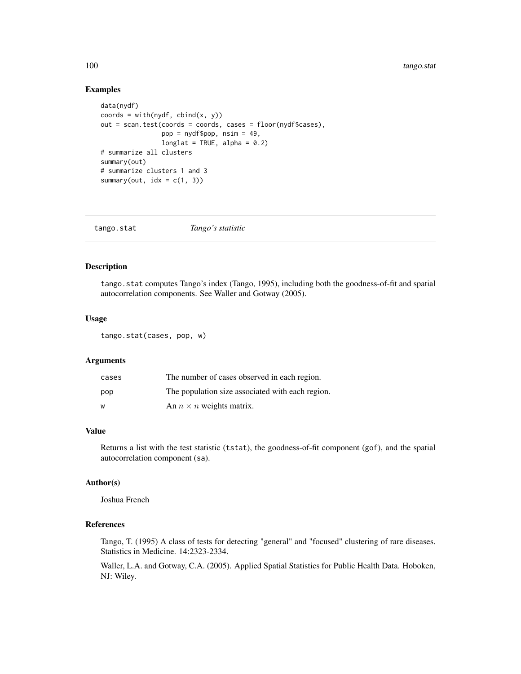### Examples

```
data(nydf)
coords = with(nydf, chind(x, y))out = scan.test(coords = coords, cases = floor(nydf$cases),
                pop = nydf$pop, nsim = 49,
                longlat = TRUE, alpha = 0.2)
# summarize all clusters
summary(out)
# summarize clusters 1 and 3
summary(out, idx = c(1, 3))
```

| tango.stat | Tango's statistic |  |
|------------|-------------------|--|
|------------|-------------------|--|

# Description

tango.stat computes Tango's index (Tango, 1995), including both the goodness-of-fit and spatial autocorrelation components. See Waller and Gotway (2005).

### Usage

tango.stat(cases, pop, w)

# Arguments

| cases | The number of cases observed in each region.     |
|-------|--------------------------------------------------|
| pop   | The population size associated with each region. |
| W     | An $n \times n$ weights matrix.                  |

#### Value

Returns a list with the test statistic (tstat), the goodness-of-fit component (gof), and the spatial autocorrelation component (sa).

#### Author(s)

Joshua French

# References

Tango, T. (1995) A class of tests for detecting "general" and "focused" clustering of rare diseases. Statistics in Medicine. 14:2323-2334.

Waller, L.A. and Gotway, C.A. (2005). Applied Spatial Statistics for Public Health Data. Hoboken, NJ: Wiley.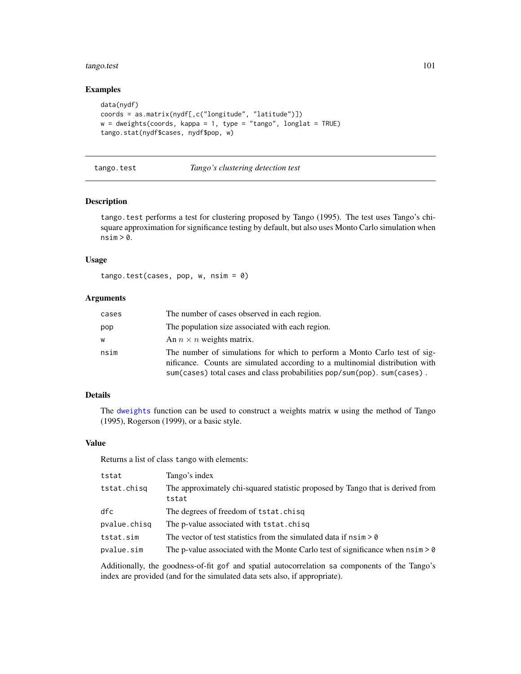#### tango.test 101

# Examples

```
data(nydf)
coords = as.matrix(nydf[,c("longitude", "latitude")])
w = dweights(coords, kappa = 1, type = "tango", longlat = TRUE)
tango.stat(nydf$cases, nydf$pop, w)
```
#### <span id="page-100-0"></span>tango.test *Tango's clustering detection test*

### Description

tango.test performs a test for clustering proposed by Tango (1995). The test uses Tango's chisquare approximation for significance testing by default, but also uses Monto Carlo simulation when  $nsim > 0$ .

## Usage

tango.test(cases, pop, w, nsim = 0)

### Arguments

| cases | The number of cases observed in each region.                                                                                                                                                                                          |
|-------|---------------------------------------------------------------------------------------------------------------------------------------------------------------------------------------------------------------------------------------|
| pop   | The population size associated with each region.                                                                                                                                                                                      |
| w     | An $n \times n$ weights matrix.                                                                                                                                                                                                       |
| nsim  | The number of simulations for which to perform a Monto Carlo test of sig-<br>nificance. Counts are simulated according to a multinomial distribution with<br>sum(cases) total cases and class probabilities pop/sum(pop). sum(cases). |

# Details

The [dweights](#page-101-0) function can be used to construct a weights matrix w using the method of Tango (1995), Rogerson (1999), or a basic style.

#### Value

Returns a list of class tango with elements:

| tstat        | Tango's index                                                                           |
|--------------|-----------------------------------------------------------------------------------------|
| tstat.chisg  | The approximately chi-squared statistic proposed by Tango that is derived from<br>tstat |
| dfc          | The degrees of freedom of tstat.chisq                                                   |
| pvalue.chisg | The p-value associated with tstat.chisq                                                 |
| tstat.sim    | The vector of test statistics from the simulated data if $nsim > 0$                     |
| pvalue.sim   | The p-value associated with the Monte Carlo test of significance when $nsim > 0$        |

Additionally, the goodness-of-fit gof and spatial autocorrelation sa components of the Tango's index are provided (and for the simulated data sets also, if appropriate).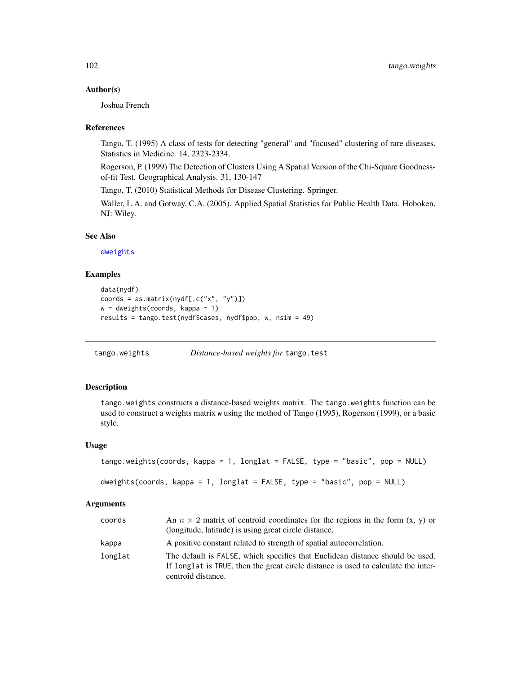#### Author(s)

Joshua French

#### References

Tango, T. (1995) A class of tests for detecting "general" and "focused" clustering of rare diseases. Statistics in Medicine. 14, 2323-2334.

Rogerson, P. (1999) The Detection of Clusters Using A Spatial Version of the Chi-Square Goodnessof-fit Test. Geographical Analysis. 31, 130-147

Tango, T. (2010) Statistical Methods for Disease Clustering. Springer.

Waller, L.A. and Gotway, C.A. (2005). Applied Spatial Statistics for Public Health Data. Hoboken, NJ: Wiley.

#### See Also

[dweights](#page-101-0)

### Examples

```
data(nydf)
coords = as.matrix(nydf[,c("x", "y")])
w = dweights(coords, kappa = 1)
results = tango.test(nydf$cases, nydf$pop, w, nsim = 49)
```
tango.weights *Distance-based weights for* tango.test

### <span id="page-101-0"></span>Description

tango.weights constructs a distance-based weights matrix. The tango.weights function can be used to construct a weights matrix w using the method of Tango (1995), Rogerson (1999), or a basic style.

#### Usage

```
tango.weights(coords, kappa = 1, longlat = FALSE, type = "basic", pop = NULL)
```

```
dweights(coords, kappa = 1, longlat = FALSE, type = "basic", pop = NULL)
```

| coords  | An $n \times 2$ matrix of centroid coordinates for the regions in the form $(x, y)$ or<br>(longitude, latitude) is using great circle distance.                                           |
|---------|-------------------------------------------------------------------------------------------------------------------------------------------------------------------------------------------|
| kappa   | A positive constant related to strength of spatial autocorrelation.                                                                                                                       |
| longlat | The default is FALSE, which specifies that Euclidean distance should be used.<br>If longlat is TRUE, then the great circle distance is used to calculate the inter-<br>centroid distance. |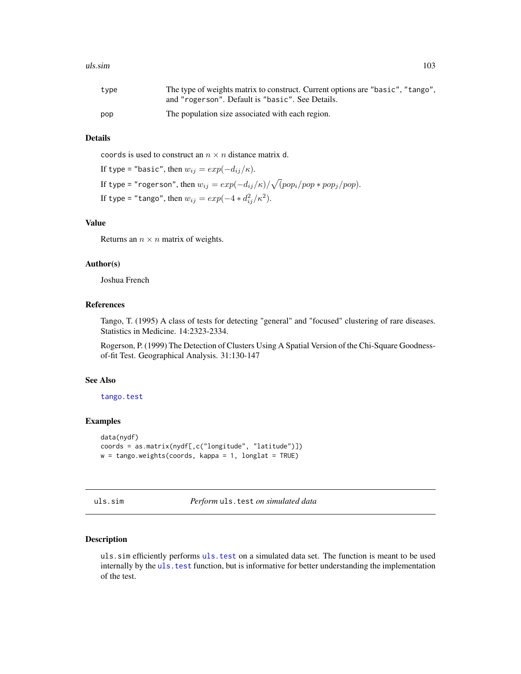#### uls.sim and the contract of the contract of the contract of the contract of the contract of the contract of the contract of the contract of the contract of the contract of the contract of the contract of the contract of th

| type | The type of weights matrix to construct. Current options are "basic", "tango", |
|------|--------------------------------------------------------------------------------|
|      | and "rogerson". Default is "basic". See Details.                               |
| pop  | The population size associated with each region.                               |

#### Details

coords is used to construct an  $n \times n$  distance matrix d.

```
If type = "basic", then w_{ij} = exp(-d_{ij}/\kappa).
If type = "rogerson", then w_{ij} = exp(-d_{ij}/\kappa)/\sqrt(pop_i/pop\ast pop_j/pop).If type = "tango", then w_{ij} = exp(-4 * d_{ij}^2 / \kappa^2).
```
#### Value

Returns an  $n \times n$  matrix of weights.

#### Author(s)

Joshua French

#### References

Tango, T. (1995) A class of tests for detecting "general" and "focused" clustering of rare diseases. Statistics in Medicine. 14:2323-2334.

Rogerson, P. (1999) The Detection of Clusters Using A Spatial Version of the Chi-Square Goodnessof-fit Test. Geographical Analysis. 31:130-147

### See Also

[tango.test](#page-100-0)

### Examples

```
data(nydf)
coords = as.matrix(nydf[,c("longitude", "latitude")])
w = \text{tango.weights}(\text{coordinates}, \text{kappa} = 1, \text{longlat} = \text{TRUE})
```
uls.sim *Perform* uls.test *on simulated data*

### Description

uls.sim efficiently performs [uls.test](#page-104-0) on a simulated data set. The function is meant to be used internally by the uls. test function, but is informative for better understanding the implementation of the test.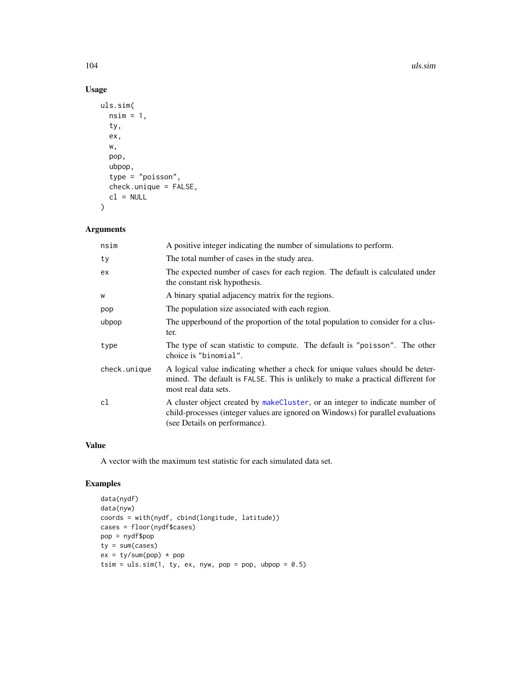104 uls.sim and the contract of the contract of the contract of the contract of the contract of the contract of the contract of the contract of the contract of the contract of the contract of the contract of the contract o

# Usage

```
uls.sim(
  nsim = 1,ty,
  ex,
  w,
  pop,
  ubpop,
  type = "poisson",
  check.unique = FALSE,
  cl = NULL)
```
# Arguments

| nsim         | A positive integer indicating the number of simulations to perform.                                                                                                                               |
|--------------|---------------------------------------------------------------------------------------------------------------------------------------------------------------------------------------------------|
| ty           | The total number of cases in the study area.                                                                                                                                                      |
| ex.          | The expected number of cases for each region. The default is calculated under<br>the constant risk hypothesis.                                                                                    |
| W            | A binary spatial adjacency matrix for the regions.                                                                                                                                                |
| pop          | The population size associated with each region.                                                                                                                                                  |
| ubpop        | The upperbound of the proportion of the total population to consider for a clus-<br>ter.                                                                                                          |
| type         | The type of scan statistic to compute. The default is "poisson". The other<br>choice is "binomial".                                                                                               |
| check.unique | A logical value indicating whether a check for unique values should be deter-<br>mined. The default is FALSE. This is unlikely to make a practical different for<br>most real data sets.          |
| cl           | A cluster object created by makeCluster, or an integer to indicate number of<br>child-processes (integer values are ignored on Windows) for parallel evaluations<br>(see Details on performance). |

# Value

A vector with the maximum test statistic for each simulated data set.

```
data(nydf)
data(nyw)
coords = with(nydf, cbind(longitude, latitude))
cases = floor(nydf$cases)
pop = nydf$pop
ty = sum(cases)
ex = ty/sum(pop) * poptsim = uls.sim(1, ty, ex, nyw, pop = pop, ubpop = 0.5)
```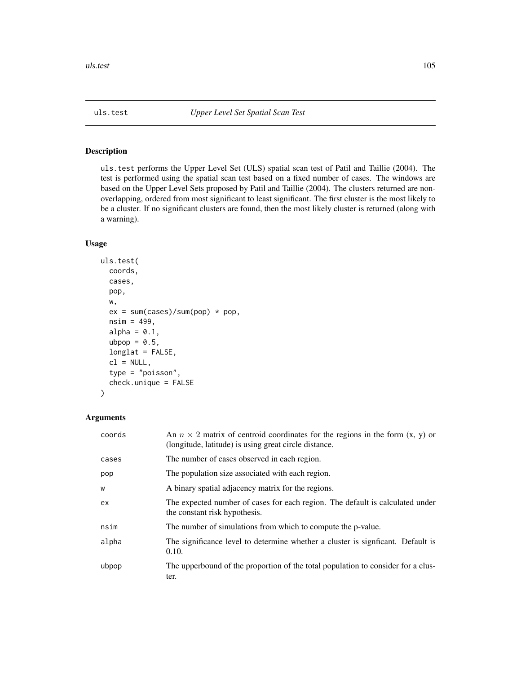<span id="page-104-0"></span>

### Description

uls.test performs the Upper Level Set (ULS) spatial scan test of Patil and Taillie (2004). The test is performed using the spatial scan test based on a fixed number of cases. The windows are based on the Upper Level Sets proposed by Patil and Taillie (2004). The clusters returned are nonoverlapping, ordered from most significant to least significant. The first cluster is the most likely to be a cluster. If no significant clusters are found, then the most likely cluster is returned (along with a warning).

# Usage

```
uls.test(
  coords,
  cases,
  pop,
  w,
  ex = sum(cases)/sum(pop) * pop,nsim = 499,
  alpha = 0.1,
  ubpop = 0.5,
  longlat = FALSE,cl = NULL,type = "poisson",
  check.unique = FALSE
)
```

| coords | An $n \times 2$ matrix of centroid coordinates for the regions in the form $(x, y)$ or<br>(longitude, latitude) is using great circle distance. |
|--------|-------------------------------------------------------------------------------------------------------------------------------------------------|
| cases  | The number of cases observed in each region.                                                                                                    |
| pop    | The population size associated with each region.                                                                                                |
| W      | A binary spatial adjacency matrix for the regions.                                                                                              |
| ex     | The expected number of cases for each region. The default is calculated under<br>the constant risk hypothesis.                                  |
| nsim   | The number of simulations from which to compute the p-value.                                                                                    |
| alpha  | The significance level to determine whether a cluster is significant. Default is<br>0.10.                                                       |
| ubpop  | The upperbound of the proportion of the total population to consider for a clus-<br>ter.                                                        |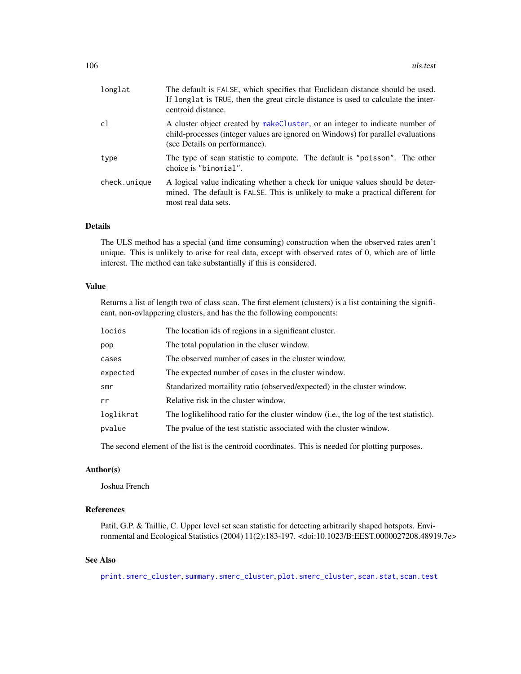| longlat      | The default is FALSE, which specifies that Euclidean distance should be used.<br>If longlat is TRUE, then the great circle distance is used to calculate the inter-<br>centroid distance.          |
|--------------|----------------------------------------------------------------------------------------------------------------------------------------------------------------------------------------------------|
| c1           | A cluster object created by make Cluster, or an integer to indicate number of<br>child-processes (integer values are ignored on Windows) for parallel evaluations<br>(see Details on performance). |
| type         | The type of scan statistic to compute. The default is "poisson". The other<br>choice is "binomial".                                                                                                |
| check.unique | A logical value indicating whether a check for unique values should be deter-<br>mined. The default is FALSE. This is unlikely to make a practical different for<br>most real data sets.           |

### Details

The ULS method has a special (and time consuming) construction when the observed rates aren't unique. This is unlikely to arise for real data, except with observed rates of 0, which are of little interest. The method can take substantially if this is considered.

## Value

Returns a list of length two of class scan. The first element (clusters) is a list containing the significant, non-ovlappering clusters, and has the the following components:

| locids    | The location ids of regions in a significant cluster.                                 |
|-----------|---------------------------------------------------------------------------------------|
| pop       | The total population in the cluser window.                                            |
| cases     | The observed number of cases in the cluster window.                                   |
| expected  | The expected number of cases in the cluster window.                                   |
| smr       | Standarized mortaility ratio (observed/expected) in the cluster window.               |
| rr        | Relative risk in the cluster window.                                                  |
| loglikrat | The loglikelihood ratio for the cluster window (i.e., the log of the test statistic). |
| pvalue    | The pvalue of the test statistic associated with the cluster window.                  |
|           |                                                                                       |

The second element of the list is the centroid coordinates. This is needed for plotting purposes.

#### Author(s)

Joshua French

# References

Patil, G.P. & Taillie, C. Upper level set scan statistic for detecting arbitrarily shaped hotspots. Environmental and Ecological Statistics (2004) 11(2):183-197. <doi:10.1023/B:EEST.0000027208.48919.7e>

# See Also

[print.smerc\\_cluster](#page-76-0), [summary.smerc\\_cluster](#page-98-0), [plot.smerc\\_cluster](#page-73-0), [scan.stat](#page-88-0), [scan.test](#page-89-0)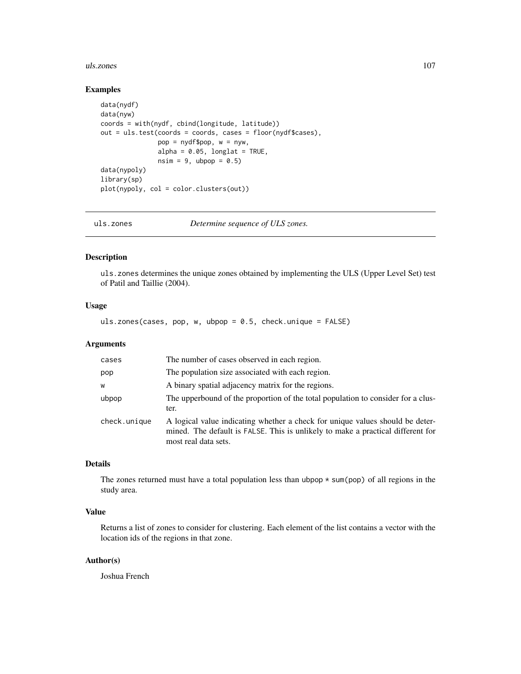#### uls.zones 107

#### Examples

```
data(nydf)
data(nyw)
coords = with(nydf, cbind(longitude, latitude))
out = uls.test(coords = coords, cases = floor(nydf$cases),
               pop = nydf$pop, w = nyw,
               alpha = 0.05, longlat = TRUE,
               nsim = 9, ubpop = 0.5)
data(nypoly)
library(sp)
plot(nypoly, col = color.clusters(out))
```
uls.zones *Determine sequence of ULS zones.*

# Description

uls.zones determines the unique zones obtained by implementing the ULS (Upper Level Set) test of Patil and Taillie (2004).

#### Usage

uls.zones(cases, pop, w, ubpop = 0.5, check.unique = FALSE)

### Arguments

| cases        | The number of cases observed in each region.                                                                                                                                             |
|--------------|------------------------------------------------------------------------------------------------------------------------------------------------------------------------------------------|
| pop          | The population size associated with each region.                                                                                                                                         |
| W            | A binary spatial adjacency matrix for the regions.                                                                                                                                       |
| ubpop        | The upperbound of the proportion of the total population to consider for a clus-<br>ter.                                                                                                 |
| check.unique | A logical value indicating whether a check for unique values should be deter-<br>mined. The default is FALSE. This is unlikely to make a practical different for<br>most real data sets. |

### Details

The zones returned must have a total population less than ubpop  $* \text{sum}(pop)$  of all regions in the study area.

### Value

Returns a list of zones to consider for clustering. Each element of the list contains a vector with the location ids of the regions in that zone.

### Author(s)

Joshua French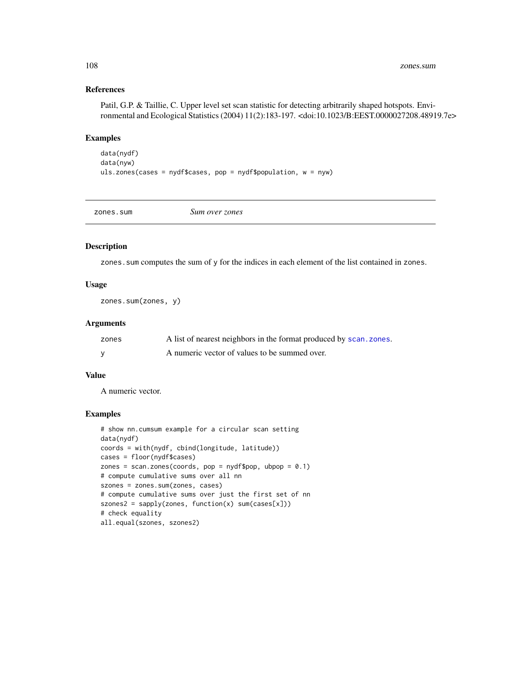# References

Patil, G.P. & Taillie, C. Upper level set scan statistic for detecting arbitrarily shaped hotspots. Environmental and Ecological Statistics (2004) 11(2):183-197. <doi:10.1023/B:EEST.0000027208.48919.7e>

#### Examples

```
data(nydf)
data(nyw)
uls.zones(cases = nydf$cases, pop = nydf$population, w = nyw)
```
zones.sum *Sum over zones*

### Description

zones.sum computes the sum of y for the indices in each element of the list contained in zones.

## Usage

zones.sum(zones, y)

### Arguments

| zones | A list of nearest neighbors in the format produced by scan. zones. |
|-------|--------------------------------------------------------------------|
|       | A numeric vector of values to be summed over.                      |

# Value

A numeric vector.

```
# show nn.cumsum example for a circular scan setting
data(nydf)
coords = with(nydf, cbind(longitude, latitude))
cases = floor(nydf$cases)
zones = scan.zones(coords, pop = nydf$pop, ubpop = 0.1)
# compute cumulative sums over all nn
szones = zones.sum(zones, cases)
# compute cumulative sums over just the first set of nn
szones2 = sapply(zones, function(x) sum(cases[x]))
# check equality
all.equal(szones, szones2)
```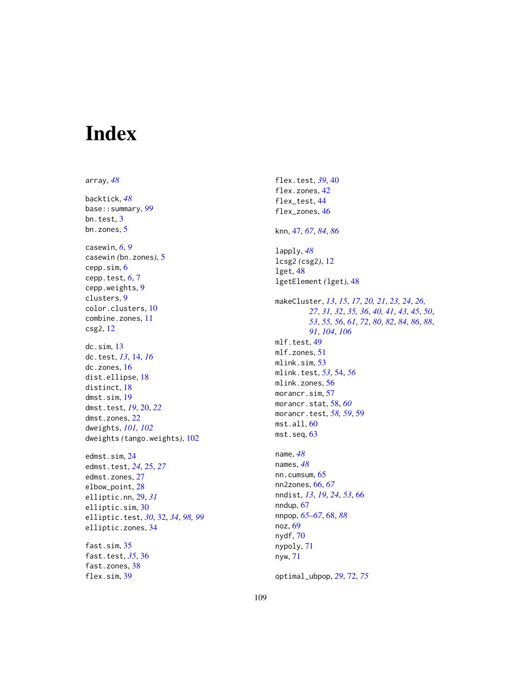## Index

array, *[48](#page-47-0)* backtick, *[48](#page-47-0)* base::summary, *[99](#page-98-0)* bn.test, [3](#page-2-0) bn.zones, [5](#page-4-0) casewin, *[6](#page-5-0)*, *[9](#page-8-0)* casewin *(*bn.zones*)*, [5](#page-4-0) cepp.sim, [6](#page-5-0) cepp.test, *[6](#page-5-0)*, [7](#page-6-0) cepp.weights, [9](#page-8-0) clusters, [9](#page-8-0) color.clusters, [10](#page-9-0) combine.zones, [11](#page-10-0) csg2, [12](#page-11-0) dc.sim, [13](#page-12-0) dc.test, *[13](#page-12-0)*, [14,](#page-13-0) *[16](#page-15-0)* dc.zones, [16](#page-15-0) dist.ellipse, [18](#page-17-0) distinct, [18](#page-17-0) dmst.sim, [19](#page-18-0) dmst.test, *[19](#page-18-0)*, [20,](#page-19-0) *[22](#page-21-0)* dmst.zones, [22](#page-21-0) dweights, *[101,](#page-100-0) [102](#page-101-0)* dweights *(*tango.weights*)*, [102](#page-101-0) edmst.sim, [24](#page-23-0) edmst.test, *[24](#page-23-0)*, [25,](#page-24-0) *[27](#page-26-0)* edmst.zones, [27](#page-26-0) elbow\_point, [28](#page-27-0) elliptic.nn, [29,](#page-28-0) *[31](#page-30-0)* elliptic.sim, [30](#page-29-0) elliptic.test, *[30](#page-29-0)*, [32,](#page-31-0) *[34](#page-33-0)*, *[98,](#page-97-0) [99](#page-98-0)* elliptic.zones, [34](#page-33-0) fast.sim, [35](#page-34-0) fast.test, *[35](#page-34-0)*, [36](#page-35-0) fast.zones, [38](#page-37-0) flex.sim, [39](#page-38-0)

flex.test, *[39](#page-38-0)*, [40](#page-39-0) flex.zones, [42](#page-41-0) flex\_test, [44](#page-43-0) flex\_zones, [46](#page-45-0) knn, [47,](#page-46-0) *[67](#page-66-0)*, *[84](#page-83-0)*, *[86](#page-85-0)* lapply, *[48](#page-47-0)* lcsg2 *(*csg2*)*, [12](#page-11-0) lget, [48](#page-47-0) lgetElement *(*lget*)*, [48](#page-47-0) makeCluster, *[13](#page-12-0)*, *[15](#page-14-0)*, *[17](#page-16-0)*, *[20,](#page-19-0) [21](#page-20-0)*, *[23,](#page-22-0) [24](#page-23-0)*, *[26,](#page-25-0) [27](#page-26-0)*, *[31,](#page-30-0) [32](#page-31-0)*, *[35,](#page-34-0) [36](#page-35-0)*, *[40,](#page-39-0) [41](#page-40-0)*, *[43](#page-42-0)*, *[45](#page-44-0)*, *[50](#page-49-0)*, *[53](#page-52-0)*, *[55,](#page-54-0) [56](#page-55-0)*, *[61](#page-60-0)*, *[72](#page-71-0)*, *[80](#page-79-0)*, *[82](#page-81-0)*, *[84](#page-83-0)*, *[86](#page-85-0)*, *[88](#page-87-0)*, *[91](#page-90-0)*, *[104](#page-103-0)*, *[106](#page-105-0)* mlf.test, [49](#page-48-0) mlf.zones, [51](#page-50-0) mlink.sim, [53](#page-52-0) mlink.test, *[53](#page-52-0)*, [54,](#page-53-0) *[56](#page-55-0)* mlink.zones, [56](#page-55-0) morancr.sim, [57](#page-56-0) morancr.stat, [58,](#page-57-0) *[60](#page-59-0)* morancr.test, *[58,](#page-57-0) [59](#page-58-0)*, [59](#page-58-0) mst.all, [60](#page-59-0) mst.seq, [63](#page-62-0) name, *[48](#page-47-0)* names, *[48](#page-47-0)* nn.cumsum, [65](#page-64-0) nn2zones, [66,](#page-65-0) *[67](#page-66-0)* nndist, *[13](#page-12-0)*, *[19](#page-18-0)*, *[24](#page-23-0)*, *[53](#page-52-0)*, [66](#page-65-0) nndup, [67](#page-66-0) nnpop, *[65](#page-64-0)[–67](#page-66-0)*, [68,](#page-67-0) *[88](#page-87-0)* noz, [69](#page-68-0) nydf, [70](#page-69-0) nypoly, [71](#page-70-0) nyw, [71](#page-70-0) optimal\_ubpop, *[29](#page-28-0)*, [72,](#page-71-0) *[75](#page-74-0)*